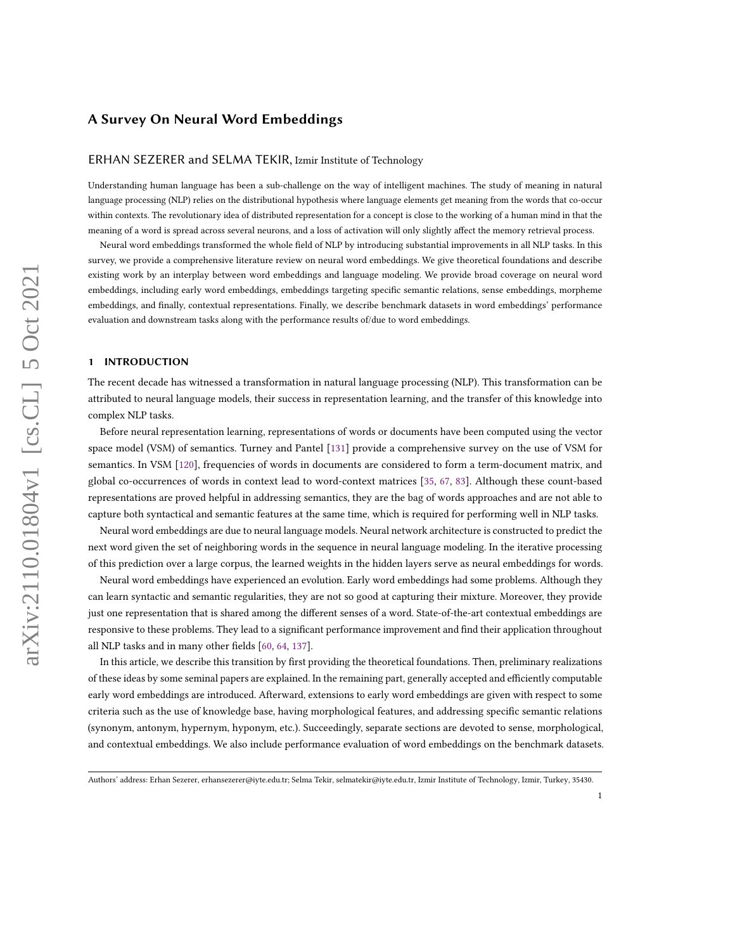### ERHAN SEZERER and SELMA TEKIR, Izmir Institute of Technology

Understanding human language has been a sub-challenge on the way of intelligent machines. The study of meaning in natural language processing (NLP) relies on the distributional hypothesis where language elements get meaning from the words that co-occur within contexts. The revolutionary idea of distributed representation for a concept is close to the working of a human mind in that the meaning of a word is spread across several neurons, and a loss of activation will only slightly affect the memory retrieval process.

Neural word embeddings transformed the whole field of NLP by introducing substantial improvements in all NLP tasks. In this survey, we provide a comprehensive literature review on neural word embeddings. We give theoretical foundations and describe existing work by an interplay between word embeddings and language modeling. We provide broad coverage on neural word embeddings, including early word embeddings, embeddings targeting specific semantic relations, sense embeddings, morpheme embeddings, and finally, contextual representations. Finally, we describe benchmark datasets in word embeddings' performance evaluation and downstream tasks along with the performance results of/due to word embeddings.

## 1 INTRODUCTION

The recent decade has witnessed a transformation in natural language processing (NLP). This transformation can be attributed to neural language models, their success in representation learning, and the transfer of this knowledge into complex NLP tasks.

Before neural representation learning, representations of words or documents have been computed using the vector space model (VSM) of semantics. Turney and Pantel [\[131\]](#page-30-0) provide a comprehensive survey on the use of VSM for semantics. In VSM [\[120\]](#page-29-0), frequencies of words in documents are considered to form a term-document matrix, and global co-occurrences of words in context lead to word-context matrices [\[35,](#page-26-0) [67,](#page-27-0) [83\]](#page-27-1). Although these count-based representations are proved helpful in addressing semantics, they are the bag of words approaches and are not able to capture both syntactical and semantic features at the same time, which is required for performing well in NLP tasks.

Neural word embeddings are due to neural language models. Neural network architecture is constructed to predict the next word given the set of neighboring words in the sequence in neural language modeling. In the iterative processing of this prediction over a large corpus, the learned weights in the hidden layers serve as neural embeddings for words.

Neural word embeddings have experienced an evolution. Early word embeddings had some problems. Although they can learn syntactic and semantic regularities, they are not so good at capturing their mixture. Moreover, they provide just one representation that is shared among the different senses of a word. State-of-the-art contextual embeddings are responsive to these problems. They lead to a significant performance improvement and find their application throughout all NLP tasks and in many other fields [\[60,](#page-27-2) [64,](#page-27-3) [137\]](#page-30-1).

In this article, we describe this transition by first providing the theoretical foundations. Then, preliminary realizations of these ideas by some seminal papers are explained. In the remaining part, generally accepted and efficiently computable early word embeddings are introduced. Afterward, extensions to early word embeddings are given with respect to some criteria such as the use of knowledge base, having morphological features, and addressing specific semantic relations (synonym, antonym, hypernym, hyponym, etc.). Succeedingly, separate sections are devoted to sense, morphological, and contextual embeddings. We also include performance evaluation of word embeddings on the benchmark datasets.

Authors' address: Erhan Sezerer, erhansezerer@iyte.edu.tr; Selma Tekir, selmatekir@iyte.edu.tr, Izmir Institute of Technology, Izmir, Turkey, 35430.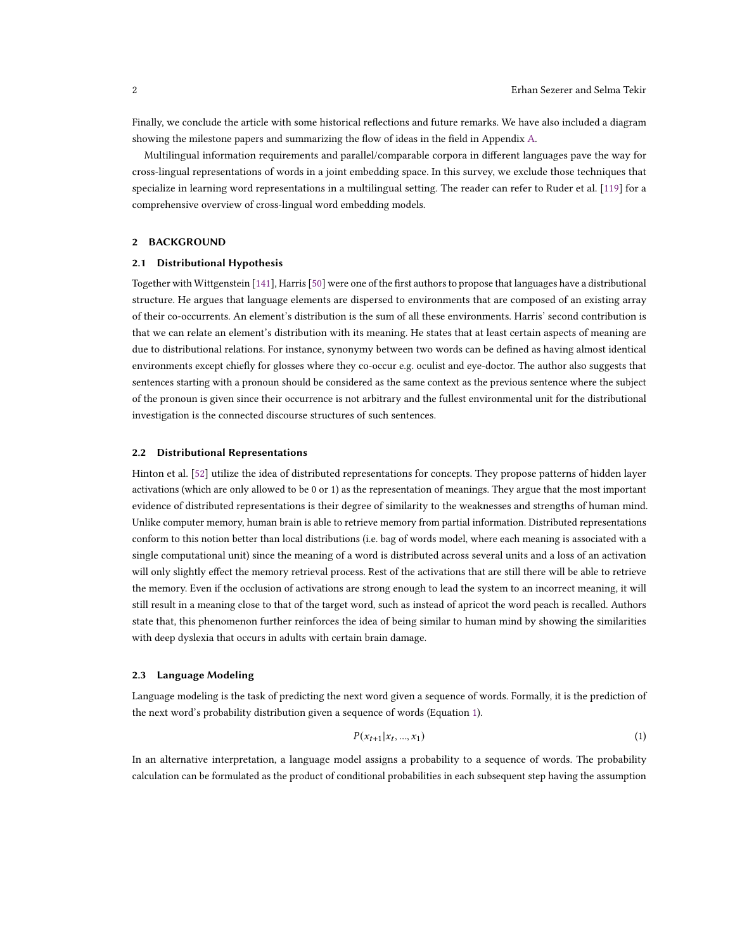Finally, we conclude the article with some historical reflections and future remarks. We have also included a diagram showing the milestone papers and summarizing the flow of ideas in the field in Appendix [A.](#page-31-0)

Multilingual information requirements and parallel/comparable corpora in different languages pave the way for cross-lingual representations of words in a joint embedding space. In this survey, we exclude those techniques that specialize in learning word representations in a multilingual setting. The reader can refer to Ruder et al. [\[119\]](#page-29-1) for a comprehensive overview of cross-lingual word embedding models.

# 2 BACKGROUND

## 2.1 Distributional Hypothesis

Together with Wittgenstein [\[141\]](#page-30-2), Harris[\[50\]](#page-26-1) were one of the first authors to propose that languages have a distributional structure. He argues that language elements are dispersed to environments that are composed of an existing array of their co-occurrents. An element's distribution is the sum of all these environments. Harris' second contribution is that we can relate an element's distribution with its meaning. He states that at least certain aspects of meaning are due to distributional relations. For instance, synonymy between two words can be defined as having almost identical environments except chiefly for glosses where they co-occur e.g. oculist and eye-doctor. The author also suggests that sentences starting with a pronoun should be considered as the same context as the previous sentence where the subject of the pronoun is given since their occurrence is not arbitrary and the fullest environmental unit for the distributional investigation is the connected discourse structures of such sentences.

### 2.2 Distributional Representations

Hinton et al. [\[52\]](#page-26-2) utilize the idea of distributed representations for concepts. They propose patterns of hidden layer activations (which are only allowed to be 0 or 1) as the representation of meanings. They argue that the most important evidence of distributed representations is their degree of similarity to the weaknesses and strengths of human mind. Unlike computer memory, human brain is able to retrieve memory from partial information. Distributed representations conform to this notion better than local distributions (i.e. bag of words model, where each meaning is associated with a single computational unit) since the meaning of a word is distributed across several units and a loss of an activation will only slightly effect the memory retrieval process. Rest of the activations that are still there will be able to retrieve the memory. Even if the occlusion of activations are strong enough to lead the system to an incorrect meaning, it will still result in a meaning close to that of the target word, such as instead of apricot the word peach is recalled. Authors state that, this phenomenon further reinforces the idea of being similar to human mind by showing the similarities with deep dyslexia that occurs in adults with certain brain damage.

### 2.3 Language Modeling

Language modeling is the task of predicting the next word given a sequence of words. Formally, it is the prediction of the next word's probability distribution given a sequence of words (Equation [1\)](#page-1-0).

<span id="page-1-0"></span>
$$
P(x_{t+1}|x_t,...,x_1) \tag{1}
$$

In an alternative interpretation, a language model assigns a probability to a sequence of words. The probability calculation can be formulated as the product of conditional probabilities in each subsequent step having the assumption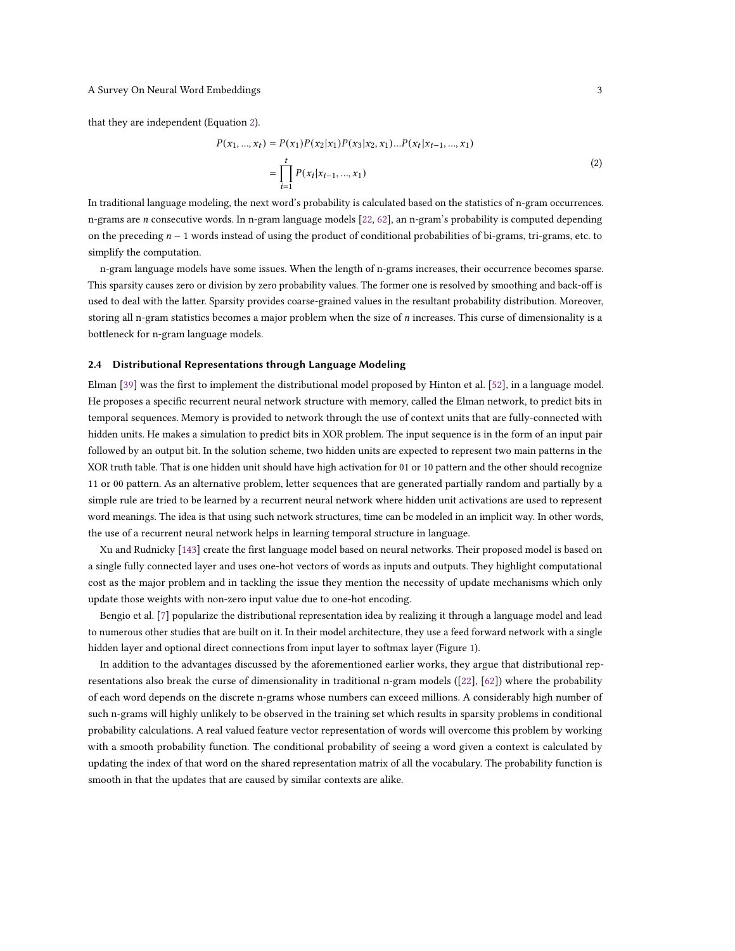<span id="page-2-0"></span>that they are independent (Equation [2\)](#page-2-0).

$$
P(x_1, ..., x_t) = P(x_1)P(x_2|x_1)P(x_3|x_2, x_1)...P(x_t|x_{t-1}, ..., x_1)
$$
  
= 
$$
\prod_{i=1}^t P(x_i|x_{i-1}, ..., x_1)
$$
 (2)

In traditional language modeling, the next word's probability is calculated based on the statistics of n-gram occurrences. n-grams are *n* consecutive words. In n-gram language models  $[22, 62]$  $[22, 62]$  $[22, 62]$ , an n-gram's probability is computed depending on the preceding  $n - 1$  words instead of using the product of conditional probabilities of bi-grams, tri-grams, etc. to simplify the computation.

n-gram language models have some issues. When the length of n-grams increases, their occurrence becomes sparse. This sparsity causes zero or division by zero probability values. The former one is resolved by smoothing and back-off is used to deal with the latter. Sparsity provides coarse-grained values in the resultant probability distribution. Moreover, storing all n-gram statistics becomes a major problem when the size of  $n$  increases. This curse of dimensionality is a bottleneck for n-gram language models.

## 2.4 Distributional Representations through Language Modeling

Elman [\[39\]](#page-26-3) was the first to implement the distributional model proposed by Hinton et al. [\[52\]](#page-26-2), in a language model. He proposes a specific recurrent neural network structure with memory, called the Elman network, to predict bits in temporal sequences. Memory is provided to network through the use of context units that are fully-connected with hidden units. He makes a simulation to predict bits in XOR problem. The input sequence is in the form of an input pair followed by an output bit. In the solution scheme, two hidden units are expected to represent two main patterns in the XOR truth table. That is one hidden unit should have high activation for 01 or 10 pattern and the other should recognize 11 or 00 pattern. As an alternative problem, letter sequences that are generated partially random and partially by a simple rule are tried to be learned by a recurrent neural network where hidden unit activations are used to represent word meanings. The idea is that using such network structures, time can be modeled in an implicit way. In other words, the use of a recurrent neural network helps in learning temporal structure in language.

Xu and Rudnicky [\[143\]](#page-30-3) create the first language model based on neural networks. Their proposed model is based on a single fully connected layer and uses one-hot vectors of words as inputs and outputs. They highlight computational cost as the major problem and in tackling the issue they mention the necessity of update mechanisms which only update those weights with non-zero input value due to one-hot encoding.

Bengio et al. [\[7\]](#page-24-0) popularize the distributional representation idea by realizing it through a language model and lead to numerous other studies that are built on it. In their model architecture, they use a feed forward network with a single hidden layer and optional direct connections from input layer to softmax layer (Figure [1\)](#page-3-0).

In addition to the advantages discussed by the aforementioned earlier works, they argue that distributional representations also break the curse of dimensionality in traditional n-gram models ([\[22\]](#page-25-0), [\[62\]](#page-27-4)) where the probability of each word depends on the discrete n-grams whose numbers can exceed millions. A considerably high number of such n-grams will highly unlikely to be observed in the training set which results in sparsity problems in conditional probability calculations. A real valued feature vector representation of words will overcome this problem by working with a smooth probability function. The conditional probability of seeing a word given a context is calculated by updating the index of that word on the shared representation matrix of all the vocabulary. The probability function is smooth in that the updates that are caused by similar contexts are alike.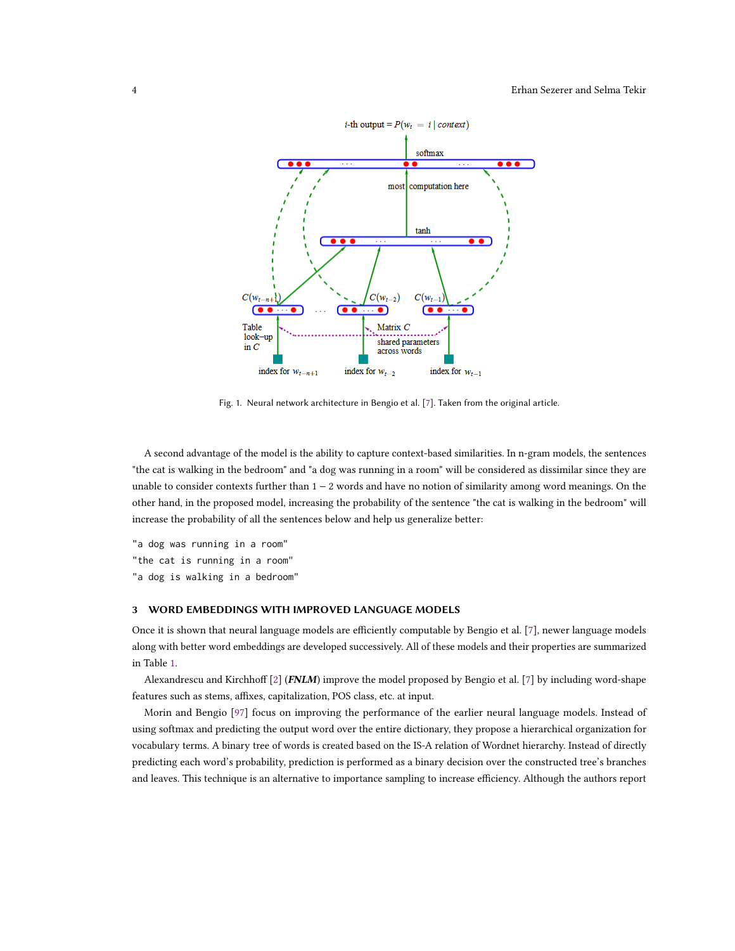<span id="page-3-0"></span>

Fig. 1. Neural network architecture in Bengio et al. [\[7\]](#page-24-0). Taken from the original article.

A second advantage of the model is the ability to capture context-based similarities. In n-gram models, the sentences "the cat is walking in the bedroom" and "a dog was running in a room" will be considered as dissimilar since they are unable to consider contexts further than 1 − 2 words and have no notion of similarity among word meanings. On the other hand, in the proposed model, increasing the probability of the sentence "the cat is walking in the bedroom" will increase the probability of all the sentences below and help us generalize better:

"a dog was running in a room" "the cat is running in a room" "a dog is walking in a bedroom"

## 3 WORD EMBEDDINGS WITH IMPROVED LANGUAGE MODELS

Once it is shown that neural language models are efficiently computable by Bengio et al. [\[7\]](#page-24-0), newer language models along with better word embeddings are developed successively. All of these models and their properties are summarized in Table [1.](#page-5-0)

Alexandrescu and Kirchhoff [\[2\]](#page-24-1) (FNLM) improve the model proposed by Bengio et al. [\[7\]](#page-24-0) by including word-shape features such as stems, affixes, capitalization, POS class, etc. at input.

Morin and Bengio [\[97\]](#page-28-0) focus on improving the performance of the earlier neural language models. Instead of using softmax and predicting the output word over the entire dictionary, they propose a hierarchical organization for vocabulary terms. A binary tree of words is created based on the IS-A relation of Wordnet hierarchy. Instead of directly predicting each word's probability, prediction is performed as a binary decision over the constructed tree's branches and leaves. This technique is an alternative to importance sampling to increase efficiency. Although the authors report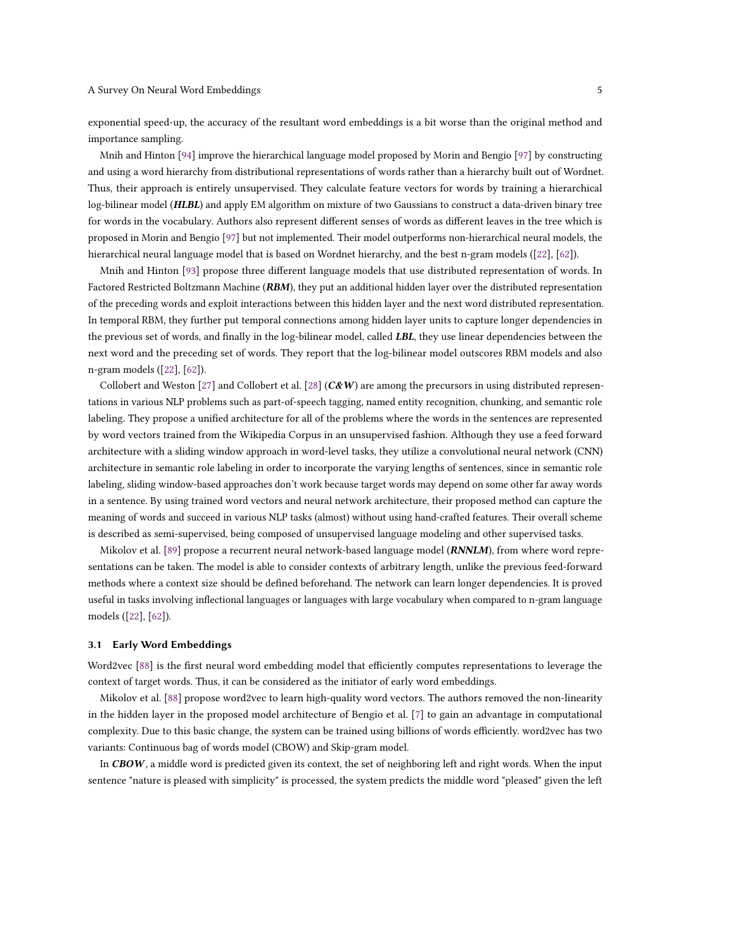exponential speed-up, the accuracy of the resultant word embeddings is a bit worse than the original method and importance sampling.

Mnih and Hinton [\[94\]](#page-28-1) improve the hierarchical language model proposed by Morin and Bengio [\[97\]](#page-28-0) by constructing and using a word hierarchy from distributional representations of words rather than a hierarchy built out of Wordnet. Thus, their approach is entirely unsupervised. They calculate feature vectors for words by training a hierarchical log-bilinear model (HLBL) and apply EM algorithm on mixture of two Gaussians to construct a data-driven binary tree for words in the vocabulary. Authors also represent different senses of words as different leaves in the tree which is proposed in Morin and Bengio [\[97\]](#page-28-0) but not implemented. Their model outperforms non-hierarchical neural models, the hierarchical neural language model that is based on Wordnet hierarchy, and the best n-gram models ([\[22\]](#page-25-0), [\[62\]](#page-27-4)).

Mnih and Hinton [\[93\]](#page-28-2) propose three different language models that use distributed representation of words. In Factored Restricted Boltzmann Machine (RBM), they put an additional hidden layer over the distributed representation of the preceding words and exploit interactions between this hidden layer and the next word distributed representation. In temporal RBM, they further put temporal connections among hidden layer units to capture longer dependencies in the previous set of words, and finally in the log-bilinear model, called LBL, they use linear dependencies between the next word and the preceding set of words. They report that the log-bilinear model outscores RBM models and also n-gram models ([\[22\]](#page-25-0), [\[62\]](#page-27-4)).

Collobert and Weston [\[27\]](#page-25-1) and Collobert et al. [\[28\]](#page-25-2)  $(C&W)$  are among the precursors in using distributed representations in various NLP problems such as part-of-speech tagging, named entity recognition, chunking, and semantic role labeling. They propose a unified architecture for all of the problems where the words in the sentences are represented by word vectors trained from the Wikipedia Corpus in an unsupervised fashion. Although they use a feed forward architecture with a sliding window approach in word-level tasks, they utilize a convolutional neural network (CNN) architecture in semantic role labeling in order to incorporate the varying lengths of sentences, since in semantic role labeling, sliding window-based approaches don't work because target words may depend on some other far away words in a sentence. By using trained word vectors and neural network architecture, their proposed method can capture the meaning of words and succeed in various NLP tasks (almost) without using hand-crafted features. Their overall scheme is described as semi-supervised, being composed of unsupervised language modeling and other supervised tasks.

Mikolov et al. [\[89\]](#page-28-3) propose a recurrent neural network-based language model (*RNNLM*), from where word representations can be taken. The model is able to consider contexts of arbitrary length, unlike the previous feed-forward methods where a context size should be defined beforehand. The network can learn longer dependencies. It is proved useful in tasks involving inflectional languages or languages with large vocabulary when compared to n-gram language models ([\[22\]](#page-25-0), [\[62\]](#page-27-4)).

### 3.1 Early Word Embeddings

Word2vec [\[88\]](#page-28-4) is the first neural word embedding model that efficiently computes representations to leverage the context of target words. Thus, it can be considered as the initiator of early word embeddings.

Mikolov et al. [\[88\]](#page-28-4) propose word2vec to learn high-quality word vectors. The authors removed the non-linearity in the hidden layer in the proposed model architecture of Bengio et al. [\[7\]](#page-24-0) to gain an advantage in computational complexity. Due to this basic change, the system can be trained using billions of words efficiently. word2vec has two variants: Continuous bag of words model (CBOW) and Skip-gram model.

In  $CBOW$ , a middle word is predicted given its context, the set of neighboring left and right words. When the input sentence "nature is pleased with simplicity" is processed, the system predicts the middle word "pleased" given the left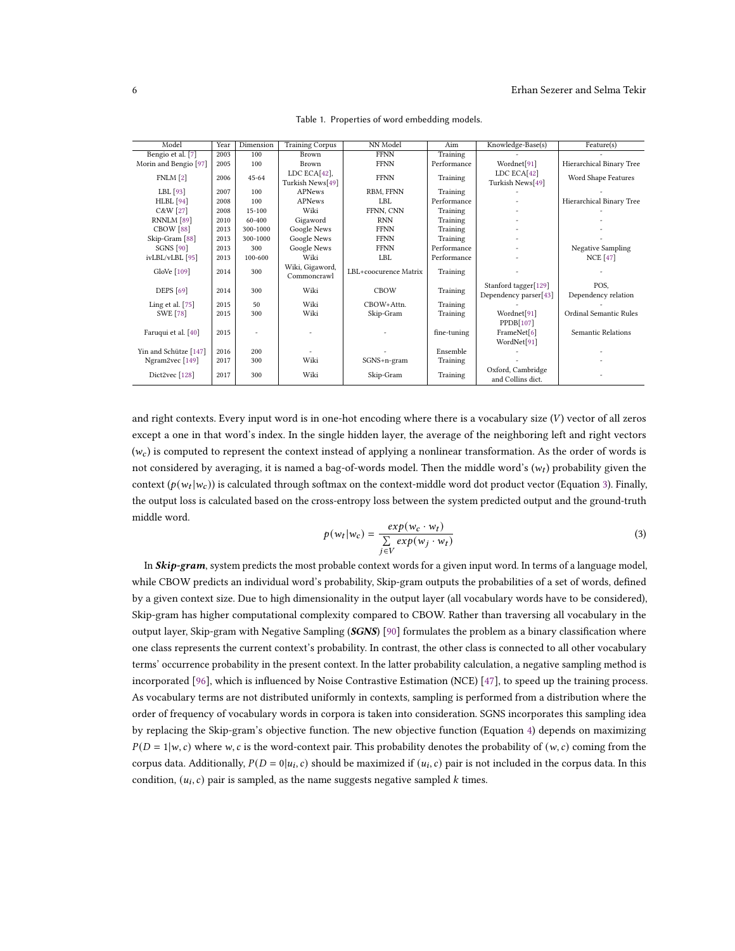<span id="page-5-0"></span>

| Model                     | Year | Dimension  | <b>Training Corpus</b>         | NN Model              | Aim         | Knowledge-Base(s)       | Feature(s)               |
|---------------------------|------|------------|--------------------------------|-----------------------|-------------|-------------------------|--------------------------|
| Bengio et al. [7]         | 2003 | 100        | Brown                          | <b>FFNN</b>           | Training    |                         |                          |
| Morin and Bengio [97]     | 2005 | 100        | Brown                          | <b>FFNN</b>           | Performance | Wordnet <sup>[91]</sup> | Hierarchical Binary Tree |
| FNLM <sub>[2]</sub>       | 2006 | $45 - 64$  | LDC $ECA[42]$ ,                | <b>FFNN</b>           | Training    | LDC ECA[42]             | Word Shape Features      |
|                           |      |            | Turkish News[49]               |                       |             | Turkish News[49]        |                          |
| LBL $[93]$                | 2007 | 100        | <b>APNews</b>                  | RBM, FFNN             | Training    |                         |                          |
| $HLBL$ [94]               | 2008 | 100        | <b>APNews</b>                  | LBL                   | Performance |                         | Hierarchical Binary Tree |
| C&W [27]                  | 2008 | $15 - 100$ | Wiki                           | FFNN. CNN             | Training    |                         |                          |
| RNNLM [89]                | 2010 | 60-400     | Gigaword                       | <b>RNN</b>            | Training    |                         |                          |
| CBOW [88]                 | 2013 | 300-1000   | Google News                    | <b>FFNN</b>           | Training    |                         |                          |
| Skip-Gram <sup>[88]</sup> | 2013 | 300-1000   | Google News                    | <b>FFNN</b>           | Training    |                         |                          |
| <b>SGNS</b> [90]          | 2013 | 300        | Google News                    | <b>FFNN</b>           | Performance |                         | <b>Negative Sampling</b> |
| ivLBL/vLBL [95]           | 2013 | 100-600    | Wiki                           | LBL                   | Performance |                         | <b>NCE</b> [47]          |
| GloVe $[109]$             | 2014 | 300        | Wiki, Gigaword,<br>Commoncrawl | LBL+coocurence Matrix | Training    |                         |                          |
| <b>DEPS</b> [69]          | 2014 | 300        | Wiki                           | <b>CBOW</b>           | Training    | Stanford tagger[129]    | POS.                     |
|                           |      |            |                                |                       |             | Dependency parser[43]   | Dependency relation      |
| Ling et al. $[75]$        | 2015 | 50         | Wiki                           | CBOW+Attn.            | Training    |                         |                          |
| <b>SWE</b> [78]           | 2015 | 300        | Wiki                           | Skip-Gram             | Training    | Wordnet <sup>[91]</sup> | Ordinal Semantic Rules   |
|                           |      |            |                                |                       |             | PPDB[107]               |                          |
| Faruqui et al. [40]       | 2015 |            |                                |                       | fine-tuning | FrameNet[6]             | Semantic Relations       |
|                           |      |            |                                |                       |             | WordNet[91]             |                          |
| Yin and Schütze [147]     | 2016 | 200        |                                |                       | Ensemble    |                         |                          |
| Ngram2vec [149]           | 2017 | 300        | Wiki                           | SGNS+n-gram           | Training    |                         |                          |
| Dict2vec [128]            | 2017 | 300        | Wiki                           | Skip-Gram             | Training    | Oxford, Cambridge       |                          |
|                           |      |            |                                |                       |             | and Collins dict.       |                          |

Table 1. Properties of word embedding models.

and right contexts. Every input word is in one-hot encoding where there is a vocabulary size  $(V)$  vector of all zeros except a one in that word's index. In the single hidden layer, the average of the neighboring left and right vectors  $(w<sub>c</sub>)$  is computed to represent the context instead of applying a nonlinear transformation. As the order of words is not considered by averaging, it is named a bag-of-words model. Then the middle word's  $(w_t)$  probability given the context ( $p(w_t|w_c)$ ) is calculated through softmax on the context-middle word dot product vector (Equation [3\)](#page-5-1). Finally, the output loss is calculated based on the cross-entropy loss between the system predicted output and the ground-truth middle word.

<span id="page-5-1"></span>
$$
p(w_t|w_c) = \frac{\exp(w_c \cdot w_t)}{\sum\limits_{j \in V} \exp(w_j \cdot w_t)}
$$
\n(3)

In  $\mathcal{S}kip\text{-}gram$ , system predicts the most probable context words for a given input word. In terms of a language model, while CBOW predicts an individual word's probability, Skip-gram outputs the probabilities of a set of words, defined by a given context size. Due to high dimensionality in the output layer (all vocabulary words have to be considered), Skip-gram has higher computational complexity compared to CBOW. Rather than traversing all vocabulary in the output layer, Skip-gram with Negative Sampling (SGNS) [\[90\]](#page-28-6) formulates the problem as a binary classification where one class represents the current context's probability. In contrast, the other class is connected to all other vocabulary terms' occurrence probability in the present context. In the latter probability calculation, a negative sampling method is incorporated [\[96\]](#page-28-8), which is influenced by Noise Contrastive Estimation (NCE) [\[47\]](#page-26-6), to speed up the training process. As vocabulary terms are not distributed uniformly in contexts, sampling is performed from a distribution where the order of frequency of vocabulary words in corpora is taken into consideration. SGNS incorporates this sampling idea by replacing the Skip-gram's objective function. The new objective function (Equation [4\)](#page-6-0) depends on maximizing  $P(D = 1|w, c)$  where w, c is the word-context pair. This probability denotes the probability of  $(w, c)$  coming from the corpus data. Additionally,  $P(D = 0 | u_i, c)$  should be maximized if  $(u_i, c)$  pair is not included in the corpus data. In this condition,  $(u_i, c)$  pair is sampled, as the name suggests negative sampled  $k$  times.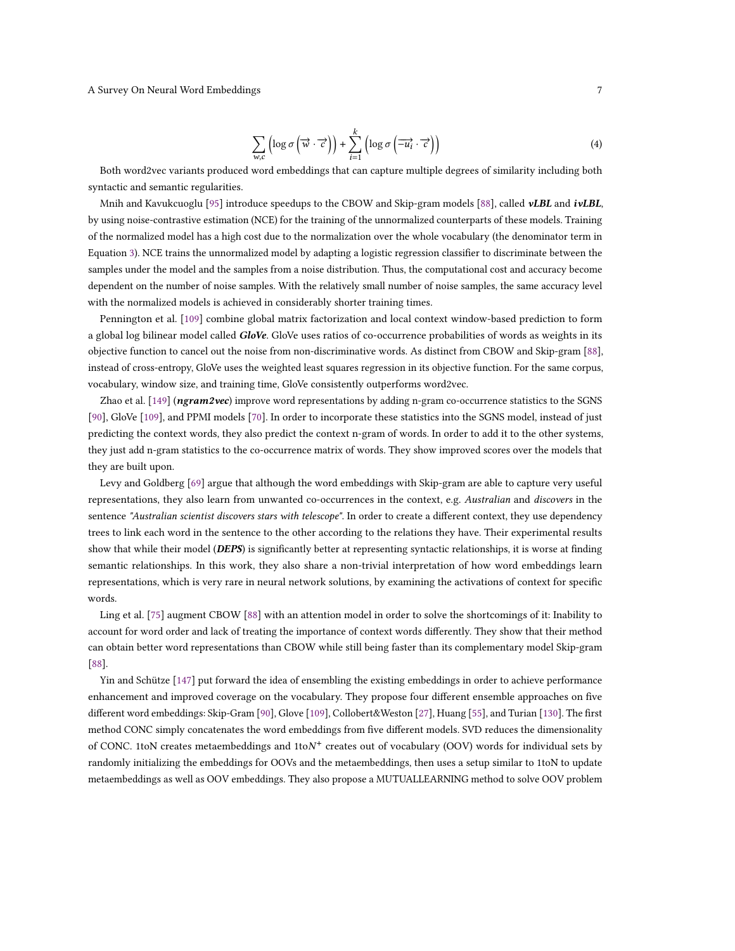<span id="page-6-0"></span>
$$
\sum_{w,c} \left( \log \sigma \left( \overrightarrow{w} \cdot \overrightarrow{c} \right) \right) + \sum_{i=1}^{k} \left( \log \sigma \left( \overrightarrow{-u_i} \cdot \overrightarrow{c} \right) \right)
$$
(4)

Both word2vec variants produced word embeddings that can capture multiple degrees of similarity including both syntactic and semantic regularities.

Mnih and Kavukcuoglu [\[95\]](#page-28-7) introduce speedups to the CBOW and Skip-gram models [\[88\]](#page-28-4), called vLBL and ivLBL, by using noise-contrastive estimation (NCE) for the training of the unnormalized counterparts of these models. Training of the normalized model has a high cost due to the normalization over the whole vocabulary (the denominator term in Equation [3\)](#page-5-1). NCE trains the unnormalized model by adapting a logistic regression classifier to discriminate between the samples under the model and the samples from a noise distribution. Thus, the computational cost and accuracy become dependent on the number of noise samples. With the relatively small number of noise samples, the same accuracy level with the normalized models is achieved in considerably shorter training times.

Pennington et al. [\[109\]](#page-29-2) combine global matrix factorization and local context window-based prediction to form a global log bilinear model called GloVe. GloVe uses ratios of co-occurrence probabilities of words as weights in its objective function to cancel out the noise from non-discriminative words. As distinct from CBOW and Skip-gram [\[88\]](#page-28-4), instead of cross-entropy, GloVe uses the weighted least squares regression in its objective function. For the same corpus, vocabulary, window size, and training time, GloVe consistently outperforms word2vec.

Zhao et al. [\[149\]](#page-30-6) (ngram2vec) improve word representations by adding n-gram co-occurrence statistics to the SGNS [\[90\]](#page-28-6), GloVe [\[109\]](#page-29-2), and PPMI models [\[70\]](#page-27-8). In order to incorporate these statistics into the SGNS model, instead of just predicting the context words, they also predict the context n-gram of words. In order to add it to the other systems, they just add n-gram statistics to the co-occurrence matrix of words. They show improved scores over the models that they are built upon.

Levy and Goldberg [\[69\]](#page-27-5) argue that although the word embeddings with Skip-gram are able to capture very useful representations, they also learn from unwanted co-occurrences in the context, e.g. Australian and discovers in the sentence "Australian scientist discovers stars with telescope". In order to create a different context, they use dependency trees to link each word in the sentence to the other according to the relations they have. Their experimental results show that while their model (DEPS) is significantly better at representing syntactic relationships, it is worse at finding semantic relationships. In this work, they also share a non-trivial interpretation of how word embeddings learn representations, which is very rare in neural network solutions, by examining the activations of context for specific words.

Ling et al. [\[75\]](#page-27-6) augment CBOW [\[88\]](#page-28-4) with an attention model in order to solve the shortcomings of it: Inability to account for word order and lack of treating the importance of context words differently. They show that their method can obtain better word representations than CBOW while still being faster than its complementary model Skip-gram [\[88\]](#page-28-4).

Yin and Schütze [\[147\]](#page-30-5) put forward the idea of ensembling the existing embeddings in order to achieve performance enhancement and improved coverage on the vocabulary. They propose four different ensemble approaches on five different word embeddings: Skip-Gram [\[90\]](#page-28-6), Glove [\[109\]](#page-29-2), Collobert&Weston [\[27\]](#page-25-1), Huang [\[55\]](#page-26-9), and Turian [\[130\]](#page-30-7). The first method CONC simply concatenates the word embeddings from five different models. SVD reduces the dimensionality of CONC. 1toN creates metaembeddings and 1toN<sup>+</sup> creates out of vocabulary (OOV) words for individual sets by randomly initializing the embeddings for OOVs and the metaembeddings, then uses a setup similar to 1toN to update metaembeddings as well as OOV embeddings. They also propose a MUTUALLEARNING method to solve OOV problem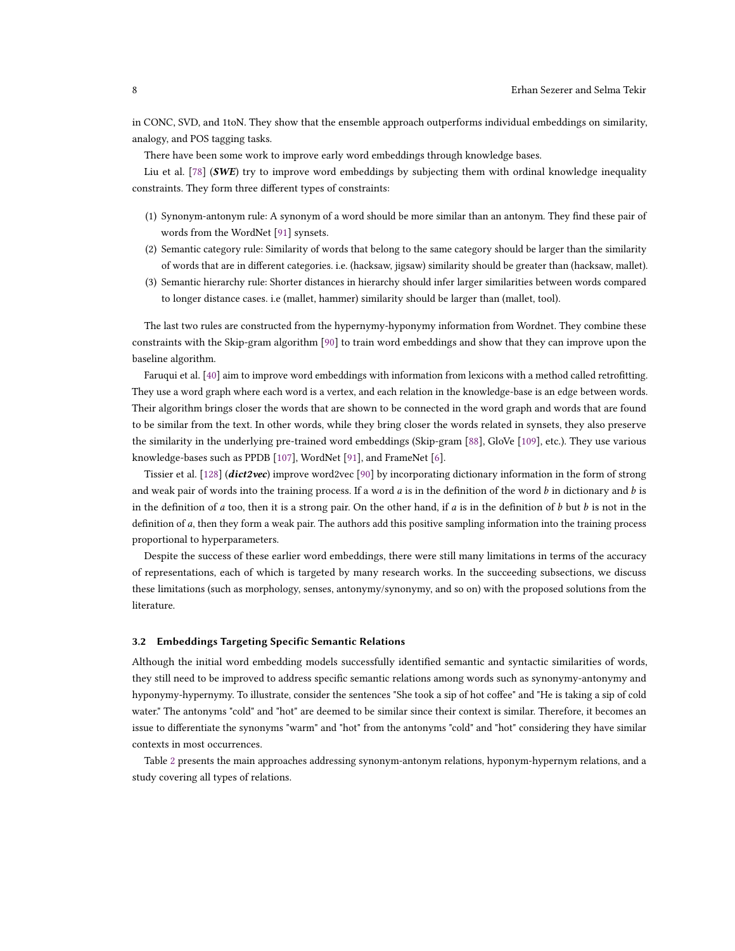in CONC, SVD, and 1toN. They show that the ensemble approach outperforms individual embeddings on similarity, analogy, and POS tagging tasks.

There have been some work to improve early word embeddings through knowledge bases.

Liu et al. [\[78\]](#page-27-7) (SWE) try to improve word embeddings by subjecting them with ordinal knowledge inequality constraints. They form three different types of constraints:

- (1) Synonym-antonym rule: A synonym of a word should be more similar than an antonym. They find these pair of words from the WordNet [\[91\]](#page-28-5) synsets.
- (2) Semantic category rule: Similarity of words that belong to the same category should be larger than the similarity of words that are in different categories. i.e. (hacksaw, jigsaw) similarity should be greater than (hacksaw, mallet).
- (3) Semantic hierarchy rule: Shorter distances in hierarchy should infer larger similarities between words compared to longer distance cases. i.e (mallet, hammer) similarity should be larger than (mallet, tool).

The last two rules are constructed from the hypernymy-hyponymy information from Wordnet. They combine these constraints with the Skip-gram algorithm [\[90\]](#page-28-6) to train word embeddings and show that they can improve upon the baseline algorithm.

Faruqui et al. [\[40\]](#page-26-8) aim to improve word embeddings with information from lexicons with a method called retrofitting. They use a word graph where each word is a vertex, and each relation in the knowledge-base is an edge between words. Their algorithm brings closer the words that are shown to be connected in the word graph and words that are found to be similar from the text. In other words, while they bring closer the words related in synsets, they also preserve the similarity in the underlying pre-trained word embeddings (Skip-gram [\[88\]](#page-28-4), GloVe [\[109\]](#page-29-2), etc.). They use various knowledge-bases such as PPDB [\[107\]](#page-29-3), WordNet [\[91\]](#page-28-5), and FrameNet [\[6\]](#page-24-2).

Tissier et al. [\[128\]](#page-29-4) (*dict2vec*) improve word2vec [\[90\]](#page-28-6) by incorporating dictionary information in the form of strong and weak pair of words into the training process. If a word  $a$  is in the definition of the word  $b$  in dictionary and  $b$  is in the definition of a too, then it is a strong pair. On the other hand, if a is in the definition of  $b$  but  $b$  is not in the definition of a, then they form a weak pair. The authors add this positive sampling information into the training process proportional to hyperparameters.

Despite the success of these earlier word embeddings, there were still many limitations in terms of the accuracy of representations, each of which is targeted by many research works. In the succeeding subsections, we discuss these limitations (such as morphology, senses, antonymy/synonymy, and so on) with the proposed solutions from the literature.

### 3.2 Embeddings Targeting Specific Semantic Relations

Although the initial word embedding models successfully identified semantic and syntactic similarities of words, they still need to be improved to address specific semantic relations among words such as synonymy-antonymy and hyponymy-hypernymy. To illustrate, consider the sentences "She took a sip of hot coffee" and "He is taking a sip of cold water." The antonyms "cold" and "hot" are deemed to be similar since their context is similar. Therefore, it becomes an issue to differentiate the synonyms "warm" and "hot" from the antonyms "cold" and "hot" considering they have similar contexts in most occurrences.

Table [2](#page-8-0) presents the main approaches addressing synonym-antonym relations, hyponym-hypernym relations, and a study covering all types of relations.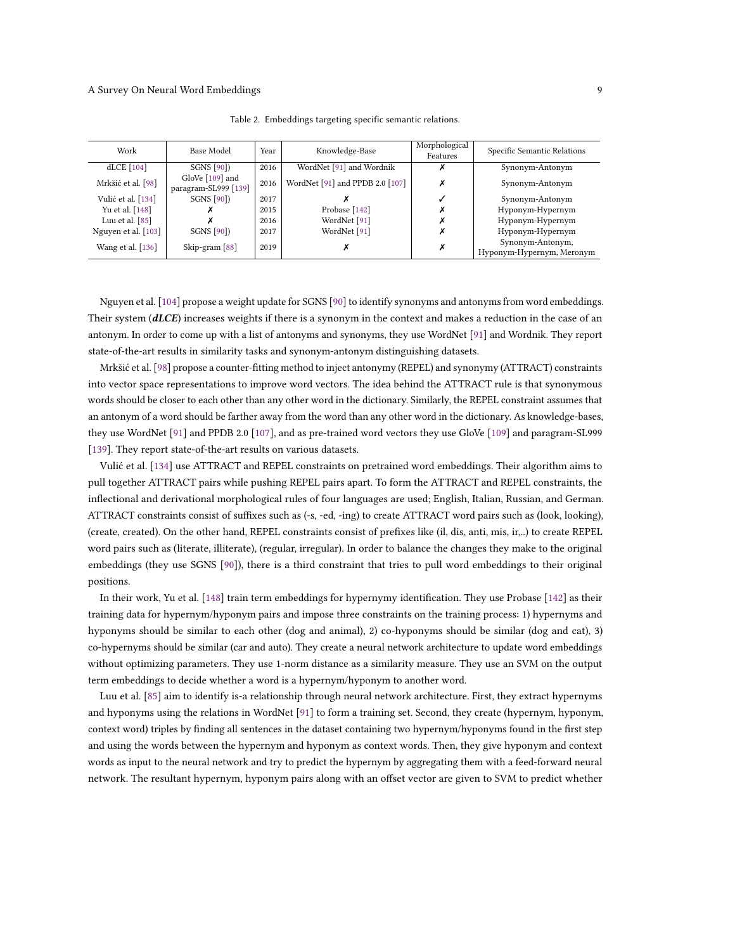<span id="page-8-0"></span>

| Work                | Base Model                                | Year | Knowledge-Base                  | Morphological<br>Features | Specific Semantic Relations                   |
|---------------------|-------------------------------------------|------|---------------------------------|---------------------------|-----------------------------------------------|
| dLCE [104]          | <b>SGNS</b> [90])                         | 2016 | WordNet [91] and Wordnik        |                           | Synonym-Antonym                               |
| Mrkšić et al. [98]  | GloVe $[109]$ and<br>paragram-SL999 [139] | 2016 | WordNet [91] and PPDB 2.0 [107] |                           | Synonym-Antonym                               |
| Vulić et al. [134]  | <b>SGNS</b> [90])                         | 2017 |                                 |                           | Synonym-Antonym                               |
| Yu et al. [148]     |                                           | 2015 | Probase [142]                   |                           | Hyponym-Hypernym                              |
| Luu et al. $[85]$   |                                           | 2016 | WordNet [91]                    |                           | Hyponym-Hypernym                              |
| Nguyen et al. [103] | SGNS [90])                                | 2017 | WordNet [91]                    |                           | Hyponym-Hypernym                              |
| Wang et al. [136]   | Skip-gram [88]                            | 2019 |                                 | х                         | Synonym-Antonym,<br>Hyponym-Hypernym, Meronym |

Table 2. Embeddings targeting specific semantic relations.

Nguyen et al. [\[104\]](#page-28-9) propose a weight update for SGNS [\[90\]](#page-28-6) to identify synonyms and antonyms from word embeddings. Their system  $(dLCE)$  increases weights if there is a synonym in the context and makes a reduction in the case of an antonym. In order to come up with a list of antonyms and synonyms, they use WordNet [\[91\]](#page-28-5) and Wordnik. They report state-of-the-art results in similarity tasks and synonym-antonym distinguishing datasets.

Mrkšić et al. [\[98\]](#page-28-10) propose a counter-fitting method to inject antonymy (REPEL) and synonymy (ATTRACT) constraints into vector space representations to improve word vectors. The idea behind the ATTRACT rule is that synonymous words should be closer to each other than any other word in the dictionary. Similarly, the REPEL constraint assumes that an antonym of a word should be farther away from the word than any other word in the dictionary. As knowledge-bases, they use WordNet [\[91\]](#page-28-5) and PPDB 2.0 [\[107\]](#page-29-3), and as pre-trained word vectors they use GloVe [\[109\]](#page-29-2) and paragram-SL999 [\[139\]](#page-30-8). They report state-of-the-art results on various datasets.

Vulić et al. [\[134\]](#page-30-9) use ATTRACT and REPEL constraints on pretrained word embeddings. Their algorithm aims to pull together ATTRACT pairs while pushing REPEL pairs apart. To form the ATTRACT and REPEL constraints, the inflectional and derivational morphological rules of four languages are used; English, Italian, Russian, and German. ATTRACT constraints consist of suffixes such as (-s, -ed, -ing) to create ATTRACT word pairs such as (look, looking), (create, created). On the other hand, REPEL constraints consist of prefixes like (il, dis, anti, mis, ir,..) to create REPEL word pairs such as (literate, illiterate), (regular, irregular). In order to balance the changes they make to the original embeddings (they use SGNS [\[90\]](#page-28-6)), there is a third constraint that tries to pull word embeddings to their original positions.

In their work, Yu et al. [\[148\]](#page-30-10) train term embeddings for hypernymy identification. They use Probase [\[142\]](#page-30-11) as their training data for hypernym/hyponym pairs and impose three constraints on the training process: 1) hypernyms and hyponyms should be similar to each other (dog and animal), 2) co-hyponyms should be similar (dog and cat), 3) co-hypernyms should be similar (car and auto). They create a neural network architecture to update word embeddings without optimizing parameters. They use 1-norm distance as a similarity measure. They use an SVM on the output term embeddings to decide whether a word is a hypernym/hyponym to another word.

Luu et al. [\[85\]](#page-28-11) aim to identify is-a relationship through neural network architecture. First, they extract hypernyms and hyponyms using the relations in WordNet [\[91\]](#page-28-5) to form a training set. Second, they create (hypernym, hyponym, context word) triples by finding all sentences in the dataset containing two hypernym/hyponyms found in the first step and using the words between the hypernym and hyponym as context words. Then, they give hyponym and context words as input to the neural network and try to predict the hypernym by aggregating them with a feed-forward neural network. The resultant hypernym, hyponym pairs along with an offset vector are given to SVM to predict whether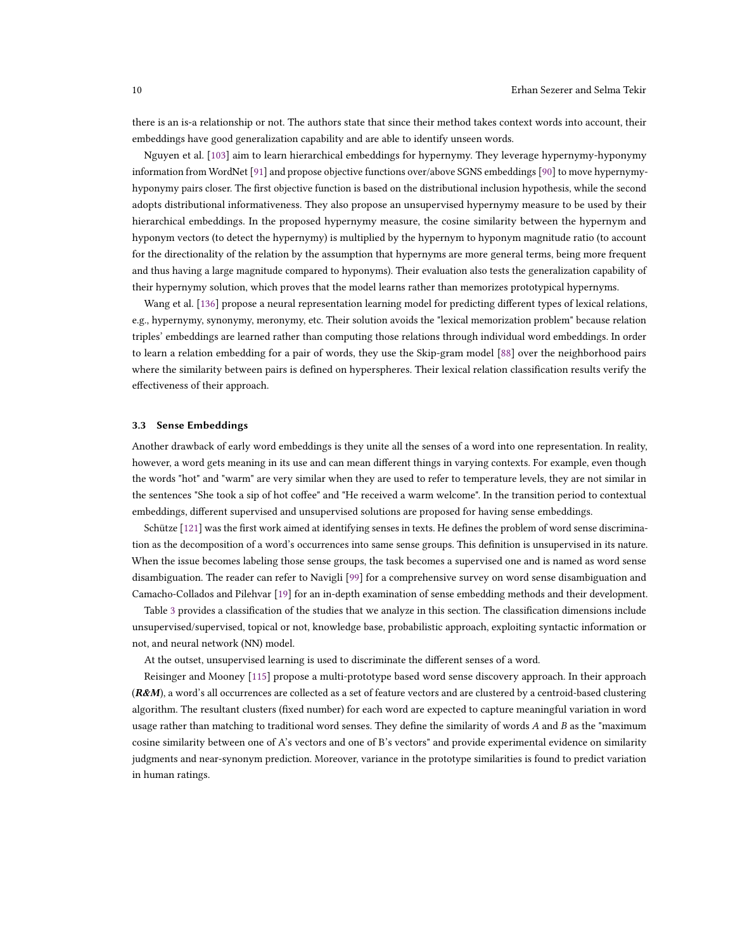there is an is-a relationship or not. The authors state that since their method takes context words into account, their embeddings have good generalization capability and are able to identify unseen words.

Nguyen et al. [\[103\]](#page-28-12) aim to learn hierarchical embeddings for hypernymy. They leverage hypernymy-hyponymy information from WordNet [\[91\]](#page-28-5) and propose objective functions over/above SGNS embeddings [\[90\]](#page-28-6) to move hypernymyhyponymy pairs closer. The first objective function is based on the distributional inclusion hypothesis, while the second adopts distributional informativeness. They also propose an unsupervised hypernymy measure to be used by their hierarchical embeddings. In the proposed hypernymy measure, the cosine similarity between the hypernym and hyponym vectors (to detect the hypernymy) is multiplied by the hypernym to hyponym magnitude ratio (to account for the directionality of the relation by the assumption that hypernyms are more general terms, being more frequent and thus having a large magnitude compared to hyponyms). Their evaluation also tests the generalization capability of their hypernymy solution, which proves that the model learns rather than memorizes prototypical hypernyms.

Wang et al. [\[136\]](#page-30-12) propose a neural representation learning model for predicting different types of lexical relations, e.g., hypernymy, synonymy, meronymy, etc. Their solution avoids the "lexical memorization problem" because relation triples' embeddings are learned rather than computing those relations through individual word embeddings. In order to learn a relation embedding for a pair of words, they use the Skip-gram model [\[88\]](#page-28-4) over the neighborhood pairs where the similarity between pairs is defined on hyperspheres. Their lexical relation classification results verify the effectiveness of their approach.

#### 3.3 Sense Embeddings

Another drawback of early word embeddings is they unite all the senses of a word into one representation. In reality, however, a word gets meaning in its use and can mean different things in varying contexts. For example, even though the words "hot" and "warm" are very similar when they are used to refer to temperature levels, they are not similar in the sentences "She took a sip of hot coffee" and "He received a warm welcome". In the transition period to contextual embeddings, different supervised and unsupervised solutions are proposed for having sense embeddings.

Schütze [\[121\]](#page-29-5) was the first work aimed at identifying senses in texts. He defines the problem of word sense discrimination as the decomposition of a word's occurrences into same sense groups. This definition is unsupervised in its nature. When the issue becomes labeling those sense groups, the task becomes a supervised one and is named as word sense disambiguation. The reader can refer to Navigli [\[99\]](#page-28-13) for a comprehensive survey on word sense disambiguation and Camacho-Collados and Pilehvar [\[19\]](#page-25-3) for an in-depth examination of sense embedding methods and their development.

Table [3](#page-10-0) provides a classification of the studies that we analyze in this section. The classification dimensions include unsupervised/supervised, topical or not, knowledge base, probabilistic approach, exploiting syntactic information or not, and neural network (NN) model.

At the outset, unsupervised learning is used to discriminate the different senses of a word.

Reisinger and Mooney [\[115\]](#page-29-6) propose a multi-prototype based word sense discovery approach. In their approach  $(R&M)$ , a word's all occurrences are collected as a set of feature vectors and are clustered by a centroid-based clustering algorithm. The resultant clusters (fixed number) for each word are expected to capture meaningful variation in word usage rather than matching to traditional word senses. They define the similarity of words  $A$  and  $B$  as the "maximum cosine similarity between one of A's vectors and one of B's vectors" and provide experimental evidence on similarity judgments and near-synonym prediction. Moreover, variance in the prototype similarities is found to predict variation in human ratings.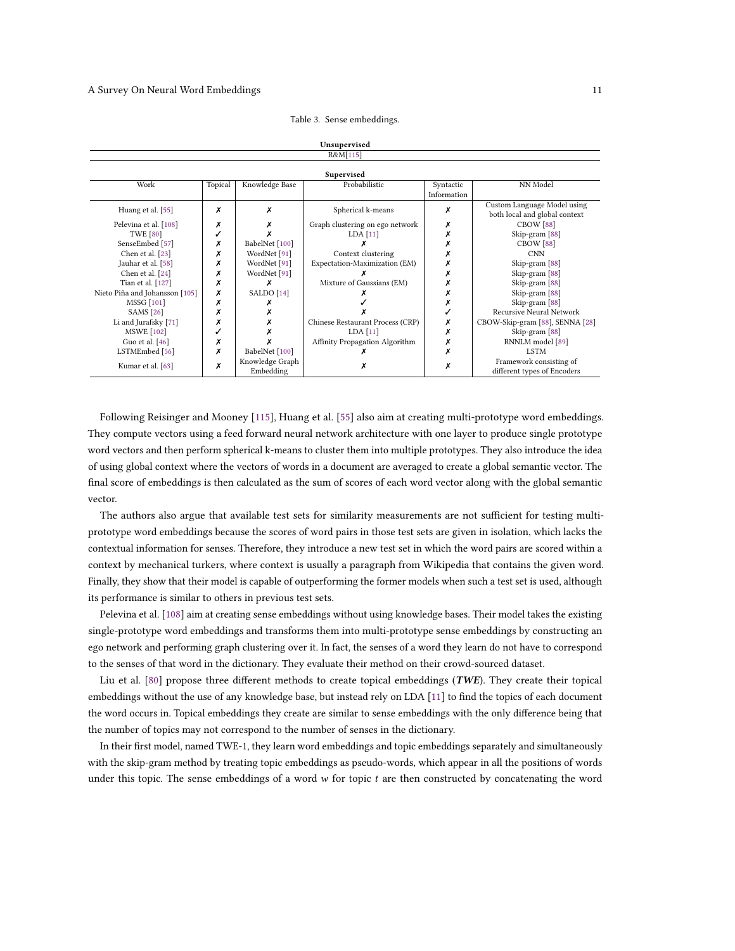<span id="page-10-0"></span>

|                                |         |                 | R&M[115]                         |             |                                                              |  |  |  |  |
|--------------------------------|---------|-----------------|----------------------------------|-------------|--------------------------------------------------------------|--|--|--|--|
| Supervised                     |         |                 |                                  |             |                                                              |  |  |  |  |
| Work                           | Topical | Knowledge Base  | Probabilistic                    | Syntactic   | NN Model                                                     |  |  |  |  |
|                                |         |                 |                                  | Information |                                                              |  |  |  |  |
| Huang et al. [55]              | х       |                 | Spherical k-means                | Х           | Custom Language Model using<br>both local and global context |  |  |  |  |
| Pelevina et al. [108]          | Х       |                 | Graph clustering on ego network  | Х           | CBOW <sup>[88]</sup>                                         |  |  |  |  |
| <b>TWE [80]</b>                |         |                 | $LDA$ [11]                       |             | Skip-gram [88]                                               |  |  |  |  |
| SenseEmbed [57]                | х       | BabelNet [100]  |                                  |             | CBOW <sup>[88]</sup>                                         |  |  |  |  |
| Chen et al. [23]               | х       | WordNet [91]    | Context clustering               |             | <b>CNN</b>                                                   |  |  |  |  |
| Jauhar et al. [58]             | х       | WordNet [91]    | Expectation-Maximization (EM)    |             | Skip-gram [88]                                               |  |  |  |  |
| Chen et al. [24]               | х       | WordNet [91]    |                                  |             | Skip-gram [88]                                               |  |  |  |  |
| Tian et al. [127]              | х       |                 | Mixture of Gaussians (EM)        |             | Skip-gram [88]                                               |  |  |  |  |
| Nieto Piña and Johansson [105] | х       | SALDO [14]      |                                  |             | Skip-gram [88]                                               |  |  |  |  |
| <b>MSSG</b> [101]              | х       |                 |                                  |             | Skip-gram [88]                                               |  |  |  |  |
| <b>SAMS</b> [26]               | х       |                 |                                  |             | Recursive Neural Network                                     |  |  |  |  |
| Li and Jurafsky [71]           | х       |                 | Chinese Restaurant Process (CRP) | Х           | CBOW-Skip-gram [88], SENNA [28]                              |  |  |  |  |
| <b>MSWE</b> [102]              |         |                 | LDA[11]                          | x           | Skip-gram [88]                                               |  |  |  |  |
| Guo et al. $[46]$              | х       |                 | Affinity Propagation Algorithm   | Х           | RNNLM model [89]                                             |  |  |  |  |
| LSTMEmbed [56]                 | х       | BabelNet [100]  |                                  | Х           | <b>LSTM</b>                                                  |  |  |  |  |
| Kumar et al. [63]              | Х       | Knowledge Graph |                                  |             | Framework consisting of                                      |  |  |  |  |
|                                |         | Embedding       |                                  |             | different types of Encoders                                  |  |  |  |  |

Table 3. Sense embeddings.

Unsupervised

Following Reisinger and Mooney [\[115\]](#page-29-6), Huang et al. [\[55\]](#page-26-9) also aim at creating multi-prototype word embeddings. They compute vectors using a feed forward neural network architecture with one layer to produce single prototype word vectors and then perform spherical k-means to cluster them into multiple prototypes. They also introduce the idea of using global context where the vectors of words in a document are averaged to create a global semantic vector. The final score of embeddings is then calculated as the sum of scores of each word vector along with the global semantic vector.

The authors also argue that available test sets for similarity measurements are not sufficient for testing multiprototype word embeddings because the scores of word pairs in those test sets are given in isolation, which lacks the contextual information for senses. Therefore, they introduce a new test set in which the word pairs are scored within a context by mechanical turkers, where context is usually a paragraph from Wikipedia that contains the given word. Finally, they show that their model is capable of outperforming the former models when such a test set is used, although its performance is similar to others in previous test sets.

Pelevina et al. [\[108\]](#page-29-7) aim at creating sense embeddings without using knowledge bases. Their model takes the existing single-prototype word embeddings and transforms them into multi-prototype sense embeddings by constructing an ego network and performing graph clustering over it. In fact, the senses of a word they learn do not have to correspond to the senses of that word in the dictionary. They evaluate their method on their crowd-sourced dataset.

Liu et al.  $[80]$  propose three different methods to create topical embeddings (TWE). They create their topical embeddings without the use of any knowledge base, but instead rely on LDA [\[11\]](#page-24-3) to find the topics of each document the word occurs in. Topical embeddings they create are similar to sense embeddings with the only difference being that the number of topics may not correspond to the number of senses in the dictionary.

In their first model, named TWE-1, they learn word embeddings and topic embeddings separately and simultaneously with the skip-gram method by treating topic embeddings as pseudo-words, which appear in all the positions of words under this topic. The sense embeddings of a word  $w$  for topic  $t$  are then constructed by concatenating the word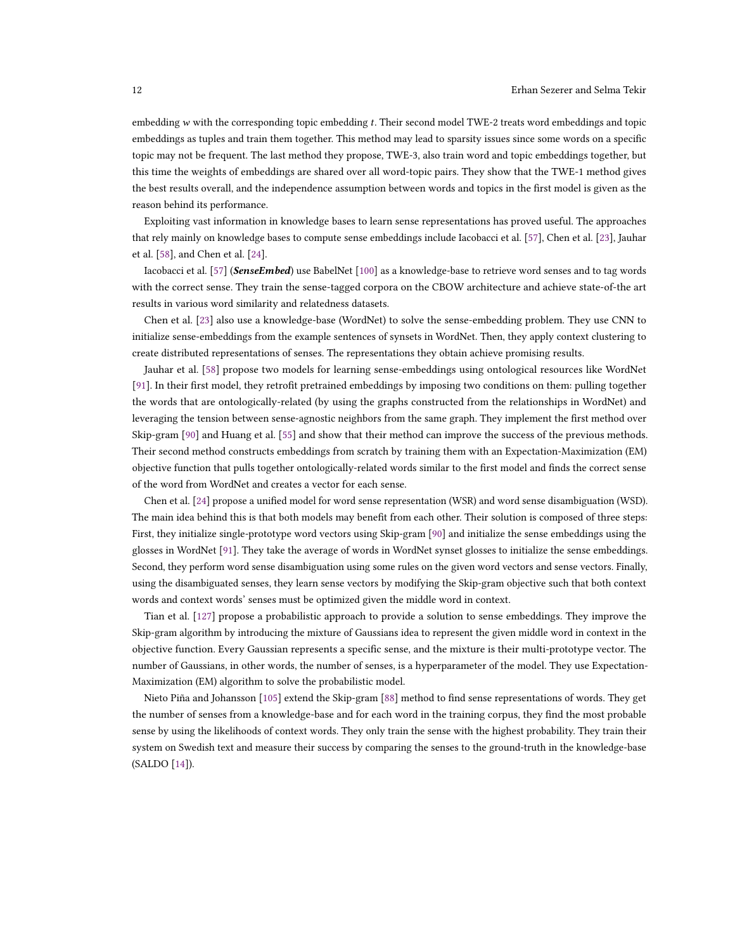embedding  $w$  with the corresponding topic embedding  $t$ . Their second model TWE-2 treats word embeddings and topic embeddings as tuples and train them together. This method may lead to sparsity issues since some words on a specific topic may not be frequent. The last method they propose, TWE-3, also train word and topic embeddings together, but this time the weights of embeddings are shared over all word-topic pairs. They show that the TWE-1 method gives the best results overall, and the independence assumption between words and topics in the first model is given as the reason behind its performance.

Exploiting vast information in knowledge bases to learn sense representations has proved useful. The approaches that rely mainly on knowledge bases to compute sense embeddings include Iacobacci et al. [\[57\]](#page-26-10), Chen et al. [\[23\]](#page-25-4), Jauhar et al. [\[58\]](#page-26-11), and Chen et al. [\[24\]](#page-25-5).

Iacobacci et al. [\[57\]](#page-26-10) (SenseEmbed) use BabelNet [\[100\]](#page-28-14) as a knowledge-base to retrieve word senses and to tag words with the correct sense. They train the sense-tagged corpora on the CBOW architecture and achieve state-of-the art results in various word similarity and relatedness datasets.

Chen et al. [\[23\]](#page-25-4) also use a knowledge-base (WordNet) to solve the sense-embedding problem. They use CNN to initialize sense-embeddings from the example sentences of synsets in WordNet. Then, they apply context clustering to create distributed representations of senses. The representations they obtain achieve promising results.

Jauhar et al. [\[58\]](#page-26-11) propose two models for learning sense-embeddings using ontological resources like WordNet [\[91\]](#page-28-5). In their first model, they retrofit pretrained embeddings by imposing two conditions on them: pulling together the words that are ontologically-related (by using the graphs constructed from the relationships in WordNet) and leveraging the tension between sense-agnostic neighbors from the same graph. They implement the first method over Skip-gram [\[90\]](#page-28-6) and Huang et al. [\[55\]](#page-26-9) and show that their method can improve the success of the previous methods. Their second method constructs embeddings from scratch by training them with an Expectation-Maximization (EM) objective function that pulls together ontologically-related words similar to the first model and finds the correct sense of the word from WordNet and creates a vector for each sense.

Chen et al. [\[24\]](#page-25-5) propose a unified model for word sense representation (WSR) and word sense disambiguation (WSD). The main idea behind this is that both models may benefit from each other. Their solution is composed of three steps: First, they initialize single-prototype word vectors using Skip-gram [\[90\]](#page-28-6) and initialize the sense embeddings using the glosses in WordNet [\[91\]](#page-28-5). They take the average of words in WordNet synset glosses to initialize the sense embeddings. Second, they perform word sense disambiguation using some rules on the given word vectors and sense vectors. Finally, using the disambiguated senses, they learn sense vectors by modifying the Skip-gram objective such that both context words and context words' senses must be optimized given the middle word in context.

Tian et al. [\[127\]](#page-29-8) propose a probabilistic approach to provide a solution to sense embeddings. They improve the Skip-gram algorithm by introducing the mixture of Gaussians idea to represent the given middle word in context in the objective function. Every Gaussian represents a specific sense, and the mixture is their multi-prototype vector. The number of Gaussians, in other words, the number of senses, is a hyperparameter of the model. They use Expectation-Maximization (EM) algorithm to solve the probabilistic model.

Nieto Piña and Johansson [\[105\]](#page-28-15) extend the Skip-gram [\[88\]](#page-28-4) method to find sense representations of words. They get the number of senses from a knowledge-base and for each word in the training corpus, they find the most probable sense by using the likelihoods of context words. They only train the sense with the highest probability. They train their system on Swedish text and measure their success by comparing the senses to the ground-truth in the knowledge-base (SALDO [\[14\]](#page-25-6)).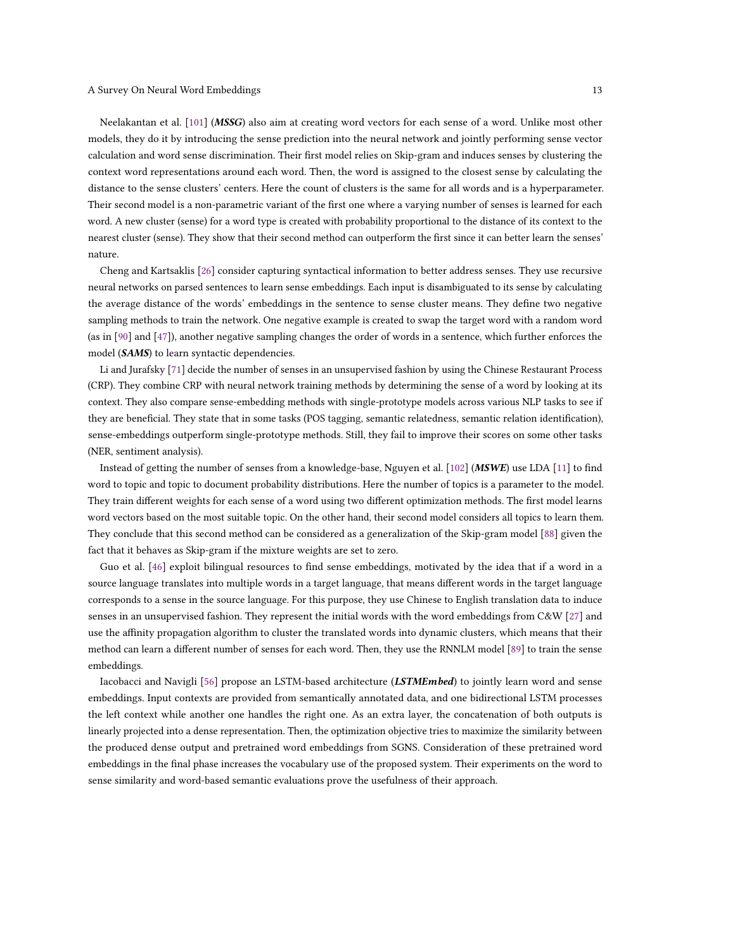Neelakantan et al. [\[101\]](#page-28-16) (MSSG) also aim at creating word vectors for each sense of a word. Unlike most other models, they do it by introducing the sense prediction into the neural network and jointly performing sense vector calculation and word sense discrimination. Their first model relies on Skip-gram and induces senses by clustering the context word representations around each word. Then, the word is assigned to the closest sense by calculating the distance to the sense clusters' centers. Here the count of clusters is the same for all words and is a hyperparameter. Their second model is a non-parametric variant of the first one where a varying number of senses is learned for each word. A new cluster (sense) for a word type is created with probability proportional to the distance of its context to the nearest cluster (sense). They show that their second method can outperform the first since it can better learn the senses' nature.

Cheng and Kartsaklis [\[26\]](#page-25-7) consider capturing syntactical information to better address senses. They use recursive neural networks on parsed sentences to learn sense embeddings. Each input is disambiguated to its sense by calculating the average distance of the words' embeddings in the sentence to sense cluster means. They define two negative sampling methods to train the network. One negative example is created to swap the target word with a random word (as in [\[90\]](#page-28-6) and [\[47\]](#page-26-6)), another negative sampling changes the order of words in a sentence, which further enforces the model (SAMS) to learn syntactic dependencies.

Li and Jurafsky [\[71\]](#page-27-10) decide the number of senses in an unsupervised fashion by using the Chinese Restaurant Process (CRP). They combine CRP with neural network training methods by determining the sense of a word by looking at its context. They also compare sense-embedding methods with single-prototype models across various NLP tasks to see if they are beneficial. They state that in some tasks (POS tagging, semantic relatedness, semantic relation identification), sense-embeddings outperform single-prototype methods. Still, they fail to improve their scores on some other tasks (NER, sentiment analysis).

Instead of getting the number of senses from a knowledge-base, Nguyen et al. [\[102\]](#page-28-17) (MSWE) use LDA [\[11\]](#page-24-3) to find word to topic and topic to document probability distributions. Here the number of topics is a parameter to the model. They train different weights for each sense of a word using two different optimization methods. The first model learns word vectors based on the most suitable topic. On the other hand, their second model considers all topics to learn them. They conclude that this second method can be considered as a generalization of the Skip-gram model [\[88\]](#page-28-4) given the fact that it behaves as Skip-gram if the mixture weights are set to zero.

Guo et al. [\[46\]](#page-26-12) exploit bilingual resources to find sense embeddings, motivated by the idea that if a word in a source language translates into multiple words in a target language, that means different words in the target language corresponds to a sense in the source language. For this purpose, they use Chinese to English translation data to induce senses in an unsupervised fashion. They represent the initial words with the word embeddings from C&W [\[27\]](#page-25-1) and use the affinity propagation algorithm to cluster the translated words into dynamic clusters, which means that their method can learn a different number of senses for each word. Then, they use the RNNLM model [\[89\]](#page-28-3) to train the sense embeddings.

Iacobacci and Navigli [\[56\]](#page-26-13) propose an LSTM-based architecture (LSTMEmbed) to jointly learn word and sense embeddings. Input contexts are provided from semantically annotated data, and one bidirectional LSTM processes the left context while another one handles the right one. As an extra layer, the concatenation of both outputs is linearly projected into a dense representation. Then, the optimization objective tries to maximize the similarity between the produced dense output and pretrained word embeddings from SGNS. Consideration of these pretrained word embeddings in the final phase increases the vocabulary use of the proposed system. Their experiments on the word to sense similarity and word-based semantic evaluations prove the usefulness of their approach.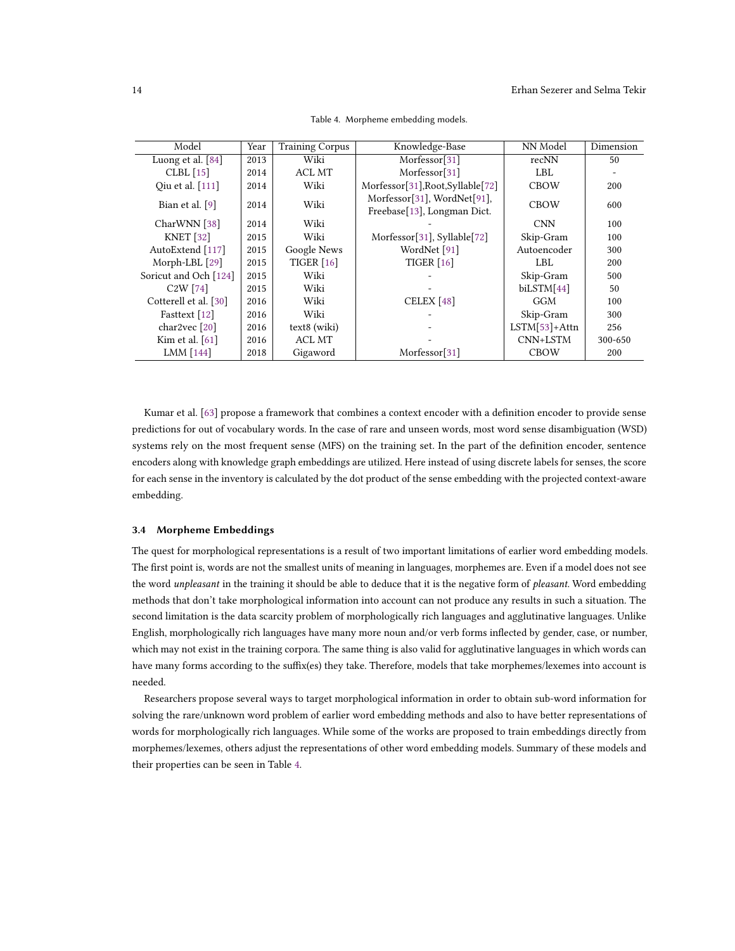<span id="page-13-0"></span>

| Model                            | Year | <b>Training Corpus</b> | Knowledge-Base                                             | NN Model        | Dimension |
|----------------------------------|------|------------------------|------------------------------------------------------------|-----------------|-----------|
| Luong et al. [84]                | 2013 | Wiki                   | Morfessor[31]                                              | recNN           | 50        |
| $CLBL$ [15]                      | 2014 | ACL MT                 | Morfessor[31]                                              | LBL             |           |
| Qiu et al. [111]                 | 2014 | Wiki                   | Morfessor[31], Root, Syllable[72]                          | <b>CBOW</b>     | 200       |
| Bian et al. $[9]$                | 2014 | Wiki                   | Morfessor[31], WordNet[91],<br>Freebase[13], Longman Dict. | <b>CBOW</b>     | 600       |
| CharWNN [38]                     | 2014 | Wiki                   |                                                            | <b>CNN</b>      | 100       |
| <b>KNET</b> [32]                 | 2015 | Wiki                   | Morfessor[31], Syllable[72]                                | Skip-Gram       | 100       |
| AutoExtend [117]                 | 2015 | Google News            | WordNet [91]                                               | Autoencoder     | 300       |
| Morph-LBL [29]                   | 2015 | TIGER $[16]$           | TIGER $[16]$                                               | LBL.            | 200       |
| Soricut and Och [124]            | 2015 | Wiki                   |                                                            | Skip-Gram       | 500       |
| C <sub>2</sub> W <sub>[74]</sub> | 2015 | Wiki                   |                                                            | biLSTM[44]      | 50        |
| Cotterell et al. [30]            | 2016 | Wiki                   | CELEX <sup>[48]</sup>                                      | GGM             | 100       |
| Fasttext [12]                    | 2016 | Wiki                   |                                                            | Skip-Gram       | 300       |
| char2vec $[20]$                  | 2016 | text8 (wiki)           |                                                            | $LSTM[53]+Attn$ | 256       |
| Kim et al. $[61]$                | 2016 | ACL MT                 |                                                            | CNN+LSTM        | 300-650   |
| LMM [144]                        | 2018 | Gigaword               | Morfessor[31]                                              | <b>CBOW</b>     | 200       |

Table 4. Morpheme embedding models.

Kumar et al. [\[63\]](#page-27-11) propose a framework that combines a context encoder with a definition encoder to provide sense predictions for out of vocabulary words. In the case of rare and unseen words, most word sense disambiguation (WSD) systems rely on the most frequent sense (MFS) on the training set. In the part of the definition encoder, sentence encoders along with knowledge graph embeddings are utilized. Here instead of using discrete labels for senses, the score for each sense in the inventory is calculated by the dot product of the sense embedding with the projected context-aware embedding.

### 3.4 Morpheme Embeddings

The quest for morphological representations is a result of two important limitations of earlier word embedding models. The first point is, words are not the smallest units of meaning in languages, morphemes are. Even if a model does not see the word unpleasant in the training it should be able to deduce that it is the negative form of pleasant. Word embedding methods that don't take morphological information into account can not produce any results in such a situation. The second limitation is the data scarcity problem of morphologically rich languages and agglutinative languages. Unlike English, morphologically rich languages have many more noun and/or verb forms inflected by gender, case, or number, which may not exist in the training corpora. The same thing is also valid for agglutinative languages in which words can have many forms according to the suffix(es) they take. Therefore, models that take morphemes/lexemes into account is needed.

Researchers propose several ways to target morphological information in order to obtain sub-word information for solving the rare/unknown word problem of earlier word embedding methods and also to have better representations of words for morphologically rich languages. While some of the works are proposed to train embeddings directly from morphemes/lexemes, others adjust the representations of other word embedding models. Summary of these models and their properties can be seen in Table [4.](#page-13-0)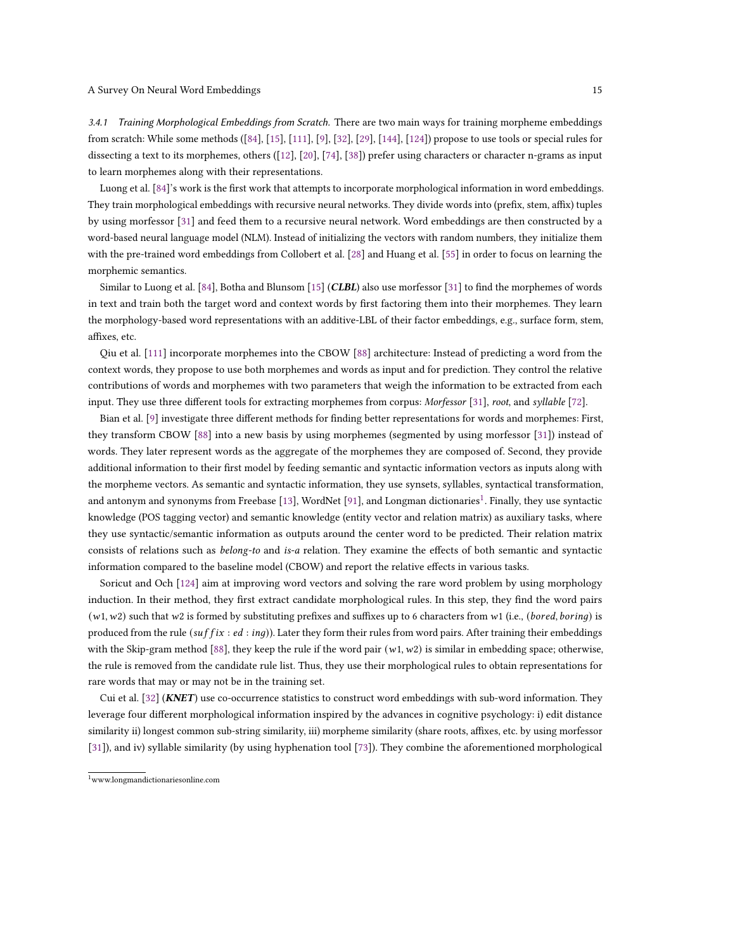3.4.1 Training Morphological Embeddings from Scratch. There are two main ways for training morpheme embeddings from scratch: While some methods ([\[84\]](#page-28-18), [\[15\]](#page-25-9), [\[111\]](#page-29-9), [\[9\]](#page-24-4), [\[32\]](#page-25-11), [\[29\]](#page-25-12), [\[144\]](#page-30-13), [\[124\]](#page-29-11)) propose to use tools or special rules for dissecting a text to its morphemes, others ([\[12\]](#page-24-5), [\[20\]](#page-25-15), [\[74\]](#page-27-13), [\[38\]](#page-26-14)) prefer using characters or character n-grams as input to learn morphemes along with their representations.

Luong et al. [\[84\]](#page-28-18)'s work is the first work that attempts to incorporate morphological information in word embeddings. They train morphological embeddings with recursive neural networks. They divide words into (prefix, stem, affix) tuples by using morfessor [\[31\]](#page-25-8) and feed them to a recursive neural network. Word embeddings are then constructed by a word-based neural language model (NLM). Instead of initializing the vectors with random numbers, they initialize them with the pre-trained word embeddings from Collobert et al. [\[28\]](#page-25-2) and Huang et al. [\[55\]](#page-26-9) in order to focus on learning the morphemic semantics.

Similar to Luong et al. [\[84\]](#page-28-18), Botha and Blunsom [\[15\]](#page-25-9) (CLBL) also use morfessor [\[31\]](#page-25-8) to find the morphemes of words in text and train both the target word and context words by first factoring them into their morphemes. They learn the morphology-based word representations with an additive-LBL of their factor embeddings, e.g., surface form, stem, affixes, etc.

Qiu et al. [\[111\]](#page-29-9) incorporate morphemes into the CBOW [\[88\]](#page-28-4) architecture: Instead of predicting a word from the context words, they propose to use both morphemes and words as input and for prediction. They control the relative contributions of words and morphemes with two parameters that weigh the information to be extracted from each input. They use three different tools for extracting morphemes from corpus: Morfessor [\[31\]](#page-25-8), root, and syllable [\[72\]](#page-27-12).

Bian et al. [\[9\]](#page-24-4) investigate three different methods for finding better representations for words and morphemes: First, they transform CBOW [\[88\]](#page-28-4) into a new basis by using morphemes (segmented by using morfessor [\[31\]](#page-25-8)) instead of words. They later represent words as the aggregate of the morphemes they are composed of. Second, they provide additional information to their first model by feeding semantic and syntactic information vectors as inputs along with the morpheme vectors. As semantic and syntactic information, they use synsets, syllables, syntactical transformation, and antonym and synonyms from Freebase [\[13\]](#page-25-10), WordNet [\[91\]](#page-28-5), and Longman dictionaries $^1$  $^1$ . Finally, they use syntactic knowledge (POS tagging vector) and semantic knowledge (entity vector and relation matrix) as auxiliary tasks, where they use syntactic/semantic information as outputs around the center word to be predicted. Their relation matrix consists of relations such as belong-to and is-a relation. They examine the effects of both semantic and syntactic information compared to the baseline model (CBOW) and report the relative effects in various tasks.

Soricut and Och [\[124\]](#page-29-11) aim at improving word vectors and solving the rare word problem by using morphology induction. In their method, they first extract candidate morphological rules. In this step, they find the word pairs  $(w1, w2)$  such that w2 is formed by substituting prefixes and suffixes up to 6 characters from w1 (i.e., (*bored, boring*) is produced from the rule ( $\text{suffix}: \text{ed}: \text{ing}$ )). Later they form their rules from word pairs. After training their embeddings with the Skip-gram method [\[88\]](#page-28-4), they keep the rule if the word pair  $(w1, w2)$  is similar in embedding space; otherwise, the rule is removed from the candidate rule list. Thus, they use their morphological rules to obtain representations for rare words that may or may not be in the training set.

Cui et al. [\[32\]](#page-25-11) (KNET) use co-occurrence statistics to construct word embeddings with sub-word information. They leverage four different morphological information inspired by the advances in cognitive psychology: i) edit distance similarity ii) longest common sub-string similarity, iii) morpheme similarity (share roots, affixes, etc. by using morfessor [\[31\]](#page-25-8)), and iv) syllable similarity (by using hyphenation tool [\[73\]](#page-27-15)). They combine the aforementioned morphological

<span id="page-14-0"></span><sup>1</sup>www.longmandictionariesonline.com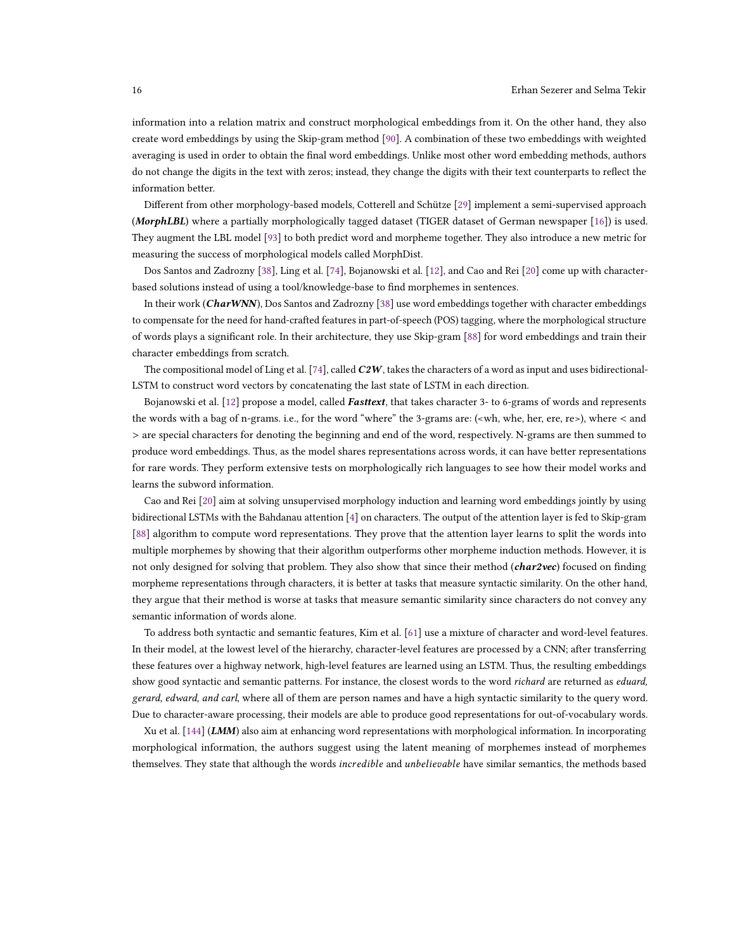information into a relation matrix and construct morphological embeddings from it. On the other hand, they also create word embeddings by using the Skip-gram method [\[90\]](#page-28-6). A combination of these two embeddings with weighted averaging is used in order to obtain the final word embeddings. Unlike most other word embedding methods, authors do not change the digits in the text with zeros; instead, they change the digits with their text counterparts to reflect the information better.

Different from other morphology-based models, Cotterell and Schütze [\[29\]](#page-25-12) implement a semi-supervised approach (MorphLBL) where a partially morphologically tagged dataset (TIGER dataset of German newspaper [\[16\]](#page-25-13)) is used. They augment the LBL model [\[93\]](#page-28-2) to both predict word and morpheme together. They also introduce a new metric for measuring the success of morphological models called MorphDist.

Dos Santos and Zadrozny [\[38\]](#page-26-14), Ling et al. [\[74\]](#page-27-13), Bojanowski et al. [\[12\]](#page-24-5), and Cao and Rei [\[20\]](#page-25-15) come up with characterbased solutions instead of using a tool/knowledge-base to find morphemes in sentences.

In their work (CharWNN), Dos Santos and Zadrozny [\[38\]](#page-26-14) use word embeddings together with character embeddings to compensate for the need for hand-crafted features in part-of-speech (POS) tagging, where the morphological structure of words plays a significant role. In their architecture, they use Skip-gram [\[88\]](#page-28-4) for word embeddings and train their character embeddings from scratch.

The compositional model of Ling et al. [\[74\]](#page-27-13), called  $C2W$ , takes the characters of a word as input and uses bidirectional-LSTM to construct word vectors by concatenating the last state of LSTM in each direction.

Bojanowski et al. [\[12\]](#page-24-5) propose a model, called Fasttext, that takes character 3- to 6-grams of words and represents the words with a bag of n-grams. i.e., for the word "where" the 3-grams are: (<wh, whe, her, ere, re>), where < and > are special characters for denoting the beginning and end of the word, respectively. N-grams are then summed to produce word embeddings. Thus, as the model shares representations across words, it can have better representations for rare words. They perform extensive tests on morphologically rich languages to see how their model works and learns the subword information.

Cao and Rei [\[20\]](#page-25-15) aim at solving unsupervised morphology induction and learning word embeddings jointly by using bidirectional LSTMs with the Bahdanau attention [\[4\]](#page-24-6) on characters. The output of the attention layer is fed to Skip-gram [\[88\]](#page-28-4) algorithm to compute word representations. They prove that the attention layer learns to split the words into multiple morphemes by showing that their algorithm outperforms other morpheme induction methods. However, it is not only designed for solving that problem. They also show that since their method (char2vec) focused on finding morpheme representations through characters, it is better at tasks that measure syntactic similarity. On the other hand, they argue that their method is worse at tasks that measure semantic similarity since characters do not convey any semantic information of words alone.

To address both syntactic and semantic features, Kim et al. [\[61\]](#page-27-14) use a mixture of character and word-level features. In their model, at the lowest level of the hierarchy, character-level features are processed by a CNN; after transferring these features over a highway network, high-level features are learned using an LSTM. Thus, the resulting embeddings show good syntactic and semantic patterns. For instance, the closest words to the word richard are returned as eduard, gerard, edward, and carl, where all of them are person names and have a high syntactic similarity to the query word. Due to character-aware processing, their models are able to produce good representations for out-of-vocabulary words.

Xu et al. [\[144\]](#page-30-13) (LMM) also aim at enhancing word representations with morphological information. In incorporating morphological information, the authors suggest using the latent meaning of morphemes instead of morphemes themselves. They state that although the words *incredible* and *unbelievable* have similar semantics, the methods based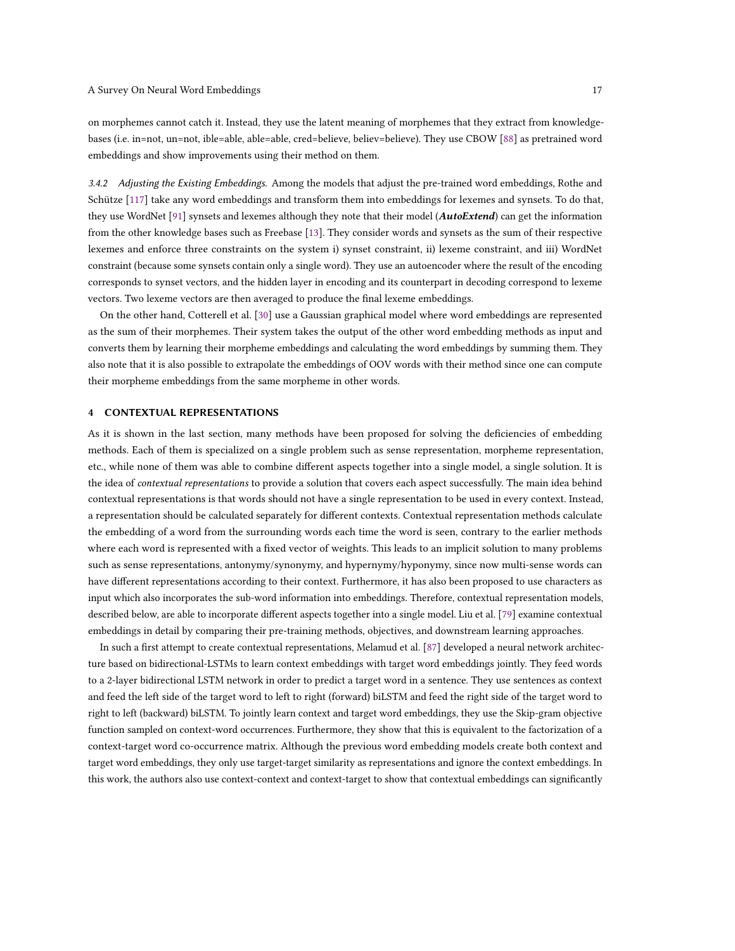on morphemes cannot catch it. Instead, they use the latent meaning of morphemes that they extract from knowledgebases (i.e. in=not, un=not, ible=able, able=able, cred=believe, believ=believe). They use CBOW [\[88\]](#page-28-4) as pretrained word embeddings and show improvements using their method on them.

3.4.2 Adjusting the Existing Embeddings. Among the models that adjust the pre-trained word embeddings, Rothe and Schütze [\[117\]](#page-29-10) take any word embeddings and transform them into embeddings for lexemes and synsets. To do that, they use WordNet [\[91\]](#page-28-5) synsets and lexemes although they note that their model (AutoExtend) can get the information from the other knowledge bases such as Freebase [\[13\]](#page-25-10). They consider words and synsets as the sum of their respective lexemes and enforce three constraints on the system i) synset constraint, ii) lexeme constraint, and iii) WordNet constraint (because some synsets contain only a single word). They use an autoencoder where the result of the encoding corresponds to synset vectors, and the hidden layer in encoding and its counterpart in decoding correspond to lexeme vectors. Two lexeme vectors are then averaged to produce the final lexeme embeddings.

On the other hand, Cotterell et al. [\[30\]](#page-25-14) use a Gaussian graphical model where word embeddings are represented as the sum of their morphemes. Their system takes the output of the other word embedding methods as input and converts them by learning their morpheme embeddings and calculating the word embeddings by summing them. They also note that it is also possible to extrapolate the embeddings of OOV words with their method since one can compute their morpheme embeddings from the same morpheme in other words.

### 4 CONTEXTUAL REPRESENTATIONS

As it is shown in the last section, many methods have been proposed for solving the deficiencies of embedding methods. Each of them is specialized on a single problem such as sense representation, morpheme representation, etc., while none of them was able to combine different aspects together into a single model, a single solution. It is the idea of contextual representations to provide a solution that covers each aspect successfully. The main idea behind contextual representations is that words should not have a single representation to be used in every context. Instead, a representation should be calculated separately for different contexts. Contextual representation methods calculate the embedding of a word from the surrounding words each time the word is seen, contrary to the earlier methods where each word is represented with a fixed vector of weights. This leads to an implicit solution to many problems such as sense representations, antonymy/synonymy, and hypernymy/hyponymy, since now multi-sense words can have different representations according to their context. Furthermore, it has also been proposed to use characters as input which also incorporates the sub-word information into embeddings. Therefore, contextual representation models, described below, are able to incorporate different aspects together into a single model. Liu et al. [\[79\]](#page-27-16) examine contextual embeddings in detail by comparing their pre-training methods, objectives, and downstream learning approaches.

In such a first attempt to create contextual representations, Melamud et al. [\[87\]](#page-28-19) developed a neural network architecture based on bidirectional-LSTMs to learn context embeddings with target word embeddings jointly. They feed words to a 2-layer bidirectional LSTM network in order to predict a target word in a sentence. They use sentences as context and feed the left side of the target word to left to right (forward) biLSTM and feed the right side of the target word to right to left (backward) biLSTM. To jointly learn context and target word embeddings, they use the Skip-gram objective function sampled on context-word occurrences. Furthermore, they show that this is equivalent to the factorization of a context-target word co-occurrence matrix. Although the previous word embedding models create both context and target word embeddings, they only use target-target similarity as representations and ignore the context embeddings. In this work, the authors also use context-context and context-target to show that contextual embeddings can significantly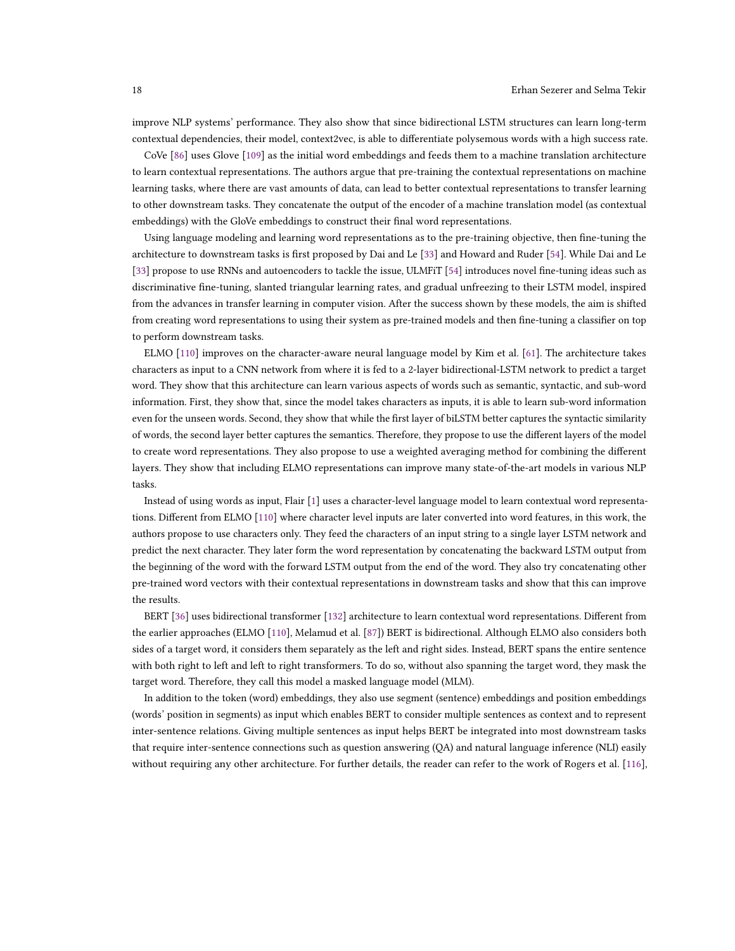improve NLP systems' performance. They also show that since bidirectional LSTM structures can learn long-term contextual dependencies, their model, context2vec, is able to differentiate polysemous words with a high success rate.

CoVe [\[86\]](#page-28-20) uses Glove [\[109\]](#page-29-2) as the initial word embeddings and feeds them to a machine translation architecture to learn contextual representations. The authors argue that pre-training the contextual representations on machine learning tasks, where there are vast amounts of data, can lead to better contextual representations to transfer learning to other downstream tasks. They concatenate the output of the encoder of a machine translation model (as contextual embeddings) with the GloVe embeddings to construct their final word representations.

Using language modeling and learning word representations as to the pre-training objective, then fine-tuning the architecture to downstream tasks is first proposed by Dai and Le [\[33\]](#page-25-16) and Howard and Ruder [\[54\]](#page-26-18). While Dai and Le [\[33\]](#page-25-16) propose to use RNNs and autoencoders to tackle the issue, ULMFiT [\[54\]](#page-26-18) introduces novel fine-tuning ideas such as discriminative fine-tuning, slanted triangular learning rates, and gradual unfreezing to their LSTM model, inspired from the advances in transfer learning in computer vision. After the success shown by these models, the aim is shifted from creating word representations to using their system as pre-trained models and then fine-tuning a classifier on top to perform downstream tasks.

ELMO [\[110\]](#page-29-12) improves on the character-aware neural language model by Kim et al. [\[61\]](#page-27-14). The architecture takes characters as input to a CNN network from where it is fed to a 2-layer bidirectional-LSTM network to predict a target word. They show that this architecture can learn various aspects of words such as semantic, syntactic, and sub-word information. First, they show that, since the model takes characters as inputs, it is able to learn sub-word information even for the unseen words. Second, they show that while the first layer of biLSTM better captures the syntactic similarity of words, the second layer better captures the semantics. Therefore, they propose to use the different layers of the model to create word representations. They also propose to use a weighted averaging method for combining the different layers. They show that including ELMO representations can improve many state-of-the-art models in various NLP tasks.

Instead of using words as input, Flair [\[1\]](#page-24-7) uses a character-level language model to learn contextual word representations. Different from ELMO [\[110\]](#page-29-12) where character level inputs are later converted into word features, in this work, the authors propose to use characters only. They feed the characters of an input string to a single layer LSTM network and predict the next character. They later form the word representation by concatenating the backward LSTM output from the beginning of the word with the forward LSTM output from the end of the word. They also try concatenating other pre-trained word vectors with their contextual representations in downstream tasks and show that this can improve the results.

BERT [\[36\]](#page-26-19) uses bidirectional transformer [\[132\]](#page-30-14) architecture to learn contextual word representations. Different from the earlier approaches (ELMO [\[110\]](#page-29-12), Melamud et al. [\[87\]](#page-28-19)) BERT is bidirectional. Although ELMO also considers both sides of a target word, it considers them separately as the left and right sides. Instead, BERT spans the entire sentence with both right to left and left to right transformers. To do so, without also spanning the target word, they mask the target word. Therefore, they call this model a masked language model (MLM).

In addition to the token (word) embeddings, they also use segment (sentence) embeddings and position embeddings (words' position in segments) as input which enables BERT to consider multiple sentences as context and to represent inter-sentence relations. Giving multiple sentences as input helps BERT be integrated into most downstream tasks that require inter-sentence connections such as question answering (QA) and natural language inference (NLI) easily without requiring any other architecture. For further details, the reader can refer to the work of Rogers et al. [\[116\]](#page-29-13),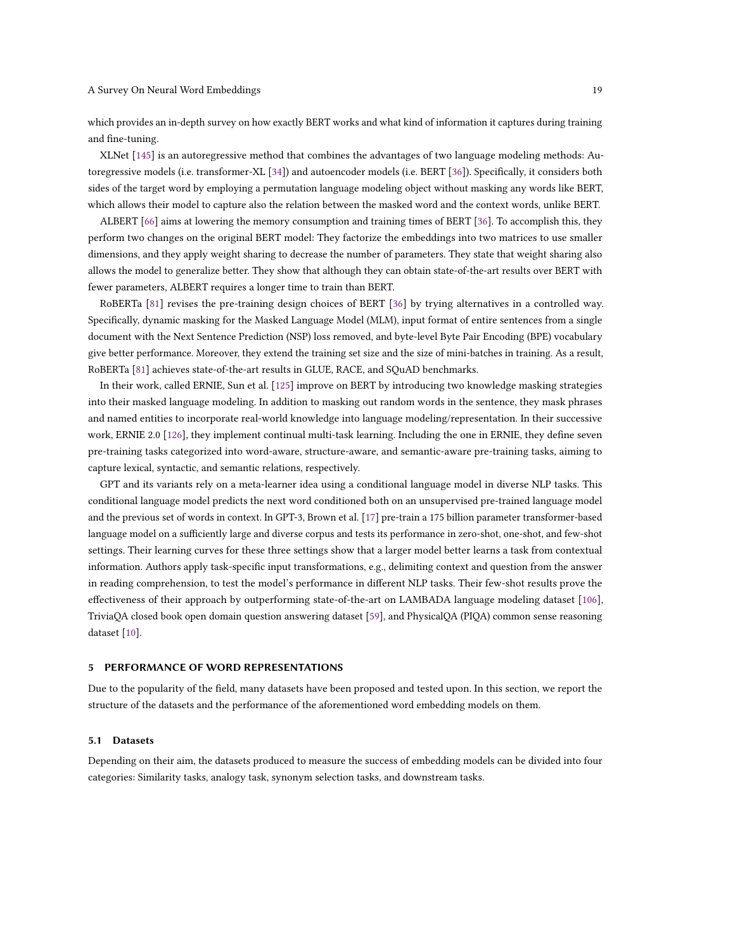which provides an in-depth survey on how exactly BERT works and what kind of information it captures during training and fine-tuning.

XLNet [\[145\]](#page-30-15) is an autoregressive method that combines the advantages of two language modeling methods: Autoregressive models (i.e. transformer-XL [\[34\]](#page-25-17)) and autoencoder models (i.e. BERT [\[36\]](#page-26-19)). Specifically, it considers both sides of the target word by employing a permutation language modeling object without masking any words like BERT, which allows their model to capture also the relation between the masked word and the context words, unlike BERT.

ALBERT [\[66\]](#page-27-17) aims at lowering the memory consumption and training times of BERT [\[36\]](#page-26-19). To accomplish this, they perform two changes on the original BERT model: They factorize the embeddings into two matrices to use smaller dimensions, and they apply weight sharing to decrease the number of parameters. They state that weight sharing also allows the model to generalize better. They show that although they can obtain state-of-the-art results over BERT with fewer parameters, ALBERT requires a longer time to train than BERT.

RoBERTa [\[81\]](#page-27-18) revises the pre-training design choices of BERT [\[36\]](#page-26-19) by trying alternatives in a controlled way. Specifically, dynamic masking for the Masked Language Model (MLM), input format of entire sentences from a single document with the Next Sentence Prediction (NSP) loss removed, and byte-level Byte Pair Encoding (BPE) vocabulary give better performance. Moreover, they extend the training set size and the size of mini-batches in training. As a result, RoBERTa [\[81\]](#page-27-18) achieves state-of-the-art results in GLUE, RACE, and SQuAD benchmarks.

In their work, called ERNIE, Sun et al. [\[125\]](#page-29-14) improve on BERT by introducing two knowledge masking strategies into their masked language modeling. In addition to masking out random words in the sentence, they mask phrases and named entities to incorporate real-world knowledge into language modeling/representation. In their successive work, ERNIE 2.0 [\[126\]](#page-29-15), they implement continual multi-task learning. Including the one in ERNIE, they define seven pre-training tasks categorized into word-aware, structure-aware, and semantic-aware pre-training tasks, aiming to capture lexical, syntactic, and semantic relations, respectively.

GPT and its variants rely on a meta-learner idea using a conditional language model in diverse NLP tasks. This conditional language model predicts the next word conditioned both on an unsupervised pre-trained language model and the previous set of words in context. In GPT-3, Brown et al. [\[17\]](#page-25-18) pre-train a 175 billion parameter transformer-based language model on a sufficiently large and diverse corpus and tests its performance in zero-shot, one-shot, and few-shot settings. Their learning curves for these three settings show that a larger model better learns a task from contextual information. Authors apply task-specific input transformations, e.g., delimiting context and question from the answer in reading comprehension, to test the model's performance in different NLP tasks. Their few-shot results prove the effectiveness of their approach by outperforming state-of-the-art on LAMBADA language modeling dataset [\[106\]](#page-29-16), TriviaQA closed book open domain question answering dataset [\[59\]](#page-26-20), and PhysicalQA (PIQA) common sense reasoning dataset [\[10\]](#page-24-8).

## 5 PERFORMANCE OF WORD REPRESENTATIONS

Due to the popularity of the field, many datasets have been proposed and tested upon. In this section, we report the structure of the datasets and the performance of the aforementioned word embedding models on them.

#### 5.1 Datasets

Depending on their aim, the datasets produced to measure the success of embedding models can be divided into four categories: Similarity tasks, analogy task, synonym selection tasks, and downstream tasks.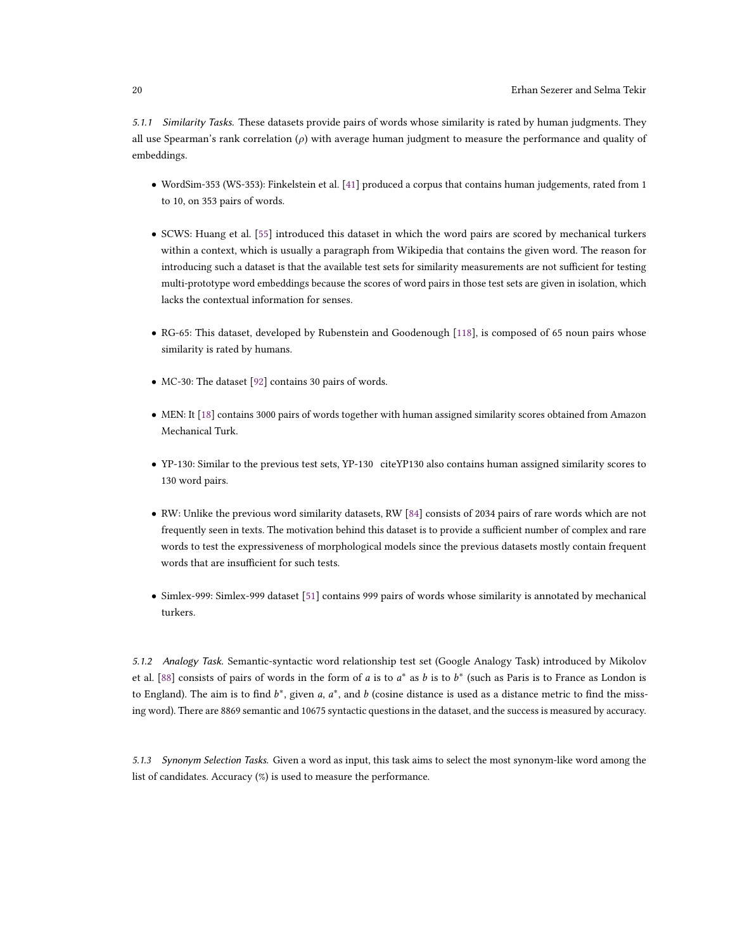5.1.1 Similarity Tasks. These datasets provide pairs of words whose similarity is rated by human judgments. They all use Spearman's rank correlation  $(\rho)$  with average human judgment to measure the performance and quality of embeddings.

- WordSim-353 (WS-353): Finkelstein et al. [\[41\]](#page-26-21) produced a corpus that contains human judgements, rated from 1 to 10, on 353 pairs of words.
- SCWS: Huang et al. [\[55\]](#page-26-9) introduced this dataset in which the word pairs are scored by mechanical turkers within a context, which is usually a paragraph from Wikipedia that contains the given word. The reason for introducing such a dataset is that the available test sets for similarity measurements are not sufficient for testing multi-prototype word embeddings because the scores of word pairs in those test sets are given in isolation, which lacks the contextual information for senses.
- RG-65: This dataset, developed by Rubenstein and Goodenough [\[118\]](#page-29-17), is composed of 65 noun pairs whose similarity is rated by humans.
- MC-30: The dataset [\[92\]](#page-28-21) contains 30 pairs of words.
- MEN: It [\[18\]](#page-25-19) contains 3000 pairs of words together with human assigned similarity scores obtained from Amazon Mechanical Turk.
- YP-130: Similar to the previous test sets, YP-130 citeYP130 also contains human assigned similarity scores to 130 word pairs.
- RW: Unlike the previous word similarity datasets, RW [\[84\]](#page-28-18) consists of 2034 pairs of rare words which are not frequently seen in texts. The motivation behind this dataset is to provide a sufficient number of complex and rare words to test the expressiveness of morphological models since the previous datasets mostly contain frequent words that are insufficient for such tests.
- Simlex-999: Simlex-999 dataset [\[51\]](#page-26-22) contains 999 pairs of words whose similarity is annotated by mechanical turkers.

5.1.2 Analogy Task. Semantic-syntactic word relationship test set (Google Analogy Task) introduced by Mikolov et al. [\[88\]](#page-28-4) consists of pairs of words in the form of a is to  $a^*$  as b is to  $b^*$  (such as Paris is to France as London is to England). The aim is to find  $b^*$ , given a,  $a^*$ , and b (cosine distance is used as a distance metric to find the missing word). There are 8869 semantic and 10675 syntactic questions in the dataset, and the success is measured by accuracy.

5.1.3 Synonym Selection Tasks. Given a word as input, this task aims to select the most synonym-like word among the list of candidates. Accuracy (%) is used to measure the performance.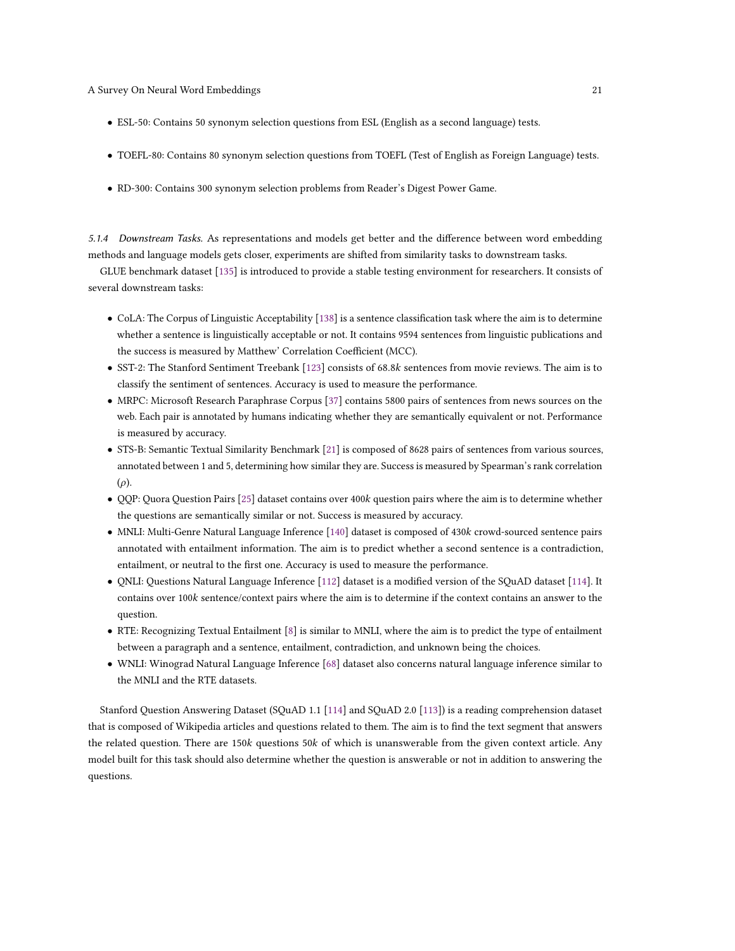- ESL-50: Contains 50 synonym selection questions from ESL (English as a second language) tests.
- TOEFL-80: Contains 80 synonym selection questions from TOEFL (Test of English as Foreign Language) tests.
- RD-300: Contains 300 synonym selection problems from Reader's Digest Power Game.

5.1.4 Downstream Tasks. As representations and models get better and the difference between word embedding methods and language models gets closer, experiments are shifted from similarity tasks to downstream tasks.

GLUE benchmark dataset [\[135\]](#page-30-16) is introduced to provide a stable testing environment for researchers. It consists of several downstream tasks:

- CoLA: The Corpus of Linguistic Acceptability [\[138\]](#page-30-17) is a sentence classification task where the aim is to determine whether a sentence is linguistically acceptable or not. It contains 9594 sentences from linguistic publications and the success is measured by Matthew' Correlation Coefficient (MCC).
- SST-2: The Stanford Sentiment Treebank [\[123\]](#page-29-18) consists of 68.8k sentences from movie reviews. The aim is to classify the sentiment of sentences. Accuracy is used to measure the performance.
- MRPC: Microsoft Research Paraphrase Corpus [\[37\]](#page-26-23) contains 5800 pairs of sentences from news sources on the web. Each pair is annotated by humans indicating whether they are semantically equivalent or not. Performance is measured by accuracy.
- STS-B: Semantic Textual Similarity Benchmark [\[21\]](#page-25-20) is composed of 8628 pairs of sentences from various sources, annotated between 1 and 5, determining how similar they are. Success is measured by Spearman's rank correlation  $(\rho)$ .
- QQP: Quora Question Pairs [\[25\]](#page-25-21) dataset contains over 400k question pairs where the aim is to determine whether the questions are semantically similar or not. Success is measured by accuracy.
- MNLI: Multi-Genre Natural Language Inference [\[140\]](#page-30-18) dataset is composed of 430k crowd-sourced sentence pairs annotated with entailment information. The aim is to predict whether a second sentence is a contradiction, entailment, or neutral to the first one. Accuracy is used to measure the performance.
- QNLI: Questions Natural Language Inference [\[112\]](#page-29-19) dataset is a modified version of the SQuAD dataset [\[114\]](#page-29-20). It contains over 100k sentence/context pairs where the aim is to determine if the context contains an answer to the question.
- RTE: Recognizing Textual Entailment [\[8\]](#page-24-9) is similar to MNLI, where the aim is to predict the type of entailment between a paragraph and a sentence, entailment, contradiction, and unknown being the choices.
- WNLI: Winograd Natural Language Inference [\[68\]](#page-27-19) dataset also concerns natural language inference similar to the MNLI and the RTE datasets.

Stanford Question Answering Dataset (SQuAD 1.1 [\[114\]](#page-29-20) and SQuAD 2.0 [\[113\]](#page-29-21)) is a reading comprehension dataset that is composed of Wikipedia articles and questions related to them. The aim is to find the text segment that answers the related question. There are 150k questions 50k of which is unanswerable from the given context article. Any model built for this task should also determine whether the question is answerable or not in addition to answering the questions.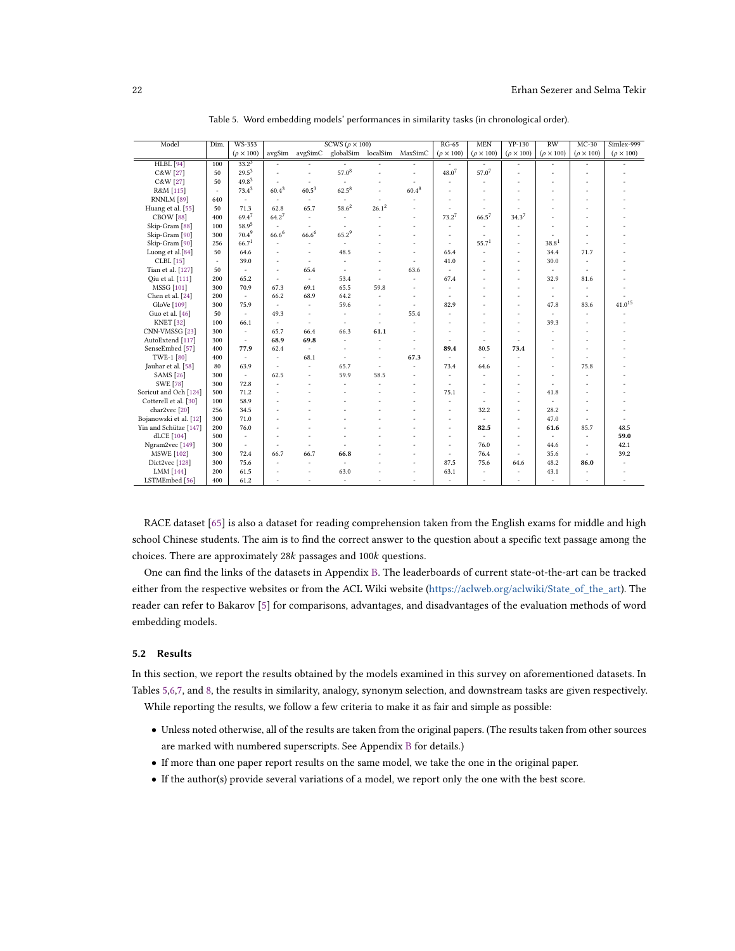<span id="page-21-0"></span>

| Model                            | Dim.   | <b>WS-353</b>            |                   |                          | SCWS ( $\rho \times 100$ ) |                          |            | $RG-65$             | <b>MEN</b>          | $YP-130$            | $\overline{RW}$     | $MC-30$             | Simlex-999          |
|----------------------------------|--------|--------------------------|-------------------|--------------------------|----------------------------|--------------------------|------------|---------------------|---------------------|---------------------|---------------------|---------------------|---------------------|
|                                  |        | $(\rho \times 100)$      | avgSim            | avgSimC                  | globalSim localSim         |                          | MaxSimC    | $(\rho \times 100)$ | $(\rho \times 100)$ | $(\rho \times 100)$ | $(\rho \times 100)$ | $(\rho \times 100)$ | $(\rho \times 100)$ |
| <b>HLBL</b> [94]                 | 100    | $33.2^{3}$               |                   |                          |                            |                          |            |                     |                     | ٠                   |                     |                     |                     |
| C&W [27]                         | 50     | $29.5^{3}$               |                   | ä,                       | $57.0^{8}$                 |                          | ä,         | $48.0^{7}$          | $57.0^{7}$          | ٠                   |                     |                     |                     |
| C&W [27]                         | 50     | $49.8^{3}$               |                   |                          |                            |                          |            |                     |                     |                     |                     |                     |                     |
| R&M [115]                        | $\sim$ | $73.4^3$                 | $60.4^{3}$        | $60.5^3\,$               | $62.5^{8}$                 |                          | $60.4^{8}$ |                     |                     |                     |                     |                     |                     |
| RNNLM <sup>[89]</sup>            | 640    | $\overline{\phantom{a}}$ | $\sim$            | ×.                       | $\sim$                     | ×                        |            |                     |                     |                     | ä,                  |                     |                     |
| Huang et al. [55]                | 50     | 71.3                     | 62.8              | 65.7                     | $58.6^{2}$                 | $26.1^{2}$               |            |                     | ä,                  |                     | ä,                  |                     |                     |
| CBOW <sup>[88]</sup>             | 400    | $69.4^{7}$               | $64.2^7$          | $\overline{\phantom{a}}$ | $\overline{\phantom{a}}$   |                          | ×,         | $73.2^7$            | $66.5^{7}$          | $34.3^{7}$          |                     |                     |                     |
| Skip-Gram <sup>[88]</sup>        | 100    | $58.9^{5}$               | ÷.                | ÷.                       | ÷,                         |                          | ä,         | ٠                   | ٠                   |                     |                     |                     |                     |
| Skip-Gram <sup>[90]</sup>        | 300    | $70.4^{9}$               | 66.6 <sup>6</sup> | $66.6^{6}$               | $65.2^{9}$                 |                          |            |                     | ٠                   |                     |                     |                     |                     |
| Skip-Gram <sup>[90]</sup>        | 256    | 66.7 <sup>1</sup>        |                   | ÷,                       | $\overline{\phantom{a}}$   |                          | ×,         | ×                   | 55.7 <sup>1</sup>   | ٠                   | 38.8 <sup>1</sup>   |                     |                     |
| Luong et al.[84]                 | 50     | 64.6                     |                   | ×                        | 48.5                       |                          |            | 65.4                | ä,                  | ×,                  | 34.4                | 71.7                |                     |
| CLBL [15]                        | ٠      | 39.0                     |                   | ä,                       | ä,                         |                          | ٠          | 41.0                |                     | ä,                  | 30.0                |                     |                     |
| Tian et al. [127]                | 50     | $\overline{\phantom{a}}$ |                   | 65.4                     | ä,                         |                          | 63.6       |                     |                     | ä,                  | ä,                  |                     |                     |
| Oiu et al. [111]                 | 200    | 65.2                     | ٠                 | ×.                       | 53.4                       |                          |            | 67.4                | ü                   | ä,                  | 32.9                | 81.6                |                     |
| MSSG [101]                       | 300    | 70.9                     | 67.3              | 69.1                     | 65.5                       | 59.8                     | ×,         | ٠                   | ä                   | ä,                  | ÷                   | ٠                   |                     |
| Chen et al. [24]                 | 200    | $\overline{\phantom{a}}$ | 66.2              | 68.9                     | 64.2                       |                          | ٠          |                     | ä                   | ٠                   | ×,                  | ٠                   |                     |
| GloVe [109]                      | 300    | 75.9                     |                   | $\overline{\phantom{a}}$ | 59.6                       |                          | ä,         | 82.9                |                     | ٠                   | 47.8                | 83.6                | $41.0^{15}$         |
| Guo et al. [46]                  | 50     | $\overline{\phantom{a}}$ | 49.3              | ÷.                       | ä,                         | $\overline{\phantom{a}}$ | 55.4       |                     |                     | ٠                   | ÷.                  | ×                   |                     |
| <b>KNET</b> [32]                 | 100    | 66.1                     | ٠                 | ٠                        | ä,                         |                          |            |                     |                     | ٠                   | 39.3                |                     |                     |
| CNN-VMSSG [23]                   | 300    | ٠                        | 65.7              | 66.4                     | 66.3                       | 61.1                     |            |                     |                     |                     | ä,                  |                     |                     |
| AutoExtend [117]                 | 300    | $\sim$                   | 68.9              | 69.8                     | ×,                         |                          |            |                     | ÷.                  |                     | ä                   |                     |                     |
| SenseEmbed [57]                  | 400    | 77.9                     | 62.4              | ×.                       | ×,                         |                          | $\sim$     | 89.4                | 80.5                | 73.4                | ä,                  |                     |                     |
| TWE-1 [80]                       | 400    | $\overline{\phantom{a}}$ | ٠                 | 68.1                     | ä,                         | ٠                        | 67.3       |                     | ٠                   |                     | i.                  |                     |                     |
| Jauhar et al. [58]               | 80     | 63.9                     | ٠                 | ×.                       | 65.7                       | ×                        | ä,         | 73.4                | 64.6                |                     | ÷                   | 75.8                |                     |
| <b>SAMS</b> [26]                 | 300    | $\overline{\phantom{a}}$ | 62.5              | ä,                       | 59.9                       | 58.5                     | i.         |                     | J.                  |                     | i.                  |                     |                     |
| <b>SWE</b> [78]                  | 300    | 72.8                     |                   |                          | ä,                         |                          | ×,         | ٠                   |                     | ٠                   | ٠                   | ٠                   |                     |
| Soricut and Och <sup>[124]</sup> | 500    | 71.2                     |                   |                          |                            |                          |            | 75.1                |                     | ٠                   | 41.8                | ٠                   |                     |
| Cotterell et al. [30]            | 100    | 58.9                     |                   |                          |                            |                          |            |                     |                     | ٠                   |                     |                     |                     |
| char2vec <sup>[20]</sup>         | 256    | 34.5                     |                   |                          |                            |                          |            |                     | 32.2                | ٠                   | 28.2                |                     |                     |
| Bojanowski et al. [12]           | 300    | 71.0                     |                   |                          |                            |                          |            | ٠                   | ä,                  | ٠                   | 47.0                | ×                   |                     |
| Yin and Schütze [147]            | 200    | 76.0                     |                   |                          |                            |                          |            | ٠                   | 82.5                | ×,                  | 61.6                | 85.7                | 48.5                |
| dLCE [104]                       | 500    | $\sim$                   |                   |                          |                            |                          |            | ٠                   | ÷,                  | ٠                   | ÷.                  | ٠                   | 59.0                |
| Ngram2vec [149]                  | 300    | $\overline{\phantom{a}}$ |                   |                          |                            |                          |            | ٠                   | 76.0                | ä,                  | 44.6                | ٠                   | 42.1                |
| <b>MSWE</b> [102]                | 300    | 72.4                     | 66.7              | 66.7                     | 66.8                       |                          |            | $\sim$              | 76.4                | ٠                   | 35.6                | ٠                   | 39.2                |
| Dict2vec <sup>[128]</sup>        | 300    | 75.6                     | ٠                 | ٠                        | $\overline{\phantom{a}}$   |                          | ٠          | 87.5                | 75.6                | 64.6                | 48.2                | 86.0                |                     |
| LMM [144]                        | 200    | 61.5                     |                   | ٠                        | 63.0                       |                          | ٠          | 63.1                |                     |                     | 43.1                |                     |                     |
| LSTMEmbed [56]                   | 400    | 61.2                     |                   |                          | ä,                         |                          |            | ÷.                  |                     |                     | í.                  |                     |                     |

Table 5. Word embedding models' performances in similarity tasks (in chronological order).

RACE dataset [\[65\]](#page-27-20) is also a dataset for reading comprehension taken from the English exams for middle and high school Chinese students. The aim is to find the correct answer to the question about a specific text passage among the choices. There are approximately  $28k$  passages and  $100k$  questions.

One can find the links of the datasets in Appendix [B.](#page-32-0) The leaderboards of current state-ot-the-art can be tracked either from the respective websites or from the ACL Wiki website [\(https://aclweb.org/aclwiki/State\\_of\\_the\\_art\)](https://aclweb.org/aclwiki/State_of_the_art). The reader can refer to Bakarov [\[5\]](#page-24-10) for comparisons, advantages, and disadvantages of the evaluation methods of word embedding models.

## 5.2 Results

In this section, we report the results obtained by the models examined in this survey on aforementioned datasets. In Tables [5,](#page-21-0)[6,](#page-22-0)[7,](#page-23-0) and [8,](#page-23-1) the results in similarity, analogy, synonym selection, and downstream tasks are given respectively. While reporting the results, we follow a few criteria to make it as fair and simple as possible:

- Unless noted otherwise, all of the results are taken from the original papers. (The results taken from other sources are marked with numbered superscripts. See Appendix [B](#page-32-0) for details.)
- If more than one paper report results on the same model, we take the one in the original paper.
- If the author(s) provide several variations of a model, we report only the one with the best score.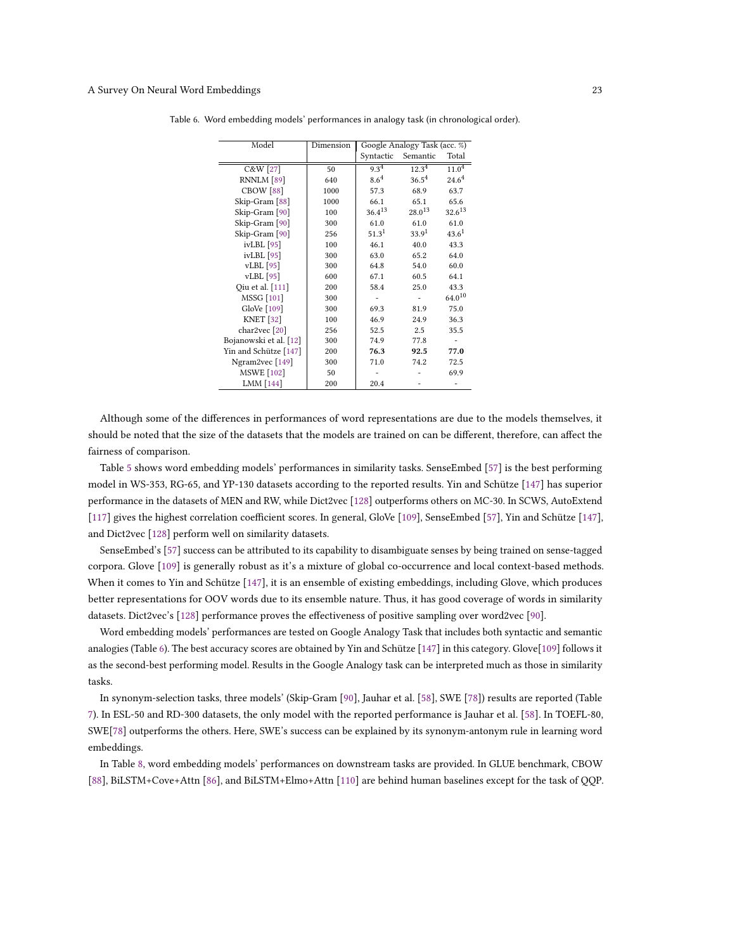| Model                    | Dimension |             | Google Analogy Task (acc. %) |                   |
|--------------------------|-----------|-------------|------------------------------|-------------------|
|                          |           | Syntactic   | Semantic                     | Total             |
| C&W [27]                 | 50        | $9.3^{4}$   | $12.3^{4}$                   | $11.0^{4}$        |
| RNNLM [89]               | 640       | $8.6^4$     | $36.5^{4}$                   | $24.6^{4}$        |
| CBOW <sup>[88]</sup>     | 1000      | 57.3        | 68.9                         | 63.7              |
| Skip-Gram [88]           | 1000      | 66.1        | 65.1                         | 65.6              |
| Skip-Gram [90]           | 100       | $36.4^{13}$ | $28.0^{13}$                  | $32.6^{13}$       |
| Skip-Gram [90]           | 300       | 61.0        | 61.0                         | 61.0              |
| Skip-Gram [90]           | 256       | $51.3^{1}$  | 33.9 <sup>1</sup>            | 43.6 <sup>1</sup> |
| ivLBL [95]               | 100       | 46.1        | 40.0                         | 43.3              |
| $ivLBL$ [95]             | 300       | 63.0        | 65.2                         | 64.0              |
| vLBL [95]                | 300       | 64.8        | 54.0                         | 60.0              |
| $vLBL$ [95]              | 600       | 67.1        | 60.5                         | 64.1              |
| Qiu et al. [111]         | 200       | 58.4        | 25.0                         | 43.3              |
| <b>MSSG</b> [101]        | 300       |             |                              | $64.0^{10}$       |
| GloVe [109]              | 300       | 69.3        | 81.9                         | 75.0              |
| <b>KNET</b> [32]         | 100       | 46.9        | 24.9                         | 36.3              |
| char2vec <sup>[20]</sup> | 256       | 52.5        | 2.5                          | 35.5              |
| Bojanowski et al. [12]   | 300       | 74.9        | 77.8                         |                   |
| Yin and Schütze [147]    | 200       | 76.3        | 92.5                         | 77.0              |
| Ngram2vec [149]          | 300       | 71.0        | 74.2                         | 72.5              |
| <b>MSWE</b> [102]        | 50        |             |                              | 69.9              |
| LMM [144]                | 200       | 20.4        |                              |                   |

<span id="page-22-0"></span>Table 6. Word embedding models' performances in analogy task (in chronological order).

Although some of the differences in performances of word representations are due to the models themselves, it should be noted that the size of the datasets that the models are trained on can be different, therefore, can affect the fairness of comparison.

Table [5](#page-21-0) shows word embedding models' performances in similarity tasks. SenseEmbed [\[57\]](#page-26-10) is the best performing model in WS-353, RG-65, and YP-130 datasets according to the reported results. Yin and Schütze [\[147\]](#page-30-5) has superior performance in the datasets of MEN and RW, while Dict2vec [\[128\]](#page-29-4) outperforms others on MC-30. In SCWS, AutoExtend [\[117\]](#page-29-10) gives the highest correlation coefficient scores. In general, GloVe [\[109\]](#page-29-2), SenseEmbed [\[57\]](#page-26-10), Yin and Schütze [\[147\]](#page-30-5), and Dict2vec [\[128\]](#page-29-4) perform well on similarity datasets.

SenseEmbed's [\[57\]](#page-26-10) success can be attributed to its capability to disambiguate senses by being trained on sense-tagged corpora. Glove [\[109\]](#page-29-2) is generally robust as it's a mixture of global co-occurrence and local context-based methods. When it comes to Yin and Schütze [\[147\]](#page-30-5), it is an ensemble of existing embeddings, including Glove, which produces better representations for OOV words due to its ensemble nature. Thus, it has good coverage of words in similarity datasets. Dict2vec's [\[128\]](#page-29-4) performance proves the effectiveness of positive sampling over word2vec [\[90\]](#page-28-6).

Word embedding models' performances are tested on Google Analogy Task that includes both syntactic and semantic analogies (Table [6\)](#page-22-0). The best accuracy scores are obtained by Yin and Schütze [\[147\]](#page-30-5) in this category. Glove[\[109\]](#page-29-2) follows it as the second-best performing model. Results in the Google Analogy task can be interpreted much as those in similarity tasks.

In synonym-selection tasks, three models' (Skip-Gram [\[90\]](#page-28-6), Jauhar et al. [\[58\]](#page-26-11), SWE [\[78\]](#page-27-7)) results are reported (Table [7\)](#page-23-0). In ESL-50 and RD-300 datasets, the only model with the reported performance is Jauhar et al. [\[58\]](#page-26-11). In TOEFL-80, SWE[\[78\]](#page-27-7) outperforms the others. Here, SWE's success can be explained by its synonym-antonym rule in learning word embeddings.

In Table [8,](#page-23-1) word embedding models' performances on downstream tasks are provided. In GLUE benchmark, CBOW [\[88\]](#page-28-4), BiLSTM+Cove+Attn [\[86\]](#page-28-20), and BiLSTM+Elmo+Attn [\[110\]](#page-29-12) are behind human baselines except for the task of QQP.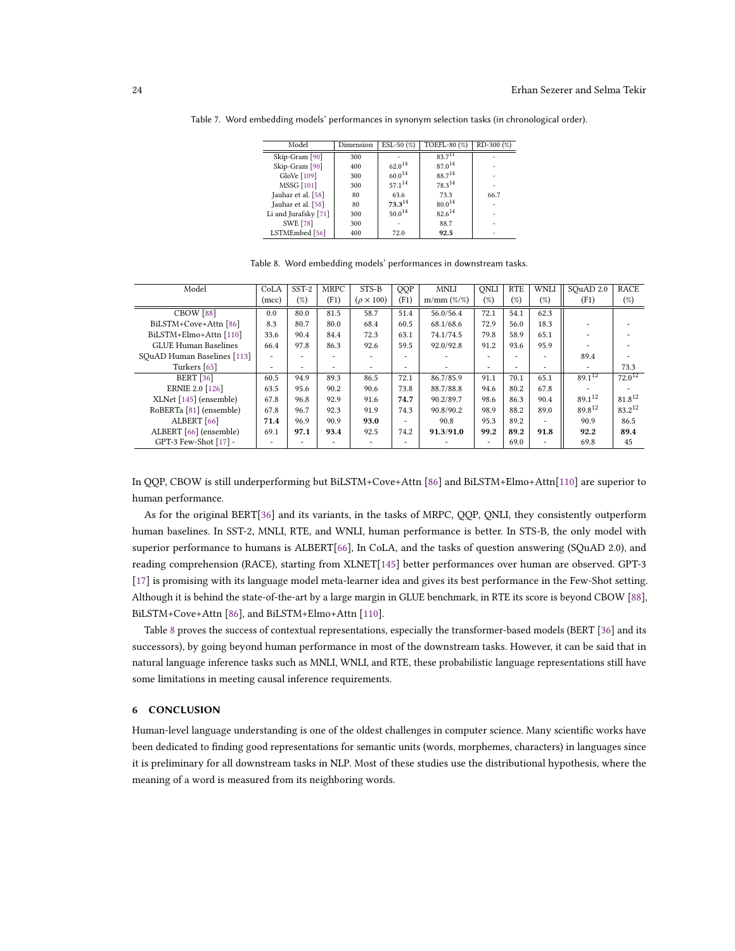| Model                | Dimension | ESL-50 $(\%)$ | TOEFL-80 (%)       | $RD-300$ $(\%)$ |
|----------------------|-----------|---------------|--------------------|-----------------|
| Skip-Gram [90]       | 300       |               | $83.7^{11}$        |                 |
| Skip-Gram [90]       | 400       | $62.0^{14}$   | 87.0 <sup>14</sup> |                 |
| GloVe [109]          | 300       | $60.0^{14}$   | 88.714             |                 |
| <b>MSSG</b> [101]    | 300       | $57.1^{14}$   | 78.314             |                 |
| Jauhar et al. [58]   | 80        | 63.6          | 73.3               | 66.7            |
| Jauhar et al. [58]   | 80        | 73.314        | $80.0^{14}$        |                 |
| Li and Jurafsky [71] | 300       | $50.0^{14}$   | $82.6^{14}$        |                 |
| <b>SWE [78]</b>      | 300       |               | 88.7               |                 |
| LSTMEmbed [56]       | 400       | 72.0          | 92.5               |                 |

<span id="page-23-0"></span>Table 7. Word embedding models' performances in synonym selection tasks (in chronological order).

<span id="page-23-1"></span>

| Model                       | CoLA  | SST-2 | <b>MRPC</b> | STS-B               | QQP  | <b>MNLI</b>     | ONLI                     | <b>RTE</b> | WNLI | SOuAD 2.0   | <b>RACE</b> |
|-----------------------------|-------|-------|-------------|---------------------|------|-----------------|--------------------------|------------|------|-------------|-------------|
|                             | (mcc) | (%)   | (F1)        | $(\rho \times 100)$ | (F1) | $m/mm ( \% \%)$ | (%)                      | (%)        | (%)  | (F1)        | (%)         |
| CBOW <sup>[88]</sup>        | 0.0   | 80.0  | 81.5        | 58.7                | 51.4 | 56.0/56.4       | 72.1                     | 54.1       | 62.3 |             |             |
| BiLSTM+Cove+Attn [86]       | 8.3   | 80.7  | 80.0        | 68.4                | 60.5 | 68.1/68.6       | 72.9                     | 56.0       | 18.3 |             |             |
| BiLSTM+Elmo+Attn [110]      | 33.6  | 90.4  | 84.4        | 72.3                | 63.1 | 74.1/74.5       | 79.8                     | 58.9       | 65.1 |             |             |
| <b>GLUE Human Baselines</b> | 66.4  | 97.8  | 86.3        | 92.6                | 59.5 | 92.0/92.8       | 91.2                     | 93.6       | 95.9 |             |             |
| SOuAD Human Baselines [113] | ۰.    | ۰     |             |                     | ۰    |                 |                          |            | ۰    | 89.4        |             |
| Turkers [65]                | ۰.    | ۰     | ۰           | ۰.                  | ۰    |                 | $\overline{\phantom{a}}$ |            | ۰    | ۰           | 73.3        |
| <b>BERT</b> [36]            | 60.5  | 94.9  | 89.3        | 86.5                | 72.1 | 86.7/85.9       | 91.1                     | 70.1       | 65.1 | $89.1^{12}$ | $72.0^{12}$ |
| <b>ERNIE 2.0 [126]</b>      | 63.5  | 95.6  | 90.2        | 90.6                | 73.8 | 88.7/88.8       | 94.6                     | 80.2       | 67.8 |             |             |
| XLNet [145] (ensemble)      | 67.8  | 96.8  | 92.9        | 91.6                | 74.7 | 90.2/89.7       | 98.6                     | 86.3       | 90.4 | $89.1^{12}$ | 81.812      |
| RoBERTa [81] (ensemble)     | 67.8  | 96.7  | 92.3        | 91.9                | 74.3 | 90.8/90.2       | 98.9                     | 88.2       | 89.0 | 89.812      | $83.2^{12}$ |
| ALBERT [66]                 | 71.4  | 96.9  | 90.9        | 93.0                | ۰    | 90.8            | 95.3                     | 89.2       | ۰    | 90.9        | 86.5        |
| ALBERT [66] (ensemble)      | 69.1  | 97.1  | 93.4        | 92.5                | 74.2 | 91.3/91.0       | 99.2                     | 89.2       | 91.8 | 92.2        | 89.4        |
| GPT-3 Few-Shot [17] -       |       |       |             |                     | ۰    |                 | ۰                        | 69.0       | ۰    | 69.8        | 45          |

Table 8. Word embedding models' performances in downstream tasks.

In QQP, CBOW is still underperforming but BiLSTM+Cove+Attn [\[86\]](#page-28-20) and BiLSTM+Elmo+Attn[\[110\]](#page-29-12) are superior to human performance.

As for the original BERT[\[36\]](#page-26-19) and its variants, in the tasks of MRPC, QQP, QNLI, they consistently outperform human baselines. In SST-2, MNLI, RTE, and WNLI, human performance is better. In STS-B, the only model with superior performance to humans is ALBERT[\[66\]](#page-27-17), In CoLA, and the tasks of question answering (SQuAD 2.0), and reading comprehension (RACE), starting from XLNET[\[145\]](#page-30-15) better performances over human are observed. GPT-3 [\[17\]](#page-25-18) is promising with its language model meta-learner idea and gives its best performance in the Few-Shot setting. Although it is behind the state-of-the-art by a large margin in GLUE benchmark, in RTE its score is beyond CBOW [\[88\]](#page-28-4), BiLSTM+Cove+Attn [\[86\]](#page-28-20), and BiLSTM+Elmo+Attn [\[110\]](#page-29-12).

Table [8](#page-23-1) proves the success of contextual representations, especially the transformer-based models (BERT [\[36\]](#page-26-19) and its successors), by going beyond human performance in most of the downstream tasks. However, it can be said that in natural language inference tasks such as MNLI, WNLI, and RTE, these probabilistic language representations still have some limitations in meeting causal inference requirements.

### 6 CONCLUSION

Human-level language understanding is one of the oldest challenges in computer science. Many scientific works have been dedicated to finding good representations for semantic units (words, morphemes, characters) in languages since it is preliminary for all downstream tasks in NLP. Most of these studies use the distributional hypothesis, where the meaning of a word is measured from its neighboring words.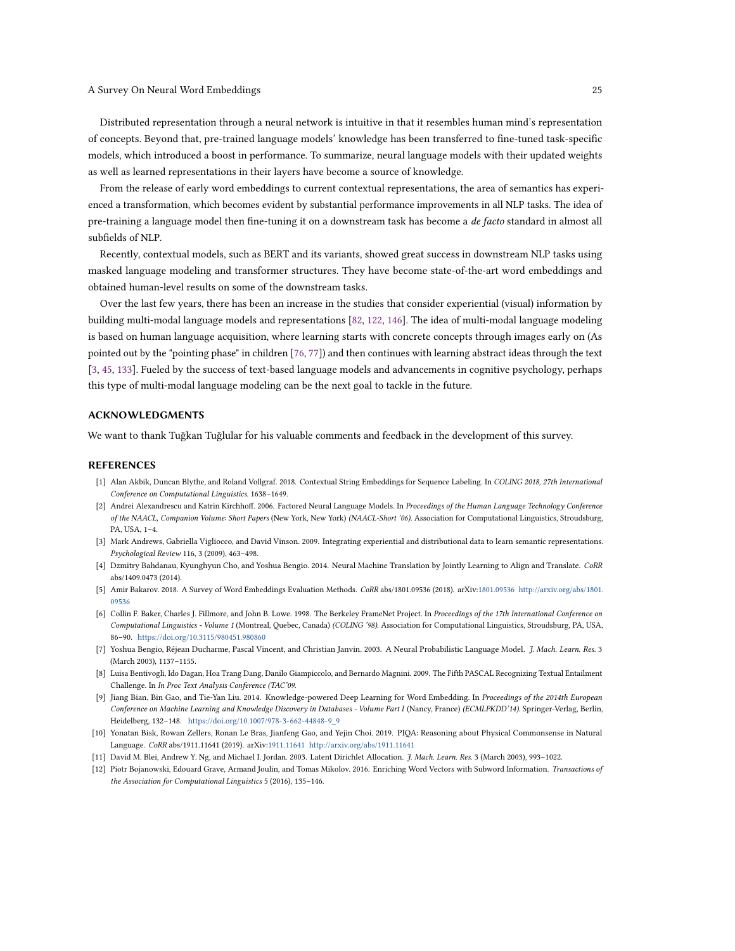Distributed representation through a neural network is intuitive in that it resembles human mind's representation of concepts. Beyond that, pre-trained language models' knowledge has been transferred to fine-tuned task-specific models, which introduced a boost in performance. To summarize, neural language models with their updated weights as well as learned representations in their layers have become a source of knowledge.

From the release of early word embeddings to current contextual representations, the area of semantics has experienced a transformation, which becomes evident by substantial performance improvements in all NLP tasks. The idea of pre-training a language model then fine-tuning it on a downstream task has become a de facto standard in almost all subfields of NLP.

Recently, contextual models, such as BERT and its variants, showed great success in downstream NLP tasks using masked language modeling and transformer structures. They have become state-of-the-art word embeddings and obtained human-level results on some of the downstream tasks.

Over the last few years, there has been an increase in the studies that consider experiential (visual) information by building multi-modal language models and representations [\[82,](#page-27-21) [122,](#page-29-22) [146\]](#page-30-19). The idea of multi-modal language modeling is based on human language acquisition, where learning starts with concrete concepts through images early on (As pointed out by the "pointing phase" in children [\[76,](#page-27-22) [77\]](#page-27-23)) and then continues with learning abstract ideas through the text [\[3,](#page-24-11) [45,](#page-26-24) [133\]](#page-30-20). Fueled by the success of text-based language models and advancements in cognitive psychology, perhaps this type of multi-modal language modeling can be the next goal to tackle in the future.

### ACKNOWLEDGMENTS

We want to thank Tuğkan Tuğlular for his valuable comments and feedback in the development of this survey.

#### REFERENCES

- <span id="page-24-7"></span>[1] Alan Akbik, Duncan Blythe, and Roland Vollgraf. 2018. Contextual String Embeddings for Sequence Labeling. In COLING 2018, 27th International Conference on Computational Linguistics. 1638–1649.
- <span id="page-24-1"></span>[2] Andrei Alexandrescu and Katrin Kirchhoff. 2006. Factored Neural Language Models. In Proceedings of the Human Language Technology Conference of the NAACL, Companion Volume: Short Papers (New York, New York) (NAACL-Short '06). Association for Computational Linguistics, Stroudsburg, PA, USA, 1–4.
- <span id="page-24-11"></span>[3] Mark Andrews, Gabriella Vigliocco, and David Vinson. 2009. Integrating experiential and distributional data to learn semantic representations. Psychological Review 116, 3 (2009), 463–498.
- <span id="page-24-6"></span>[4] Dzmitry Bahdanau, Kyunghyun Cho, and Yoshua Bengio. 2014. Neural Machine Translation by Jointly Learning to Align and Translate. CoRR abs/1409.0473 (2014).
- <span id="page-24-10"></span>[5] Amir Bakarov. 2018. A Survey of Word Embeddings Evaluation Methods. CoRR abs/1801.09536 (2018). arXiv[:1801.09536](http://arxiv.org/abs/1801.09536) [http://arxiv.org/abs/1801.](http://arxiv.org/abs/1801.09536) [09536](http://arxiv.org/abs/1801.09536)
- <span id="page-24-2"></span>[6] Collin F. Baker, Charles J. Fillmore, and John B. Lowe. 1998. The Berkeley FrameNet Project. In Proceedings of the 17th International Conference on Computational Linguistics - Volume 1 (Montreal, Quebec, Canada) (COLING '98). Association for Computational Linguistics, Stroudsburg, PA, USA, 86–90. <https://doi.org/10.3115/980451.980860>
- <span id="page-24-0"></span>[7] Yoshua Bengio, Réjean Ducharme, Pascal Vincent, and Christian Janvin. 2003. A Neural Probabilistic Language Model. J. Mach. Learn. Res. 3 (March 2003), 1137–1155.
- <span id="page-24-9"></span>[8] Luisa Bentivogli, Ido Dagan, Hoa Trang Dang, Danilo Giampiccolo, and Bernardo Magnini. 2009. The Fifth PASCAL Recognizing Textual Entailment Challenge. In In Proc Text Analysis Conference (TAC'09.
- <span id="page-24-4"></span>[9] Jiang Bian, Bin Gao, and Tie-Yan Liu. 2014. Knowledge-powered Deep Learning for Word Embedding. In Proceedings of the 2014th European Conference on Machine Learning and Knowledge Discovery in Databases - Volume Part I (Nancy, France) (ECMLPKDD'14). Springer-Verlag, Berlin, Heidelberg, 132–148. [https://doi.org/10.1007/978-3-662-44848-9\\_9](https://doi.org/10.1007/978-3-662-44848-9_9)
- <span id="page-24-8"></span>[10] Yonatan Bisk, Rowan Zellers, Ronan Le Bras, Jianfeng Gao, and Yejin Choi. 2019. PIQA: Reasoning about Physical Commonsense in Natural Language. CoRR abs/1911.11641 (2019). arXiv[:1911.11641](http://arxiv.org/abs/1911.11641) <http://arxiv.org/abs/1911.11641>
- <span id="page-24-3"></span>[11] David M. Blei, Andrew Y. Ng, and Michael I. Jordan. 2003. Latent Dirichlet Allocation. J. Mach. Learn. Res. 3 (March 2003), 993–1022.
- <span id="page-24-5"></span>[12] Piotr Bojanowski, Edouard Grave, Armand Joulin, and Tomas Mikolov. 2016. Enriching Word Vectors with Subword Information. Transactions of the Association for Computational Linguistics 5 (2016), 135–146.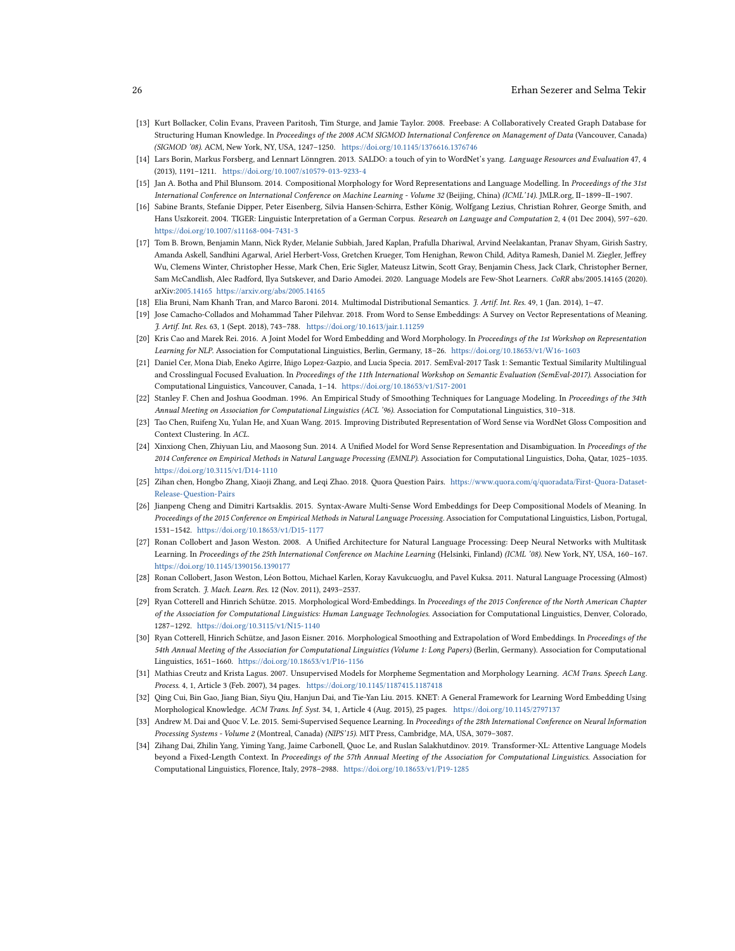### 26 Erhan Sezerer and Selma Tekir

- <span id="page-25-10"></span>[13] Kurt Bollacker, Colin Evans, Praveen Paritosh, Tim Sturge, and Jamie Taylor. 2008. Freebase: A Collaboratively Created Graph Database for Structuring Human Knowledge. In Proceedings of the 2008 ACM SIGMOD International Conference on Management of Data (Vancouver, Canada) (SIGMOD '08). ACM, New York, NY, USA, 1247–1250. <https://doi.org/10.1145/1376616.1376746>
- <span id="page-25-6"></span>[14] Lars Borin, Markus Forsberg, and Lennart Lönngren. 2013. SALDO: a touch of vin to WordNet's vang. Language Resources and Evaluation 47, 4 (2013), 1191–1211. <https://doi.org/10.1007/s10579-013-9233-4>
- <span id="page-25-9"></span>[15] Jan A. Botha and Phil Blunsom. 2014. Compositional Morphology for Word Representations and Language Modelling. In Proceedings of the 31st International Conference on International Conference on Machine Learning - Volume 32 (Beijing, China) (ICML'14). JMLR.org, II–1899–II–1907.
- <span id="page-25-13"></span>[16] Sabine Brants, Stefanie Dipper, Peter Eisenberg, Silvia Hansen-Schirra, Esther König, Wolfgang Lezius, Christian Rohrer, George Smith, and Hans Uszkoreit. 2004. TIGER: Linguistic Interpretation of a German Corpus. Research on Language and Computation 2, 4 (01 Dec 2004), 597–620. <https://doi.org/10.1007/s11168-004-7431-3>
- <span id="page-25-18"></span>[17] Tom B. Brown, Benjamin Mann, Nick Ryder, Melanie Subbiah, Jared Kaplan, Prafulla Dhariwal, Arvind Neelakantan, Pranav Shyam, Girish Sastry, Amanda Askell, Sandhini Agarwal, Ariel Herbert-Voss, Gretchen Krueger, Tom Henighan, Rewon Child, Aditya Ramesh, Daniel M. Ziegler, Jeffrey Wu, Clemens Winter, Christopher Hesse, Mark Chen, Eric Sigler, Mateusz Litwin, Scott Gray, Benjamin Chess, Jack Clark, Christopher Berner, Sam McCandlish, Alec Radford, Ilya Sutskever, and Dario Amodei. 2020. Language Models are Few-Shot Learners. CoRR abs/2005.14165 (2020). arXiv[:2005.14165](http://arxiv.org/abs/2005.14165) <https://arxiv.org/abs/2005.14165>
- <span id="page-25-19"></span>[18] Elia Bruni, Nam Khanh Tran, and Marco Baroni. 2014. Multimodal Distributional Semantics. J. Artif. Int. Res. 49, 1 (Jan. 2014), 1–47.
- <span id="page-25-3"></span>[19] Jose Camacho-Collados and Mohammad Taher Pilehvar. 2018. From Word to Sense Embeddings: A Survey on Vector Representations of Meaning. J. Artif. Int. Res. 63, 1 (Sept. 2018), 743–788. <https://doi.org/10.1613/jair.1.11259>
- <span id="page-25-15"></span>[20] Kris Cao and Marek Rei. 2016. A Joint Model for Word Embedding and Word Morphology. In Proceedings of the 1st Workshop on Representation Learning for NLP. Association for Computational Linguistics, Berlin, Germany, 18–26. <https://doi.org/10.18653/v1/W16-1603>
- <span id="page-25-20"></span>[21] Daniel Cer, Mona Diab, Eneko Agirre, Iñigo Lopez-Gazpio, and Lucia Specia. 2017. SemEval-2017 Task 1: Semantic Textual Similarity Multilingual and Crosslingual Focused Evaluation. In Proceedings of the 11th International Workshop on Semantic Evaluation (SemEval-2017). Association for Computational Linguistics, Vancouver, Canada, 1–14. <https://doi.org/10.18653/v1/S17-2001>
- <span id="page-25-0"></span>[22] Stanley F. Chen and Joshua Goodman. 1996. An Empirical Study of Smoothing Techniques for Language Modeling. In Proceedings of the 34th Annual Meeting on Association for Computational Linguistics (ACL '96). Association for Computational Linguistics, 310–318.
- <span id="page-25-4"></span>[23] Tao Chen, Ruifeng Xu, Yulan He, and Xuan Wang. 2015. Improving Distributed Representation of Word Sense via WordNet Gloss Composition and Context Clustering. In ACL.
- <span id="page-25-5"></span>[24] Xinxiong Chen, Zhiyuan Liu, and Maosong Sun. 2014. A Unified Model for Word Sense Representation and Disambiguation. In Proceedings of the 2014 Conference on Empirical Methods in Natural Language Processing (EMNLP). Association for Computational Linguistics, Doha, Qatar, 1025–1035. <https://doi.org/10.3115/v1/D14-1110>
- <span id="page-25-21"></span>[25] Zihan chen, Hongbo Zhang, Xiaoji Zhang, and Leqi Zhao. 2018. Quora Question Pairs. [https://www.quora.com/q/quoradata/First-Quora-Dataset-](https://www.quora.com/q/quoradata/First-Quora-Dataset-Release-Question-Pairs)[Release-Question-Pairs](https://www.quora.com/q/quoradata/First-Quora-Dataset-Release-Question-Pairs)
- <span id="page-25-7"></span>[26] Jianpeng Cheng and Dimitri Kartsaklis. 2015. Syntax-Aware Multi-Sense Word Embeddings for Deep Compositional Models of Meaning. In Proceedings of the 2015 Conference on Empirical Methods in Natural Language Processing. Association for Computational Linguistics, Lisbon, Portugal, 1531–1542. <https://doi.org/10.18653/v1/D15-1177>
- <span id="page-25-1"></span>[27] Ronan Collobert and Jason Weston. 2008. A Unified Architecture for Natural Language Processing: Deep Neural Networks with Multitask Learning. In Proceedings of the 25th International Conference on Machine Learning (Helsinki, Finland) (ICML '08). New York, NY, USA, 160–167. <https://doi.org/10.1145/1390156.1390177>
- <span id="page-25-2"></span>[28] Ronan Collobert, Jason Weston, Léon Bottou, Michael Karlen, Koray Kavukcuoglu, and Pavel Kuksa. 2011. Natural Language Processing (Almost) from Scratch. J. Mach. Learn. Res. 12 (Nov. 2011), 2493–2537.
- <span id="page-25-12"></span>[29] Ryan Cotterell and Hinrich Schütze. 2015. Morphological Word-Embeddings. In Proceedings of the 2015 Conference of the North American Chapter of the Association for Computational Linguistics: Human Language Technologies. Association for Computational Linguistics, Denver, Colorado, 1287–1292. <https://doi.org/10.3115/v1/N15-1140>
- <span id="page-25-14"></span>[30] Ryan Cotterell, Hinrich Schütze, and Jason Eisner. 2016. Morphological Smoothing and Extrapolation of Word Embeddings. In Proceedings of the 54th Annual Meeting of the Association for Computational Linguistics (Volume 1: Long Papers) (Berlin, Germany). Association for Computational Linguistics, 1651–1660. <https://doi.org/10.18653/v1/P16-1156>
- <span id="page-25-8"></span>[31] Mathias Creutz and Krista Lagus. 2007. Unsupervised Models for Morpheme Segmentation and Morphology Learning. ACM Trans. Speech Lang. Process. 4, 1, Article 3 (Feb. 2007), 34 pages. <https://doi.org/10.1145/1187415.1187418>
- <span id="page-25-11"></span>[32] Qing Cui, Bin Gao, Jiang Bian, Siyu Qiu, Hanjun Dai, and Tie-Yan Liu. 2015. KNET: A General Framework for Learning Word Embedding Using Morphological Knowledge. ACM Trans. Inf. Syst. 34, 1, Article 4 (Aug. 2015), 25 pages. <https://doi.org/10.1145/2797137>
- <span id="page-25-16"></span>[33] Andrew M. Dai and Quoc V. Le. 2015. Semi-Supervised Sequence Learning. In Proceedings of the 28th International Conference on Neural Information Processing Systems - Volume 2 (Montreal, Canada) (NIPS'15). MIT Press, Cambridge, MA, USA, 3079–3087.
- <span id="page-25-17"></span>[34] Zihang Dai, Zhilin Yang, Yiming Yang, Jaime Carbonell, Quoc Le, and Ruslan Salakhutdinov. 2019. Transformer-XL: Attentive Language Models beyond a Fixed-Length Context. In Proceedings of the 57th Annual Meeting of the Association for Computational Linguistics. Association for Computational Linguistics, Florence, Italy, 2978–2988. <https://doi.org/10.18653/v1/P19-1285>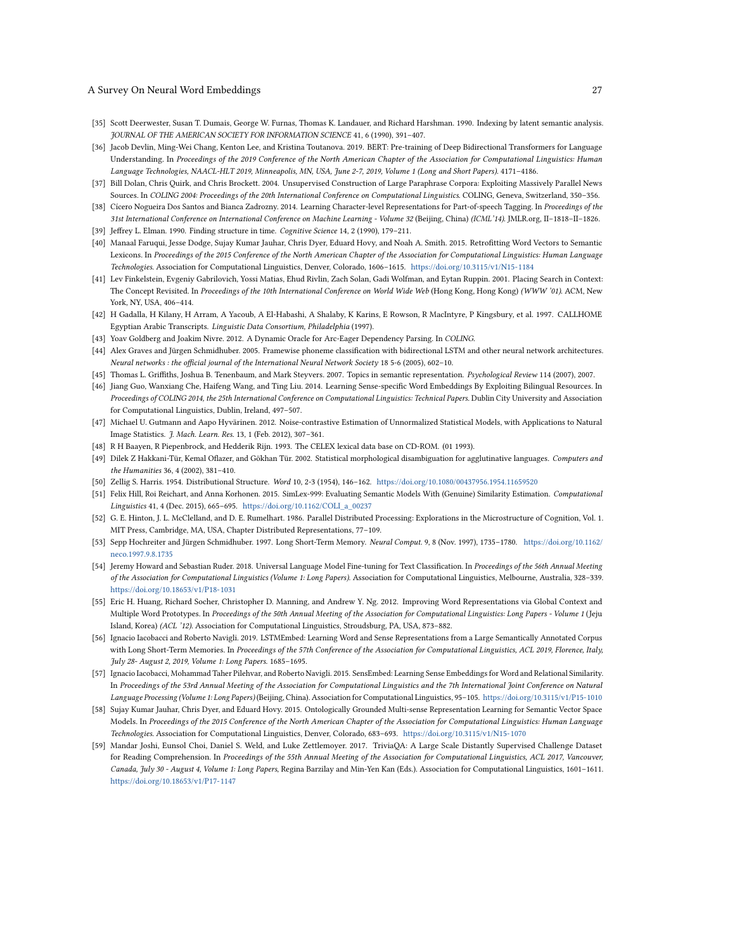- <span id="page-26-0"></span>[35] Scott Deerwester, Susan T. Dumais, George W. Furnas, Thomas K. Landauer, and Richard Harshman. 1990. Indexing by latent semantic analysis. JOURNAL OF THE AMERICAN SOCIETY FOR INFORMATION SCIENCE 41, 6 (1990), 391–407.
- <span id="page-26-19"></span>[36] Jacob Devlin, Ming-Wei Chang, Kenton Lee, and Kristina Toutanova. 2019. BERT: Pre-training of Deep Bidirectional Transformers for Language Understanding. In Proceedings of the 2019 Conference of the North American Chapter of the Association for Computational Linguistics: Human Language Technologies, NAACL-HLT 2019, Minneapolis, MN, USA, June 2-7, 2019, Volume 1 (Long and Short Papers). 4171–4186.
- <span id="page-26-23"></span>[37] Bill Dolan, Chris Quirk, and Chris Brockett. 2004. Unsupervised Construction of Large Paraphrase Corpora: Exploiting Massively Parallel News Sources. In COLING 2004: Proceedings of the 20th International Conference on Computational Linguistics. COLING, Geneva, Switzerland, 350–356.
- <span id="page-26-14"></span>[38] Cícero Nogueira Dos Santos and Bianca Zadrozny. 2014. Learning Character-level Representations for Part-of-speech Tagging. In Proceedings of the 31st International Conference on International Conference on Machine Learning - Volume 32 (Beijing, China) (ICML'14). JMLR.org, II–1818–II–1826.
- <span id="page-26-3"></span>[39] Jeffrey L. Elman. 1990. Finding structure in time. Cognitive Science 14, 2 (1990), 179–211.
- <span id="page-26-8"></span>[40] Manaal Faruqui, Jesse Dodge, Sujay Kumar Jauhar, Chris Dyer, Eduard Hovy, and Noah A. Smith. 2015. Retrofitting Word Vectors to Semantic Lexicons. In Proceedings of the 2015 Conference of the North American Chapter of the Association for Computational Linguistics: Human Language Technologies. Association for Computational Linguistics, Denver, Colorado, 1606–1615. <https://doi.org/10.3115/v1/N15-1184>
- <span id="page-26-21"></span>[41] Lev Finkelstein, Evgeniy Gabrilovich, Yossi Matias, Ehud Rivlin, Zach Solan, Gadi Wolfman, and Eytan Ruppin. 2001. Placing Search in Context: The Concept Revisited. In Proceedings of the 10th International Conference on World Wide Web (Hong Kong, Hong Kong) (WWW '01). ACM, New York, NY, USA, 406–414.
- <span id="page-26-4"></span>[42] H Gadalla, H Kilany, H Arram, A Yacoub, A El-Habashi, A Shalaby, K Karins, E Rowson, R MacIntyre, P Kingsbury, et al. 1997. CALLHOME Egyptian Arabic Transcripts. Linguistic Data Consortium, Philadelphia (1997).
- <span id="page-26-7"></span>[43] Yoav Goldberg and Joakim Nivre. 2012. A Dynamic Oracle for Arc-Eager Dependency Parsing. In COLING.
- <span id="page-26-15"></span>[44] Alex Graves and Jürgen Schmidhuber. 2005. Framewise phoneme classification with bidirectional LSTM and other neural network architectures. Neural networks : the official journal of the International Neural Network Society 18 5-6 (2005), 602–10.
- <span id="page-26-24"></span>[45] Thomas L. Griffiths, Joshua B. Tenenbaum, and Mark Steyvers. 2007. Topics in semantic representation. Psychological Review 114 (2007), 2007.
- <span id="page-26-12"></span>[46] Jiang Guo, Wanxiang Che, Haifeng Wang, and Ting Liu. 2014. Learning Sense-specific Word Embeddings By Exploiting Bilingual Resources. In Proceedings of COLING 2014, the 25th International Conference on Computational Linguistics: Technical Papers. Dublin City University and Association for Computational Linguistics, Dublin, Ireland, 497–507.
- <span id="page-26-6"></span>[47] Michael U. Gutmann and Aapo Hyvärinen. 2012. Noise-contrastive Estimation of Unnormalized Statistical Models, with Applications to Natural Image Statistics. J. Mach. Learn. Res. 13, 1 (Feb. 2012), 307–361.
- <span id="page-26-16"></span>[48] R H Baayen, R Piepenbrock, and Hedderik Rijn. 1993. The CELEX lexical data base on CD-ROM. (01 1993).
- <span id="page-26-5"></span>[49] Dilek Z Hakkani-Tür, Kemal Oflazer, and Gökhan Tür. 2002. Statistical morphological disambiguation for agglutinative languages. Computers and the Humanities 36, 4 (2002), 381–410.
- <span id="page-26-1"></span>[50] Zellig S. Harris. 1954. Distributional Structure. Word 10, 2-3 (1954), 146–162. <https://doi.org/10.1080/00437956.1954.11659520>
- <span id="page-26-22"></span>[51] Felix Hill, Roi Reichart, and Anna Korhonen. 2015. SimLex-999: Evaluating Semantic Models With (Genuine) Similarity Estimation. Computational Linguistics 41, 4 (Dec. 2015), 665–695. [https://doi.org/10.1162/COLI\\_a\\_00237](https://doi.org/10.1162/COLI_a_00237)
- <span id="page-26-2"></span>[52] G. E. Hinton, J. L. McClelland, and D. E. Rumelhart. 1986. Parallel Distributed Processing: Explorations in the Microstructure of Cognition, Vol. 1. MIT Press, Cambridge, MA, USA, Chapter Distributed Representations, 77–109.
- <span id="page-26-17"></span>[53] Sepp Hochreiter and Jürgen Schmidhuber. 1997. Long Short-Term Memory. Neural Comput. 9, 8 (Nov. 1997), 1735–1780. [https://doi.org/10.1162/](https://doi.org/10.1162/neco.1997.9.8.1735) [neco.1997.9.8.1735](https://doi.org/10.1162/neco.1997.9.8.1735)
- <span id="page-26-18"></span>[54] Jeremy Howard and Sebastian Ruder. 2018. Universal Language Model Fine-tuning for Text Classification. In Proceedings of the 56th Annual Meeting of the Association for Computational Linguistics (Volume 1: Long Papers). Association for Computational Linguistics, Melbourne, Australia, 328–339. <https://doi.org/10.18653/v1/P18-1031>
- <span id="page-26-9"></span>[55] Eric H. Huang, Richard Socher, Christopher D. Manning, and Andrew Y. Ng. 2012. Improving Word Representations via Global Context and Multiple Word Prototypes. In Proceedings of the 50th Annual Meeting of the Association for Computational Linguistics: Long Papers - Volume 1 (Jeju Island, Korea) (ACL '12). Association for Computational Linguistics, Stroudsburg, PA, USA, 873–882.
- <span id="page-26-13"></span>[56] Ignacio Iacobacci and Roberto Navigli. 2019. LSTMEmbed: Learning Word and Sense Representations from a Large Semantically Annotated Corpus with Long Short-Term Memories. In Proceedings of the 57th Conference of the Association for Computational Linguistics, ACL 2019, Florence, Italy, July 28- August 2, 2019, Volume 1: Long Papers. 1685–1695.
- <span id="page-26-10"></span>[57] Ignacio Iacobacci, Mohammad Taher Pilehvar, and Roberto Navigli. 2015. SensEmbed: Learning Sense Embeddings for Word and Relational Similarity. In Proceedings of the 53rd Annual Meeting of the Association for Computational Linguistics and the 7th International Joint Conference on Natural Language Processing (Volume 1: Long Papers) (Beijing, China). Association for Computational Linguistics, 95–105. <https://doi.org/10.3115/v1/P15-1010>
- <span id="page-26-11"></span>[58] Sujay Kumar Jauhar, Chris Dyer, and Eduard Hovy. 2015. Ontologically Grounded Multi-sense Representation Learning for Semantic Vector Space Models. In Proceedings of the 2015 Conference of the North American Chapter of the Association for Computational Linguistics: Human Language Technologies. Association for Computational Linguistics, Denver, Colorado, 683–693. <https://doi.org/10.3115/v1/N15-1070>
- <span id="page-26-20"></span>[59] Mandar Joshi, Eunsol Choi, Daniel S. Weld, and Luke Zettlemoyer. 2017. TriviaQA: A Large Scale Distantly Supervised Challenge Dataset for Reading Comprehension. In Proceedings of the 55th Annual Meeting of the Association for Computational Linguistics, ACL 2017, Vancouver, Canada, July 30 - August 4, Volume 1: Long Papers, Regina Barzilay and Min-Yen Kan (Eds.). Association for Computational Linguistics, 1601–1611. <https://doi.org/10.18653/v1/P17-1147>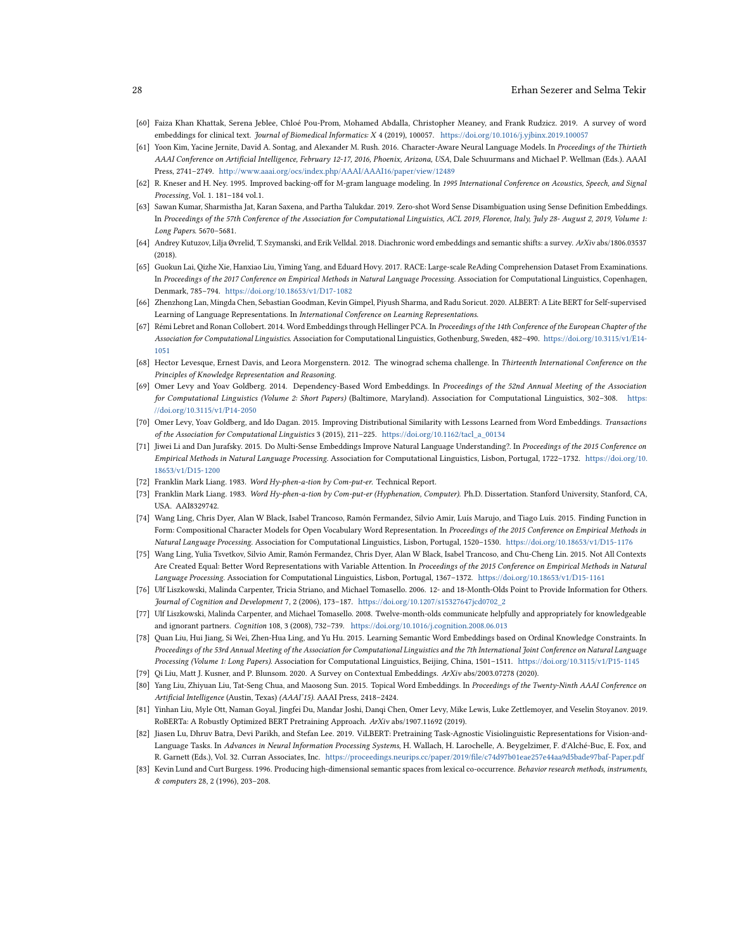### 28 Erhan Sezerer and Selma Tekir

- <span id="page-27-2"></span>[60] Faiza Khan Khattak, Serena Jeblee, Chloé Pou-Prom, Mohamed Abdalla, Christopher Meaney, and Frank Rudzicz. 2019. A survey of word embeddings for clinical text. Journal of Biomedical Informatics: X 4 (2019), 100057. <https://doi.org/10.1016/j.yjbinx.2019.100057>
- <span id="page-27-14"></span>[61] Yoon Kim, Yacine Jernite, David A. Sontag, and Alexander M. Rush. 2016. Character-Aware Neural Language Models. In Proceedings of the Thirtieth AAAI Conference on Artificial Intelligence, February 12-17, 2016, Phoenix, Arizona, USA, Dale Schuurmans and Michael P. Wellman (Eds.). AAAI Press, 2741–2749. <http://www.aaai.org/ocs/index.php/AAAI/AAAI16/paper/view/12489>
- <span id="page-27-4"></span>[62] R. Kneser and H. Ney. 1995. Improved backing-off for M-gram language modeling. In 1995 International Conference on Acoustics, Speech, and Signal Processing, Vol. 1. 181–184 vol.1.
- <span id="page-27-11"></span>[63] Sawan Kumar, Sharmistha Jat, Karan Saxena, and Partha Talukdar. 2019. Zero-shot Word Sense Disambiguation using Sense Definition Embeddings. In Proceedings of the 57th Conference of the Association for Computational Linguistics, ACL 2019, Florence, Italy, July 28- August 2, 2019, Volume 1: Long Papers. 5670–5681.
- <span id="page-27-3"></span>[64] Andrey Kutuzov, Lilja Øvrelid, T. Szymanski, and Erik Velldal. 2018. Diachronic word embeddings and semantic shifts: a survey. ArXiv abs/1806.03537 (2018).
- <span id="page-27-20"></span>[65] Guokun Lai, Qizhe Xie, Hanxiao Liu, Yiming Yang, and Eduard Hovy. 2017. RACE: Large-scale ReAding Comprehension Dataset From Examinations. In Proceedings of the 2017 Conference on Empirical Methods in Natural Language Processing. Association for Computational Linguistics, Copenhagen, Denmark, 785–794. <https://doi.org/10.18653/v1/D17-1082>
- <span id="page-27-17"></span>[66] Zhenzhong Lan, Mingda Chen, Sebastian Goodman, Kevin Gimpel, Piyush Sharma, and Radu Soricut. 2020. ALBERT: A Lite BERT for Self-supervised Learning of Language Representations. In International Conference on Learning Representations.
- <span id="page-27-0"></span>[67] Rémi Lebret and Ronan Collobert. 2014. Word Embeddings through Hellinger PCA. In Proceedings of the 14th Conference of the European Chapter of the Association for Computational Linguistics. Association for Computational Linguistics, Gothenburg, Sweden, 482–490. [https://doi.org/10.3115/v1/E14-](https://doi.org/10.3115/v1/E14-1051) [1051](https://doi.org/10.3115/v1/E14-1051)
- <span id="page-27-19"></span>[68] Hector Levesque, Ernest Davis, and Leora Morgenstern. 2012. The winograd schema challenge. In Thirteenth International Conference on the Principles of Knowledge Representation and Reasoning.
- <span id="page-27-5"></span>[69] Omer Levy and Yoav Goldberg. 2014. Dependency-Based Word Embeddings. In Proceedings of the 52nd Annual Meeting of the Association for Computational Linguistics (Volume 2: Short Papers) (Baltimore, Maryland). Association for Computational Linguistics, 302–308. [https:](https://doi.org/10.3115/v1/P14-2050) [//doi.org/10.3115/v1/P14-2050](https://doi.org/10.3115/v1/P14-2050)
- <span id="page-27-8"></span>[70] Omer Levy, Yoav Goldberg, and Ido Dagan. 2015. Improving Distributional Similarity with Lessons Learned from Word Embeddings. Transactions of the Association for Computational Linguistics 3 (2015), 211–225. [https://doi.org/10.1162/tacl\\_a\\_00134](https://doi.org/10.1162/tacl_a_00134)
- <span id="page-27-10"></span>[71] Jiwei Li and Dan Jurafsky. 2015. Do Multi-Sense Embeddings Improve Natural Language Understanding?. In Proceedings of the 2015 Conference on Empirical Methods in Natural Language Processing. Association for Computational Linguistics, Lisbon, Portugal, 1722–1732. [https://doi.org/10.](https://doi.org/10.18653/v1/D15-1200) [18653/v1/D15-1200](https://doi.org/10.18653/v1/D15-1200)
- <span id="page-27-12"></span>[72] Franklin Mark Liang. 1983. Word Hy-phen-a-tion by Com-put-er. Technical Report.
- <span id="page-27-15"></span>[73] Franklin Mark Liang. 1983. Word Hy-phen-a-tion by Com-put-er (Hyphenation, Computer). Ph.D. Dissertation. Stanford University, Stanford, CA, USA. AAI8329742.
- <span id="page-27-13"></span>[74] Wang Ling, Chris Dyer, Alan W Black, Isabel Trancoso, Ramón Fermandez, Silvio Amir, Luís Marujo, and Tiago Luís. 2015. Finding Function in Form: Compositional Character Models for Open Vocabulary Word Representation. In Proceedings of the 2015 Conference on Empirical Methods in Natural Language Processing. Association for Computational Linguistics, Lisbon, Portugal, 1520–1530. <https://doi.org/10.18653/v1/D15-1176>
- <span id="page-27-6"></span>[75] Wang Ling, Yulia Tsvetkov, Silvio Amir, Ramón Fermandez, Chris Dyer, Alan W Black, Isabel Trancoso, and Chu-Cheng Lin. 2015. Not All Contexts Are Created Equal: Better Word Representations with Variable Attention. In Proceedings of the 2015 Conference on Empirical Methods in Natural Language Processing. Association for Computational Linguistics, Lisbon, Portugal, 1367–1372. <https://doi.org/10.18653/v1/D15-1161>
- <span id="page-27-22"></span>[76] Ulf Liszkowski, Malinda Carpenter, Tricia Striano, and Michael Tomasello. 2006. 12- and 18-Month-Olds Point to Provide Information for Others. Journal of Cognition and Development 7, 2 (2006), 173–187. [https://doi.org/10.1207/s15327647jcd0702\\_2](https://doi.org/10.1207/s15327647jcd0702_2)
- <span id="page-27-23"></span>[77] Ulf Liszkowski, Malinda Carpenter, and Michael Tomasello. 2008. Twelve-month-olds communicate helpfully and appropriately for knowledgeable and ignorant partners. Cognition 108, 3 (2008), 732–739. <https://doi.org/10.1016/j.cognition.2008.06.013>
- <span id="page-27-7"></span>[78] Quan Liu, Hui Jiang, Si Wei, Zhen-Hua Ling, and Yu Hu. 2015. Learning Semantic Word Embeddings based on Ordinal Knowledge Constraints. In Proceedings of the 53rd Annual Meeting of the Association for Computational Linguistics and the 7th International Joint Conference on Natural Language Processing (Volume 1: Long Papers). Association for Computational Linguistics, Beijing, China, 1501–1511. <https://doi.org/10.3115/v1/P15-1145>
- <span id="page-27-16"></span>[79] Qi Liu, Matt J. Kusner, and P. Blunsom. 2020. A Survey on Contextual Embeddings. ArXiv abs/2003.07278 (2020).
- <span id="page-27-9"></span>[80] Yang Liu, Zhiyuan Liu, Tat-Seng Chua, and Maosong Sun. 2015. Topical Word Embeddings. In Proceedings of the Twenty-Ninth AAAI Conference on Artificial Intelligence (Austin, Texas) (AAAI'15). AAAI Press, 2418–2424.
- <span id="page-27-18"></span>[81] Yinhan Liu, Myle Ott, Naman Goyal, Jingfei Du, Mandar Joshi, Danqi Chen, Omer Levy, Mike Lewis, Luke Zettlemoyer, and Veselin Stoyanov. 2019. RoBERTa: A Robustly Optimized BERT Pretraining Approach. ArXiv abs/1907.11692 (2019).
- <span id="page-27-21"></span>[82] Jiasen Lu, Dhruv Batra, Devi Parikh, and Stefan Lee. 2019. ViLBERT: Pretraining Task-Agnostic Visiolinguistic Representations for Vision-and-Language Tasks. In Advances in Neural Information Processing Systems, H. Wallach, H. Larochelle, A. Beygelzimer, F. d'Alché-Buc, E. Fox, and R. Garnett (Eds.), Vol. 32. Curran Associates, Inc. <https://proceedings.neurips.cc/paper/2019/file/c74d97b01eae257e44aa9d5bade97baf-Paper.pdf>
- <span id="page-27-1"></span>[83] Kevin Lund and Curt Burgess. 1996. Producing high-dimensional semantic spaces from lexical co-occurrence. Behavior research methods, instruments, & computers 28, 2 (1996), 203–208.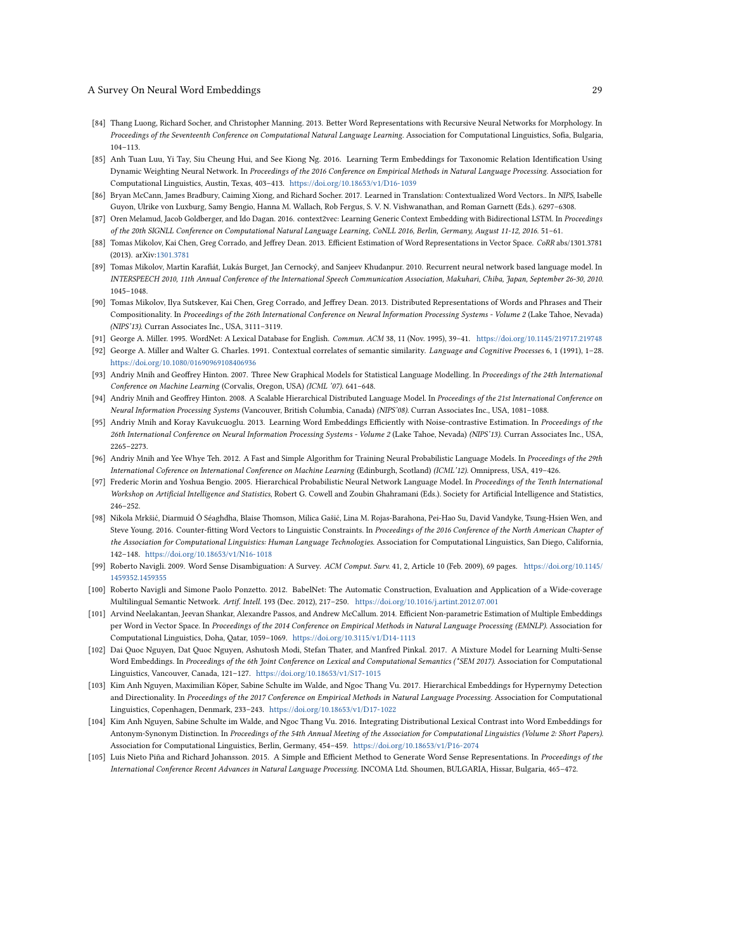- <span id="page-28-18"></span>[84] Thang Luong, Richard Socher, and Christopher Manning. 2013. Better Word Representations with Recursive Neural Networks for Morphology. In Proceedings of the Seventeenth Conference on Computational Natural Language Learning. Association for Computational Linguistics, Sofia, Bulgaria, 104–113.
- <span id="page-28-11"></span>[85] Anh Tuan Luu, Yi Tay, Siu Cheung Hui, and See Kiong Ng. 2016. Learning Term Embeddings for Taxonomic Relation Identification Using Dynamic Weighting Neural Network. In Proceedings of the 2016 Conference on Empirical Methods in Natural Language Processing. Association for Computational Linguistics, Austin, Texas, 403–413. <https://doi.org/10.18653/v1/D16-1039>
- <span id="page-28-20"></span>[86] Bryan McCann, James Bradbury, Caiming Xiong, and Richard Socher. 2017. Learned in Translation: Contextualized Word Vectors.. In NIPS, Isabelle Guyon, Ulrike von Luxburg, Samy Bengio, Hanna M. Wallach, Rob Fergus, S. V. N. Vishwanathan, and Roman Garnett (Eds.). 6297–6308.
- <span id="page-28-19"></span>[87] Oren Melamud, Jacob Goldberger, and Ido Dagan. 2016. context2vec: Learning Generic Context Embedding with Bidirectional LSTM. In Proceedings of the 20th SIGNLL Conference on Computational Natural Language Learning, CoNLL 2016, Berlin, Germany, August 11-12, 2016. 51–61.
- <span id="page-28-4"></span>[88] Tomas Mikolov, Kai Chen, Greg Corrado, and Jeffrey Dean. 2013. Efficient Estimation of Word Representations in Vector Space. CoRR abs/1301.3781 (2013). arXiv[:1301.3781](http://arxiv.org/abs/1301.3781)
- <span id="page-28-3"></span>[89] Tomas Mikolov, Martin Karafiát, Lukás Burget, Jan Cernocký, and Sanjeev Khudanpur. 2010. Recurrent neural network based language model. In INTERSPEECH 2010, 11th Annual Conference of the International Speech Communication Association, Makuhari, Chiba, Japan, September 26-30, 2010. 1045–1048.
- <span id="page-28-6"></span>[90] Tomas Mikolov, Ilya Sutskever, Kai Chen, Greg Corrado, and Jeffrey Dean. 2013. Distributed Representations of Words and Phrases and Their Compositionality. In Proceedings of the 26th International Conference on Neural Information Processing Systems - Volume 2 (Lake Tahoe, Nevada) (NIPS'13). Curran Associates Inc., USA, 3111–3119.
- <span id="page-28-5"></span>[91] George A. Miller. 1995. WordNet: A Lexical Database for English. Commun. ACM 38, 11 (Nov. 1995), 39–41. <https://doi.org/10.1145/219717.219748>
- <span id="page-28-21"></span>[92] George A. Miller and Walter G. Charles. 1991. Contextual correlates of semantic similarity. Language and Cognitive Processes 6, 1 (1991), 1–28. <https://doi.org/10.1080/01690969108406936>
- <span id="page-28-2"></span>[93] Andriy Mnih and Geoffrey Hinton. 2007. Three New Graphical Models for Statistical Language Modelling. In Proceedings of the 24th International Conference on Machine Learning (Corvalis, Oregon, USA) (ICML '07). 641–648.
- <span id="page-28-1"></span>[94] Andriy Mnih and Geoffrey Hinton. 2008. A Scalable Hierarchical Distributed Language Model. In Proceedings of the 21st International Conference on Neural Information Processing Systems (Vancouver, British Columbia, Canada) (NIPS'08). Curran Associates Inc., USA, 1081–1088.
- <span id="page-28-7"></span>[95] Andriy Mnih and Koray Kavukcuoglu. 2013. Learning Word Embeddings Efficiently with Noise-contrastive Estimation. In Proceedings of the 26th International Conference on Neural Information Processing Systems - Volume 2 (Lake Tahoe, Nevada) (NIPS'13). Curran Associates Inc., USA, 2265–2273.
- <span id="page-28-8"></span>[96] Andriy Mnih and Yee Whye Teh. 2012. A Fast and Simple Algorithm for Training Neural Probabilistic Language Models. In Proceedings of the 29th International Coference on International Conference on Machine Learning (Edinburgh, Scotland) (ICML'12). Omnipress, USA, 419–426.
- <span id="page-28-0"></span>[97] Frederic Morin and Yoshua Bengio. 2005. Hierarchical Probabilistic Neural Network Language Model. In Proceedings of the Tenth International Workshop on Artificial Intelligence and Statistics, Robert G. Cowell and Zoubin Ghahramani (Eds.). Society for Artificial Intelligence and Statistics, 246–252.
- <span id="page-28-10"></span>[98] Nikola Mrkšić, Diarmuid Ó Séaghdha, Blaise Thomson, Milica Gašić, Lina M. Rojas-Barahona, Pei-Hao Su, David Vandyke, Tsung-Hsien Wen, and Steve Young. 2016. Counter-fitting Word Vectors to Linguistic Constraints. In Proceedings of the 2016 Conference of the North American Chapter of the Association for Computational Linguistics: Human Language Technologies. Association for Computational Linguistics, San Diego, California, 142–148. <https://doi.org/10.18653/v1/N16-1018>
- <span id="page-28-13"></span>[99] Roberto Navigli. 2009. Word Sense Disambiguation: A Survey. ACM Comput. Surv. 41, 2, Article 10 (Feb. 2009), 69 pages. [https://doi.org/10.1145/](https://doi.org/10.1145/1459352.1459355) [1459352.1459355](https://doi.org/10.1145/1459352.1459355)
- <span id="page-28-14"></span>[100] Roberto Navigli and Simone Paolo Ponzetto. 2012. BabelNet: The Automatic Construction, Evaluation and Application of a Wide-coverage Multilingual Semantic Network. Artif. Intell. 193 (Dec. 2012), 217–250. <https://doi.org/10.1016/j.artint.2012.07.001>
- <span id="page-28-16"></span>[101] Arvind Neelakantan, Jeevan Shankar, Alexandre Passos, and Andrew McCallum. 2014. Efficient Non-parametric Estimation of Multiple Embeddings per Word in Vector Space. In Proceedings of the 2014 Conference on Empirical Methods in Natural Language Processing (EMNLP). Association for Computational Linguistics, Doha, Qatar, 1059–1069. <https://doi.org/10.3115/v1/D14-1113>
- <span id="page-28-17"></span>[102] Dai Quoc Nguyen, Dat Quoc Nguyen, Ashutosh Modi, Stefan Thater, and Manfred Pinkal. 2017. A Mixture Model for Learning Multi-Sense Word Embeddings. In Proceedings of the 6th Joint Conference on Lexical and Computational Semantics (\*SEM 2017). Association for Computational Linguistics, Vancouver, Canada, 121–127. <https://doi.org/10.18653/v1/S17-1015>
- <span id="page-28-12"></span>[103] Kim Anh Nguyen, Maximilian Köper, Sabine Schulte im Walde, and Ngoc Thang Vu. 2017. Hierarchical Embeddings for Hypernymy Detection and Directionality. In Proceedings of the 2017 Conference on Empirical Methods in Natural Language Processing. Association for Computational Linguistics, Copenhagen, Denmark, 233–243. <https://doi.org/10.18653/v1/D17-1022>
- <span id="page-28-9"></span>[104] Kim Anh Nguyen, Sabine Schulte im Walde, and Ngoc Thang Vu. 2016. Integrating Distributional Lexical Contrast into Word Embeddings for Antonym-Synonym Distinction. In Proceedings of the 54th Annual Meeting of the Association for Computational Linguistics (Volume 2: Short Papers). Association for Computational Linguistics, Berlin, Germany, 454–459. <https://doi.org/10.18653/v1/P16-2074>
- <span id="page-28-15"></span>[105] Luis Nieto Piña and Richard Johansson. 2015. A Simple and Efficient Method to Generate Word Sense Representations. In Proceedings of the International Conference Recent Advances in Natural Language Processing. INCOMA Ltd. Shoumen, BULGARIA, Hissar, Bulgaria, 465–472.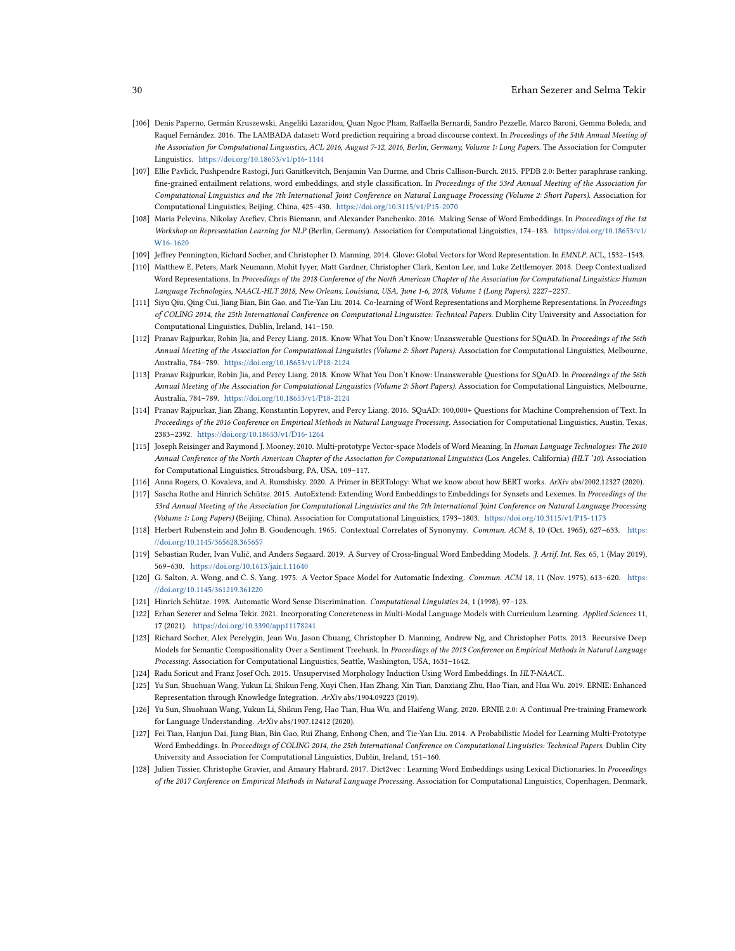### 30 Erhan Sezerer and Selma Tekir

- <span id="page-29-16"></span>[106] Denis Paperno, Germán Kruszewski, Angeliki Lazaridou, Quan Ngoc Pham, Raffaella Bernardi, Sandro Pezzelle, Marco Baroni, Gemma Boleda, and Raquel Fernández. 2016. The LAMBADA dataset: Word prediction requiring a broad discourse context. In Proceedings of the 54th Annual Meeting of the Association for Computational Linguistics, ACL 2016, August 7-12, 2016, Berlin, Germany, Volume 1: Long Papers. The Association for Computer Linguistics. <https://doi.org/10.18653/v1/p16-1144>
- <span id="page-29-3"></span>[107] Ellie Pavlick, Pushpendre Rastogi, Juri Ganitkevitch, Benjamin Van Durme, and Chris Callison-Burch. 2015. PPDB 2.0: Better paraphrase ranking, fine-grained entailment relations, word embeddings, and style classification. In Proceedings of the 53rd Annual Meeting of the Association for Computational Linguistics and the 7th International Joint Conference on Natural Language Processing (Volume 2: Short Papers). Association for Computational Linguistics, Beijing, China, 425–430. <https://doi.org/10.3115/v1/P15-2070>
- <span id="page-29-7"></span>[108] Maria Pelevina, Nikolay Arefiev, Chris Biemann, and Alexander Panchenko. 2016. Making Sense of Word Embeddings. In Proceedings of the 1st Workshop on Representation Learning for NLP (Berlin, Germany). Association for Computational Linguistics, 174–183. [https://doi.org/10.18653/v1/](https://doi.org/10.18653/v1/W16-1620) [W16-1620](https://doi.org/10.18653/v1/W16-1620)
- <span id="page-29-2"></span>[109] Jeffrey Pennington, Richard Socher, and Christopher D. Manning. 2014. Glove: Global Vectors for Word Representation. In EMNLP. ACL, 1532–1543.
- <span id="page-29-12"></span>[110] Matthew E. Peters, Mark Neumann, Mohit Iyyer, Matt Gardner, Christopher Clark, Kenton Lee, and Luke Zettlemoyer. 2018. Deep Contextualized Word Representations. In Proceedings of the 2018 Conference of the North American Chapter of the Association for Computational Linguistics: Human Language Technologies, NAACL-HLT 2018, New Orleans, Louisiana, USA, June 1-6, 2018, Volume 1 (Long Papers). 2227–2237.
- <span id="page-29-9"></span>[111] Siyu Qiu, Qing Cui, Jiang Bian, Bin Gao, and Tie-Yan Liu. 2014. Co-learning of Word Representations and Morpheme Representations. In Proceedings of COLING 2014, the 25th International Conference on Computational Linguistics: Technical Papers. Dublin City University and Association for Computational Linguistics, Dublin, Ireland, 141–150.
- <span id="page-29-19"></span>[112] Pranav Rajpurkar, Robin Jia, and Percy Liang. 2018. Know What You Don't Know: Unanswerable Questions for SQuAD. In Proceedings of the 56th Annual Meeting of the Association for Computational Linguistics (Volume 2: Short Papers). Association for Computational Linguistics, Melbourne, Australia, 784–789. <https://doi.org/10.18653/v1/P18-2124>
- <span id="page-29-21"></span>[113] Pranav Rajpurkar, Robin Jia, and Percy Liang. 2018. Know What You Don't Know: Unanswerable Ouestions for SOuAD. In Proceedings of the 56th Annual Meeting of the Association for Computational Linguistics (Volume 2: Short Papers). Association for Computational Linguistics, Melbourne, Australia, 784–789. <https://doi.org/10.18653/v1/P18-2124>
- <span id="page-29-20"></span>[114] Pranav Rajpurkar, Jian Zhang, Konstantin Lopyrev, and Percy Liang. 2016. SQuAD: 100,000+ Questions for Machine Comprehension of Text. In Proceedings of the 2016 Conference on Empirical Methods in Natural Language Processing. Association for Computational Linguistics, Austin, Texas, 2383–2392. <https://doi.org/10.18653/v1/D16-1264>
- <span id="page-29-6"></span>[115] Joseph Reisinger and Raymond J. Mooney. 2010. Multi-prototype Vector-space Models of Word Meaning. In Human Language Technologies: The 2010 Annual Conference of the North American Chapter of the Association for Computational Linguistics (Los Angeles, California) (HLT '10). Association for Computational Linguistics, Stroudsburg, PA, USA, 109–117.
- <span id="page-29-13"></span>[116] Anna Rogers, O. Kovaleva, and A. Rumshisky. 2020. A Primer in BERTology: What we know about how BERT works. ArXiv abs/2002.12327 (2020).
- <span id="page-29-10"></span>[117] Sascha Rothe and Hinrich Schütze. 2015. AutoExtend: Extending Word Embeddings to Embeddings for Synsets and Lexemes. In Proceedings of the 53rd Annual Meeting of the Association for Computational Linguistics and the 7th International Joint Conference on Natural Language Processing (Volume 1: Long Papers) (Beijing, China). Association for Computational Linguistics, 1793–1803. <https://doi.org/10.3115/v1/P15-1173>
- <span id="page-29-17"></span>[118] Herbert Rubenstein and John B. Goodenough. 1965. Contextual Correlates of Synonymy. Commun. ACM 8, 10 (Oct. 1965), 627–633. [https:](https://doi.org/10.1145/365628.365657) [//doi.org/10.1145/365628.365657](https://doi.org/10.1145/365628.365657)
- <span id="page-29-1"></span>[119] Sebastian Ruder, Ivan Vulić, and Anders Søgaard. 2019. A Survey of Cross-lingual Word Embedding Models. J. Artif. Int. Res. 65, 1 (May 2019), 569–630. <https://doi.org/10.1613/jair.1.11640>
- <span id="page-29-0"></span>[120] G. Salton, A. Wong, and C. S. Yang. 1975. A Vector Space Model for Automatic Indexing. Commun. ACM 18, 11 (Nov. 1975), 613–620. [https:](https://doi.org/10.1145/361219.361220) [//doi.org/10.1145/361219.361220](https://doi.org/10.1145/361219.361220)
- <span id="page-29-5"></span>[121] Hinrich Schütze. 1998. Automatic Word Sense Discrimination. Computational Linguistics 24, 1 (1998), 97–123.
- <span id="page-29-22"></span>[122] Erhan Sezerer and Selma Tekir. 2021. Incorporating Concreteness in Multi-Modal Language Models with Curriculum Learning. Applied Sciences 11, 17 (2021). <https://doi.org/10.3390/app11178241>
- <span id="page-29-18"></span>[123] Richard Socher, Alex Perelygin, Jean Wu, Jason Chuang, Christopher D. Manning, Andrew Ng, and Christopher Potts. 2013. Recursive Deep Models for Semantic Compositionality Over a Sentiment Treebank. In Proceedings of the 2013 Conference on Empirical Methods in Natural Language Processing. Association for Computational Linguistics, Seattle, Washington, USA, 1631–1642.
- <span id="page-29-11"></span>[124] Radu Soricut and Franz Josef Och. 2015. Unsupervised Morphology Induction Using Word Embeddings. In HLT-NAACL.
- <span id="page-29-14"></span>[125] Yu Sun, Shuohuan Wang, Yukun Li, Shikun Feng, Xuyi Chen, Han Zhang, Xin Tian, Danxiang Zhu, Hao Tian, and Hua Wu. 2019. ERNIE: Enhanced Representation through Knowledge Integration. ArXiv abs/1904.09223 (2019).
- <span id="page-29-15"></span>[126] Yu Sun, Shuohuan Wang, Yukun Li, Shikun Feng, Hao Tian, Hua Wu, and Haifeng Wang. 2020. ERNIE 2.0: A Continual Pre-training Framework for Language Understanding. ArXiv abs/1907.12412 (2020).
- <span id="page-29-8"></span>[127] Fei Tian, Hanjun Dai, Jiang Bian, Bin Gao, Rui Zhang, Enhong Chen, and Tie-Yan Liu. 2014. A Probabilistic Model for Learning Multi-Prototype Word Embeddings. In Proceedings of COLING 2014, the 25th International Conference on Computational Linguistics: Technical Papers. Dublin City University and Association for Computational Linguistics, Dublin, Ireland, 151–160.
- <span id="page-29-4"></span>[128] Julien Tissier, Christophe Gravier, and Amaury Habrard. 2017. Dict2vec : Learning Word Embeddings using Lexical Dictionaries. In Proceedings of the 2017 Conference on Empirical Methods in Natural Language Processing. Association for Computational Linguistics, Copenhagen, Denmark,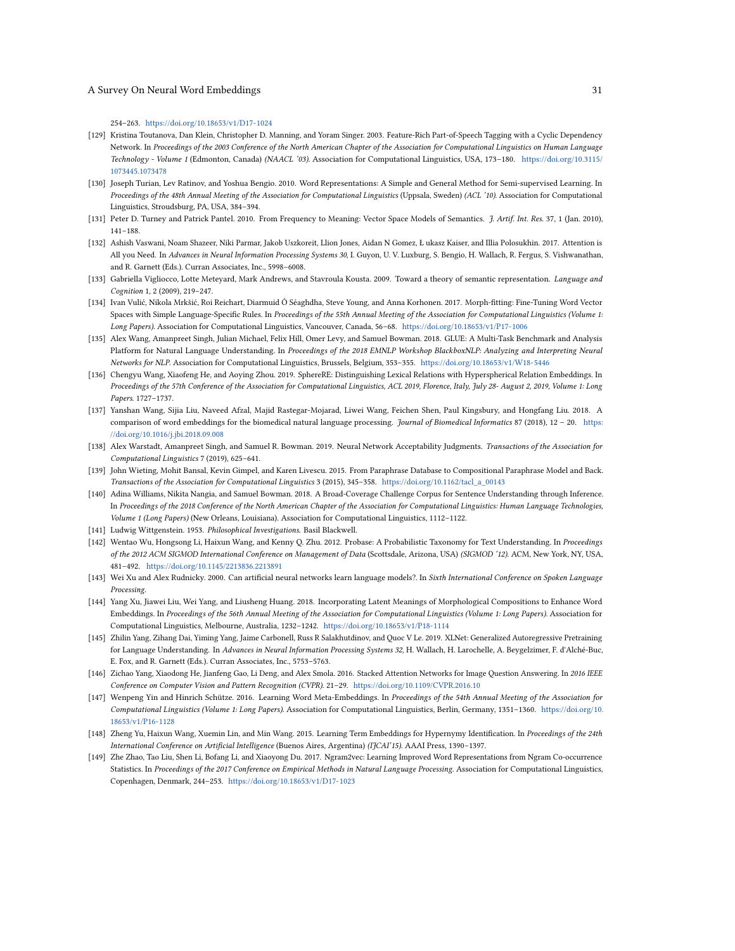254–263. <https://doi.org/10.18653/v1/D17-1024>

- <span id="page-30-4"></span>[129] Kristina Toutanova, Dan Klein, Christopher D. Manning, and Yoram Singer. 2003. Feature-Rich Part-of-Speech Tagging with a Cyclic Dependency Network. In Proceedings of the 2003 Conference of the North American Chapter of the Association for Computational Linguistics on Human Language Technology - Volume 1 (Edmonton, Canada) (NAACL '03). Association for Computational Linguistics, USA, 173–180. [https://doi.org/10.3115/](https://doi.org/10.3115/1073445.1073478) [1073445.1073478](https://doi.org/10.3115/1073445.1073478)
- <span id="page-30-7"></span>[130] Joseph Turian, Lev Ratinov, and Yoshua Bengio. 2010. Word Representations: A Simple and General Method for Semi-supervised Learning. In Proceedings of the 48th Annual Meeting of the Association for Computational Linguistics (Uppsala, Sweden) (ACL '10). Association for Computational Linguistics, Stroudsburg, PA, USA, 384–394.
- <span id="page-30-0"></span>[131] Peter D. Turney and Patrick Pantel. 2010. From Frequency to Meaning: Vector Space Models of Semantics. *J. Artif. Int. Res.* 37, 1 (Jan. 2010), 141–188.
- <span id="page-30-14"></span>[132] Ashish Vaswani, Noam Shazeer, Niki Parmar, Jakob Uszkoreit, Llion Jones, Aidan N Gomez, Ł ukasz Kaiser, and Illia Polosukhin. 2017. Attention is All you Need. In Advances in Neural Information Processing Systems 30, I. Guyon, U. V. Luxburg, S. Bengio, H. Wallach, R. Fergus, S. Vishwanathan, and R. Garnett (Eds.). Curran Associates, Inc., 5998–6008.
- <span id="page-30-20"></span>[133] Gabriella Vigliocco, Lotte Meteyard, Mark Andrews, and Stavroula Kousta. 2009. Toward a theory of semantic representation. Language and Cognition 1, 2 (2009), 219–247.
- <span id="page-30-9"></span>[134] Ivan Vulić, Nikola Mrkšić, Roi Reichart, Diarmuid Ó Séaghdha, Steve Young, and Anna Korhonen. 2017. Morph-fitting: Fine-Tuning Word Vector Spaces with Simple Language-Specific Rules. In Proceedings of the 55th Annual Meeting of the Association for Computational Linguistics (Volume 1: Long Papers). Association for Computational Linguistics, Vancouver, Canada, 56–68. <https://doi.org/10.18653/v1/P17-1006>
- <span id="page-30-16"></span>[135] Alex Wang, Amanpreet Singh, Julian Michael, Felix Hill, Omer Levy, and Samuel Bowman. 2018. GLUE: A Multi-Task Benchmark and Analysis Platform for Natural Language Understanding. In Proceedings of the 2018 EMNLP Workshop BlackboxNLP: Analyzing and Interpreting Neural Networks for NLP. Association for Computational Linguistics, Brussels, Belgium, 353–355. <https://doi.org/10.18653/v1/W18-5446>
- <span id="page-30-12"></span>[136] Chengyu Wang, Xiaofeng He, and Aoying Zhou. 2019. SphereRE: Distinguishing Lexical Relations with Hyperspherical Relation Embeddings. In Proceedings of the 57th Conference of the Association for Computational Linguistics, ACL 2019, Florence, Italy, July 28- August 2, 2019, Volume 1: Long Papers. 1727–1737.
- <span id="page-30-1"></span>[137] Yanshan Wang, Sijia Liu, Naveed Afzal, Majid Rastegar-Mojarad, Liwei Wang, Feichen Shen, Paul Kingsbury, and Hongfang Liu. 2018. A comparison of word embeddings for the biomedical natural language processing. Journal of Biomedical Informatics 87 (2018), 12 - 20. [https:](https://doi.org/10.1016/j.jbi.2018.09.008) [//doi.org/10.1016/j.jbi.2018.09.008](https://doi.org/10.1016/j.jbi.2018.09.008)
- <span id="page-30-17"></span>[138] Alex Warstadt, Amanpreet Singh, and Samuel R. Bowman. 2019. Neural Network Acceptability Judgments. Transactions of the Association for Computational Linguistics 7 (2019), 625–641.
- <span id="page-30-8"></span>[139] John Wieting, Mohit Bansal, Kevin Gimpel, and Karen Livescu. 2015. From Paraphrase Database to Compositional Paraphrase Model and Back. Transactions of the Association for Computational Linguistics 3 (2015), 345–358. [https://doi.org/10.1162/tacl\\_a\\_00143](https://doi.org/10.1162/tacl_a_00143)
- <span id="page-30-18"></span>[140] Adina Williams, Nikita Nangia, and Samuel Bowman. 2018. A Broad-Coverage Challenge Corpus for Sentence Understanding through Inference. In Proceedings of the 2018 Conference of the North American Chapter of the Association for Computational Linguistics: Human Language Technologies, Volume 1 (Long Papers) (New Orleans, Louisiana). Association for Computational Linguistics, 1112–1122.
- <span id="page-30-2"></span>[141] Ludwig Wittgenstein. 1953. Philosophical Investigations. Basil Blackwell.
- <span id="page-30-11"></span>[142] Wentao Wu, Hongsong Li, Haixun Wang, and Kenny Q. Zhu. 2012. Probase: A Probabilistic Taxonomy for Text Understanding. In Proceedings of the 2012 ACM SIGMOD International Conference on Management of Data (Scottsdale, Arizona, USA) (SIGMOD '12). ACM, New York, NY, USA, 481–492. <https://doi.org/10.1145/2213836.2213891>
- <span id="page-30-3"></span>[143] Wei Xu and Alex Rudnicky. 2000. Can artificial neural networks learn language models?. In Sixth International Conference on Spoken Language Processing.
- <span id="page-30-13"></span>[144] Yang Xu, Jiawei Liu, Wei Yang, and Liusheng Huang. 2018. Incorporating Latent Meanings of Morphological Compositions to Enhance Word Embeddings. In Proceedings of the 56th Annual Meeting of the Association for Computational Linguistics (Volume 1: Long Papers). Association for Computational Linguistics, Melbourne, Australia, 1232–1242. <https://doi.org/10.18653/v1/P18-1114>
- <span id="page-30-15"></span>[145] Zhilin Yang, Zihang Dai, Yiming Yang, Jaime Carbonell, Russ R Salakhutdinov, and Quoc V Le. 2019. XLNet: Generalized Autoregressive Pretraining for Language Understanding. In Advances in Neural Information Processing Systems 32, H. Wallach, H. Larochelle, A. Beygelzimer, F. d'Alché-Buc, E. Fox, and R. Garnett (Eds.). Curran Associates, Inc., 5753–5763.
- <span id="page-30-19"></span>[146] Zichao Yang, Xiaodong He, Jianfeng Gao, Li Deng, and Alex Smola. 2016. Stacked Attention Networks for Image Question Answering. In 2016 IEEE Conference on Computer Vision and Pattern Recognition (CVPR). 21–29. <https://doi.org/10.1109/CVPR.2016.10>
- <span id="page-30-5"></span>[147] Wenpeng Yin and Hinrich Schütze. 2016. Learning Word Meta-Embeddings. In Proceedings of the 54th Annual Meeting of the Association for Computational Linguistics (Volume 1: Long Papers). Association for Computational Linguistics, Berlin, Germany, 1351–1360. [https://doi.org/10.](https://doi.org/10.18653/v1/P16-1128) [18653/v1/P16-1128](https://doi.org/10.18653/v1/P16-1128)
- <span id="page-30-10"></span>[148] Zheng Yu, Haixun Wang, Xuemin Lin, and Min Wang. 2015. Learning Term Embeddings for Hypernymy Identification. In Proceedings of the 24th International Conference on Artificial Intelligence (Buenos Aires, Argentina) (IJCAI'15). AAAI Press, 1390-1397.
- <span id="page-30-6"></span>[149] Zhe Zhao, Tao Liu, Shen Li, Bofang Li, and Xiaoyong Du. 2017. Ngram2vec: Learning Improved Word Representations from Ngram Co-occurrence Statistics. In Proceedings of the 2017 Conference on Empirical Methods in Natural Language Processing. Association for Computational Linguistics, Copenhagen, Denmark, 244–253. <https://doi.org/10.18653/v1/D17-1023>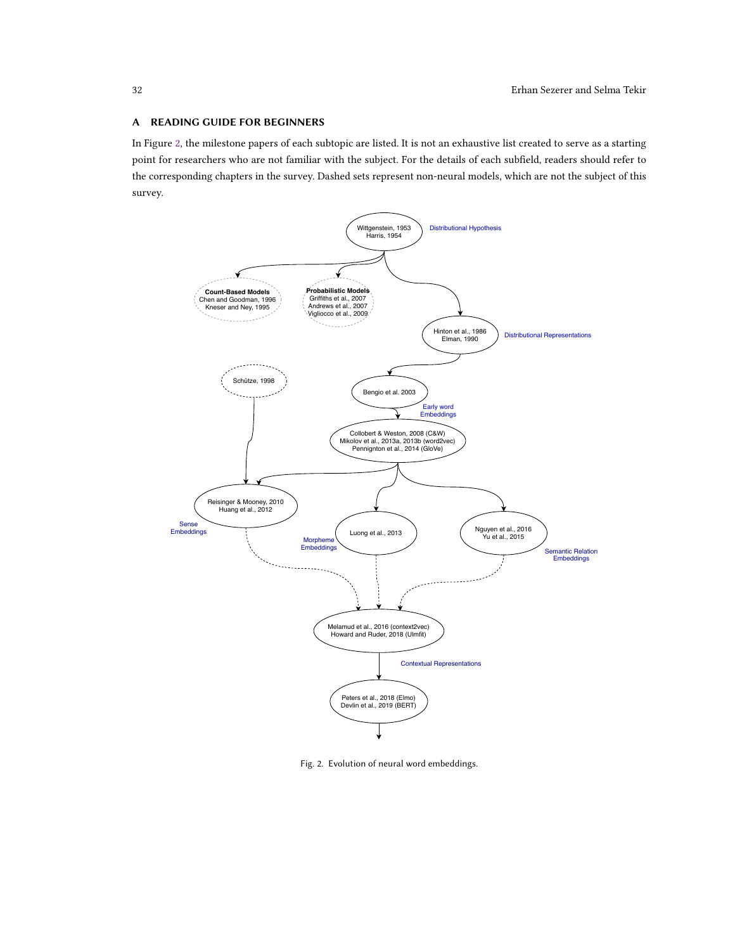# <span id="page-31-0"></span>A READING GUIDE FOR BEGINNERS

In Figure [2,](#page-31-1) the milestone papers of each subtopic are listed. It is not an exhaustive list created to serve as a starting point for researchers who are not familiar with the subject. For the details of each subfield, readers should refer to the corresponding chapters in the survey. Dashed sets represent non-neural models, which are not the subject of this survey.

<span id="page-31-1"></span>

Fig. 2. Evolution of neural word embeddings.